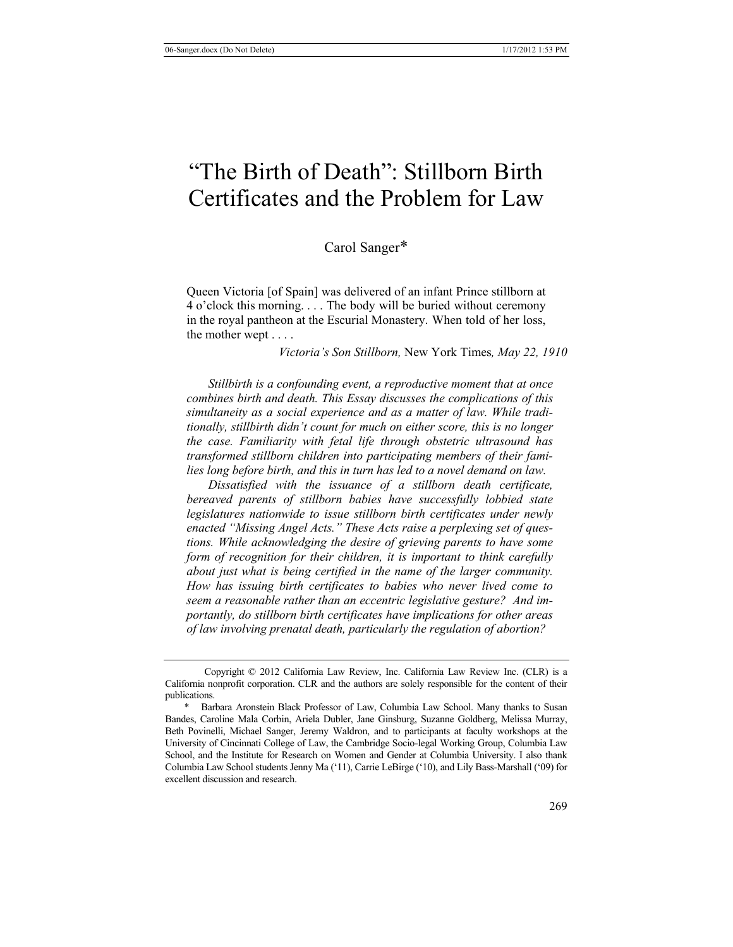# "The Birth of Death": Stillborn Birth Certificates and the Problem for Law

Carol Sanger\*

Queen Victoria [of Spain] was delivered of an infant Prince stillborn at 4 o'clock this morning. . . . The body will be buried without ceremony in the royal pantheon at the Escurial Monastery. When told of her loss, the mother wept . . . .

*Victoria's Son Stillborn,* New York Times*, May 22, 1910* 

*Stillbirth is a confounding event, a reproductive moment that at once combines birth and death. This Essay discusses the complications of this simultaneity as a social experience and as a matter of law. While traditionally, stillbirth didn't count for much on either score, this is no longer the case. Familiarity with fetal life through obstetric ultrasound has transformed stillborn children into participating members of their families long before birth, and this in turn has led to a novel demand on law.* 

*Dissatisfied with the issuance of a stillborn death certificate, bereaved parents of stillborn babies have successfully lobbied state legislatures nationwide to issue stillborn birth certificates under newly enacted "Missing Angel Acts." These Acts raise a perplexing set of questions. While acknowledging the desire of grieving parents to have some form of recognition for their children, it is important to think carefully about just what is being certified in the name of the larger community. How has issuing birth certificates to babies who never lived come to seem a reasonable rather than an eccentric legislative gesture? And importantly, do stillborn birth certificates have implications for other areas of law involving prenatal death, particularly the regulation of abortion?* 

Copyright © 2012 California Law Review, Inc. California Law Review Inc. (CLR) is a California nonprofit corporation. CLR and the authors are solely responsible for the content of their publications.

<sup>\*</sup> Barbara Aronstein Black Professor of Law, Columbia Law School. Many thanks to Susan Bandes, Caroline Mala Corbin, Ariela Dubler, Jane Ginsburg, Suzanne Goldberg, Melissa Murray, Beth Povinelli, Michael Sanger, Jeremy Waldron, and to participants at faculty workshops at the University of Cincinnati College of Law, the Cambridge Socio-legal Working Group, Columbia Law School, and the Institute for Research on Women and Gender at Columbia University. I also thank Columbia Law School students Jenny Ma ('11), Carrie LeBirge ('10), and Lily Bass-Marshall ('09) for excellent discussion and research.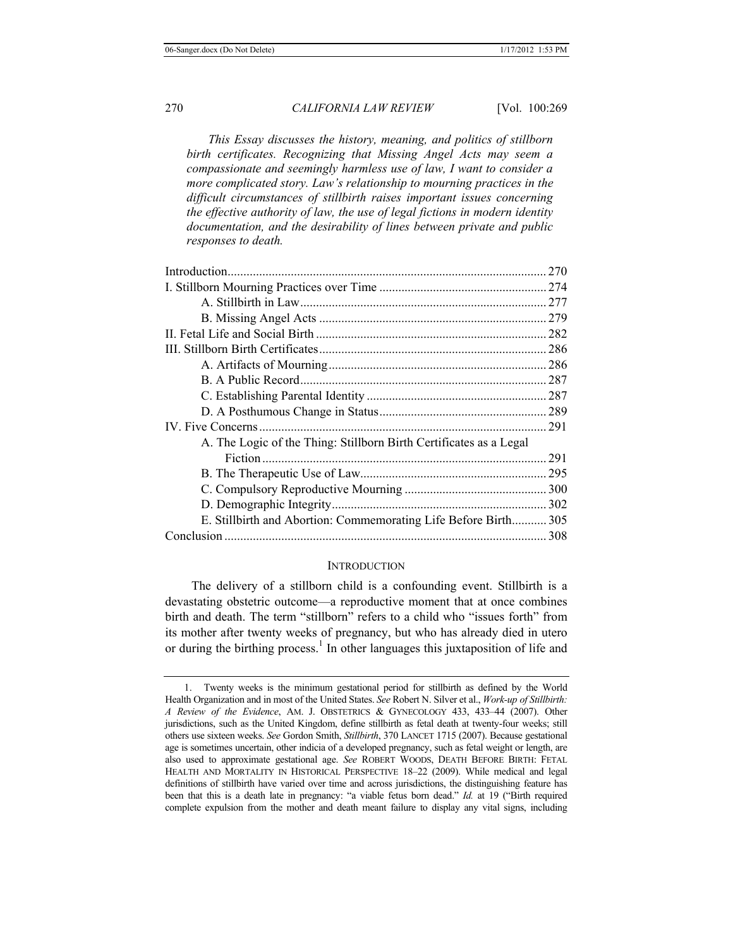*This Essay discusses the history, meaning, and politics of stillborn birth certificates. Recognizing that Missing Angel Acts may seem a compassionate and seemingly harmless use of law, I want to consider a more complicated story. Law's relationship to mourning practices in the difficult circumstances of stillbirth raises important issues concerning the effective authority of law, the use of legal fictions in modern identity documentation, and the desirability of lines between private and public responses to death.*

| A. The Logic of the Thing: Stillborn Birth Certificates as a Legal |     |
|--------------------------------------------------------------------|-----|
|                                                                    | 291 |
|                                                                    |     |
|                                                                    |     |
|                                                                    |     |
| E. Stillbirth and Abortion: Commemorating Life Before Birth 305    |     |
|                                                                    |     |

#### **INTRODUCTION**

The delivery of a stillborn child is a confounding event. Stillbirth is a devastating obstetric outcome—a reproductive moment that at once combines birth and death. The term "stillborn" refers to a child who "issues forth" from its mother after twenty weeks of pregnancy, but who has already died in utero or during the birthing process.<sup>1</sup> In other languages this juxtaposition of life and

<sup>1.</sup> Twenty weeks is the minimum gestational period for stillbirth as defined by the World Health Organization and in most of the United States. *See* Robert N. Silver et al., *Work-up of Stillbirth: A Review of the Evidence*, AM. J. OBSTETRICS & GYNECOLOGY 433, 433–44 (2007). Other jurisdictions, such as the United Kingdom, define stillbirth as fetal death at twenty-four weeks; still others use sixteen weeks. *See* Gordon Smith, *Stillbirth*, 370 LANCET 1715 (2007). Because gestational age is sometimes uncertain, other indicia of a developed pregnancy, such as fetal weight or length, are also used to approximate gestational age. *See* ROBERT WOODS, DEATH BEFORE BIRTH: FETAL HEALTH AND MORTALITY IN HISTORICAL PERSPECTIVE 18–22 (2009). While medical and legal definitions of stillbirth have varied over time and across jurisdictions, the distinguishing feature has been that this is a death late in pregnancy: "a viable fetus born dead." *Id.* at 19 ("Birth required complete expulsion from the mother and death meant failure to display any vital signs, including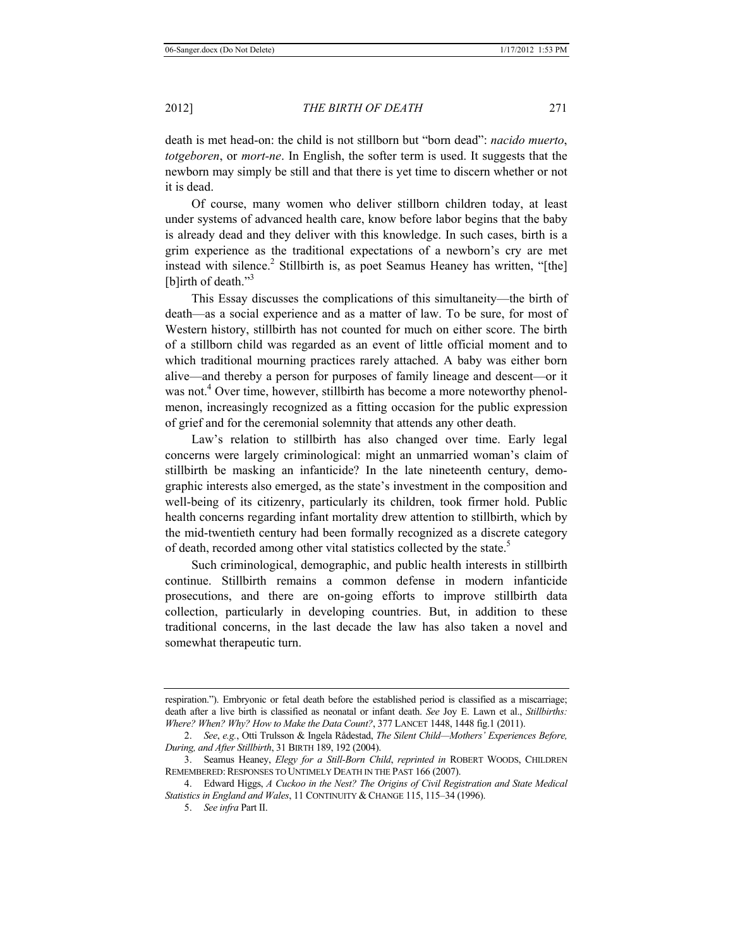death is met head-on: the child is not stillborn but "born dead": *nacido muerto*, *totgeboren*, or *mort-ne*. In English, the softer term is used. It suggests that the newborn may simply be still and that there is yet time to discern whether or not it is dead.

Of course, many women who deliver stillborn children today, at least under systems of advanced health care, know before labor begins that the baby is already dead and they deliver with this knowledge. In such cases, birth is a grim experience as the traditional expectations of a newborn's cry are met instead with silence.<sup>2</sup> Stillbirth is, as poet Seamus Heaney has written, "[the] [b]irth of death."<sup>3</sup>

This Essay discusses the complications of this simultaneity—the birth of death—as a social experience and as a matter of law. To be sure, for most of Western history, stillbirth has not counted for much on either score. The birth of a stillborn child was regarded as an event of little official moment and to which traditional mourning practices rarely attached. A baby was either born alive—and thereby a person for purposes of family lineage and descent—or it was not.<sup>4</sup> Over time, however, stillbirth has become a more noteworthy phenolmenon, increasingly recognized as a fitting occasion for the public expression of grief and for the ceremonial solemnity that attends any other death.

Law's relation to stillbirth has also changed over time. Early legal concerns were largely criminological: might an unmarried woman's claim of stillbirth be masking an infanticide? In the late nineteenth century, demographic interests also emerged, as the state's investment in the composition and well-being of its citizenry, particularly its children, took firmer hold. Public health concerns regarding infant mortality drew attention to stillbirth, which by the mid-twentieth century had been formally recognized as a discrete category of death, recorded among other vital statistics collected by the state.<sup>5</sup>

Such criminological, demographic, and public health interests in stillbirth continue. Stillbirth remains a common defense in modern infanticide prosecutions, and there are on-going efforts to improve stillbirth data collection, particularly in developing countries. But, in addition to these traditional concerns, in the last decade the law has also taken a novel and somewhat therapeutic turn.

respiration."). Embryonic or fetal death before the established period is classified as a miscarriage; death after a live birth is classified as neonatal or infant death. *See* Joy E. Lawn et al., *Stillbirths: Where? When? Why? How to Make the Data Count?*, 377 LANCET 1448, 1448 fig.1 (2011).

<sup>2.</sup> *See*, *e.g.*, Otti Trulsson & Ingela Rådestad, *The Silent Child—Mothers' Experiences Before, During, and After Stillbirth*, 31 BIRTH 189, 192 (2004).

<sup>3.</sup> Seamus Heaney, *Elegy for a Still-Born Child*, *reprinted in* ROBERT WOODS, CHILDREN REMEMBERED: RESPONSES TO UNTIMELY DEATH IN THE PAST 166 (2007).

<sup>4.</sup> Edward Higgs, *A Cuckoo in the Nest? The Origins of Civil Registration and State Medical Statistics in England and Wales*, 11 CONTINUITY & CHANGE 115, 115–34 (1996).

<sup>5.</sup> *See infra* Part II.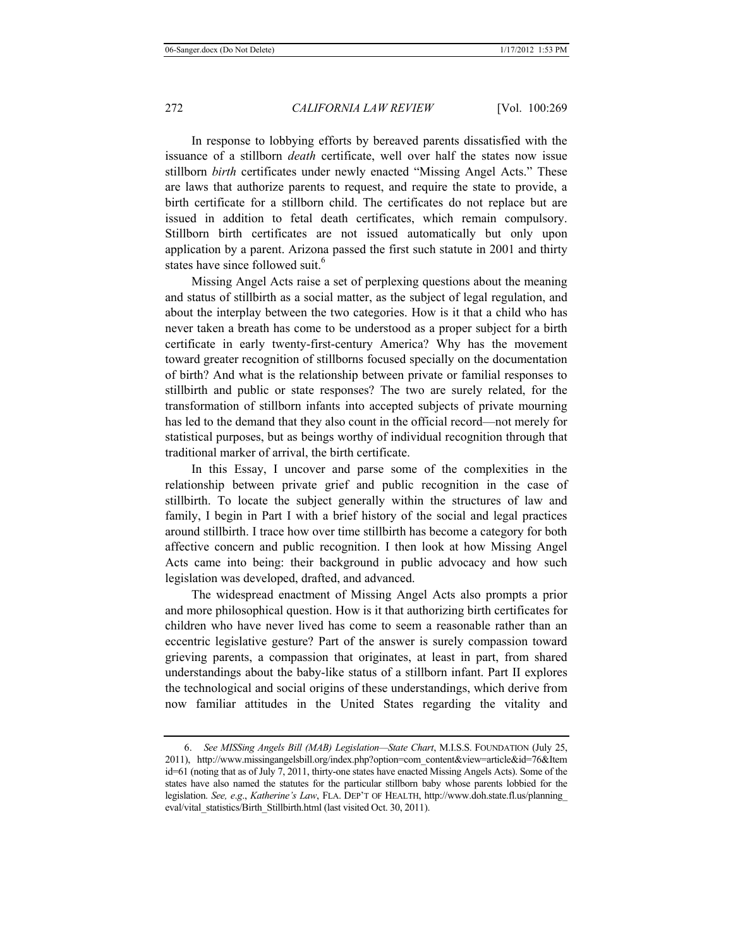In response to lobbying efforts by bereaved parents dissatisfied with the issuance of a stillborn *death* certificate, well over half the states now issue stillborn *birth* certificates under newly enacted "Missing Angel Acts." These are laws that authorize parents to request, and require the state to provide, a birth certificate for a stillborn child. The certificates do not replace but are issued in addition to fetal death certificates, which remain compulsory. Stillborn birth certificates are not issued automatically but only upon application by a parent. Arizona passed the first such statute in 2001 and thirty states have since followed suit.<sup>6</sup>

Missing Angel Acts raise a set of perplexing questions about the meaning and status of stillbirth as a social matter, as the subject of legal regulation, and about the interplay between the two categories. How is it that a child who has never taken a breath has come to be understood as a proper subject for a birth certificate in early twenty-first-century America? Why has the movement toward greater recognition of stillborns focused specially on the documentation of birth? And what is the relationship between private or familial responses to stillbirth and public or state responses? The two are surely related, for the transformation of stillborn infants into accepted subjects of private mourning has led to the demand that they also count in the official record—not merely for statistical purposes, but as beings worthy of individual recognition through that traditional marker of arrival, the birth certificate.

In this Essay, I uncover and parse some of the complexities in the relationship between private grief and public recognition in the case of stillbirth. To locate the subject generally within the structures of law and family, I begin in Part I with a brief history of the social and legal practices around stillbirth. I trace how over time stillbirth has become a category for both affective concern and public recognition. I then look at how Missing Angel Acts came into being: their background in public advocacy and how such legislation was developed, drafted, and advanced.

The widespread enactment of Missing Angel Acts also prompts a prior and more philosophical question. How is it that authorizing birth certificates for children who have never lived has come to seem a reasonable rather than an eccentric legislative gesture? Part of the answer is surely compassion toward grieving parents, a compassion that originates, at least in part, from shared understandings about the baby-like status of a stillborn infant. Part II explores the technological and social origins of these understandings, which derive from now familiar attitudes in the United States regarding the vitality and

<sup>6.</sup> *See MISSing Angels Bill (MAB) Legislation—State Chart*, M.I.S.S. FOUNDATION (July 25, 2011), http://www.missingangelsbill.org/index.php?option=com\_content&view=article&id=76&Item id=61 (noting that as of July 7, 2011, thirty-one states have enacted Missing Angels Acts). Some of the states have also named the statutes for the particular stillborn baby whose parents lobbied for the legislation. *See, e*.*g*., *Katherine's Law*, FLA. DEP'T OF HEALTH, http://www.doh.state.fl.us/planning\_ eval/vital\_statistics/Birth\_Stillbirth.html (last visited Oct. 30, 2011).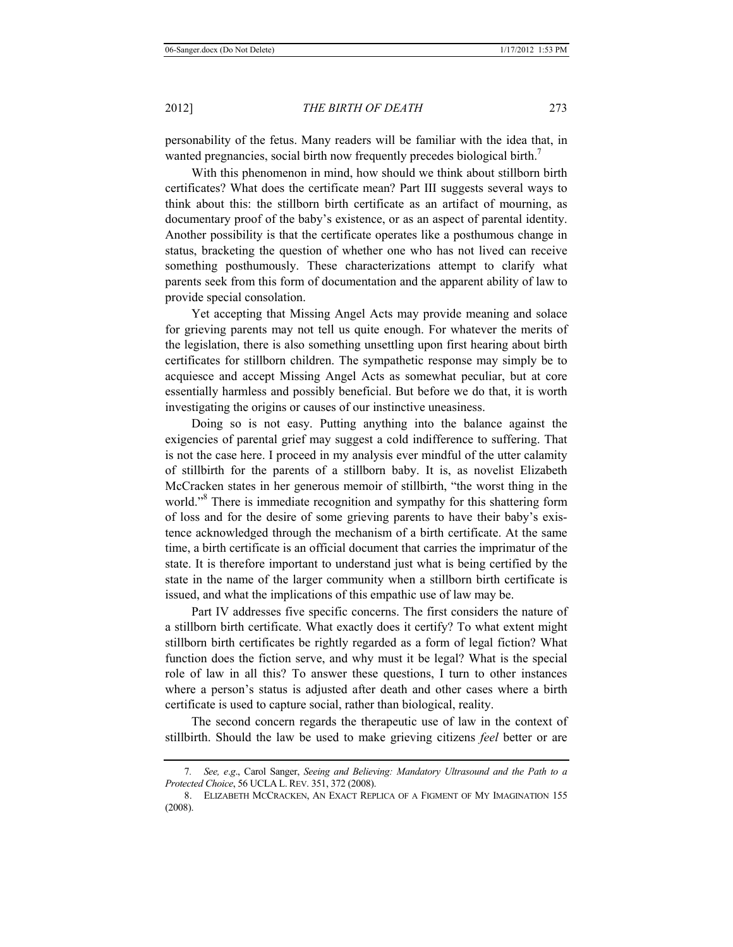personability of the fetus. Many readers will be familiar with the idea that, in wanted pregnancies, social birth now frequently precedes biological birth.<sup>7</sup>

With this phenomenon in mind, how should we think about stillborn birth certificates? What does the certificate mean? Part III suggests several ways to think about this: the stillborn birth certificate as an artifact of mourning, as documentary proof of the baby's existence, or as an aspect of parental identity. Another possibility is that the certificate operates like a posthumous change in status, bracketing the question of whether one who has not lived can receive something posthumously. These characterizations attempt to clarify what parents seek from this form of documentation and the apparent ability of law to provide special consolation.

Yet accepting that Missing Angel Acts may provide meaning and solace for grieving parents may not tell us quite enough. For whatever the merits of the legislation, there is also something unsettling upon first hearing about birth certificates for stillborn children. The sympathetic response may simply be to acquiesce and accept Missing Angel Acts as somewhat peculiar, but at core essentially harmless and possibly beneficial. But before we do that, it is worth investigating the origins or causes of our instinctive uneasiness.

Doing so is not easy. Putting anything into the balance against the exigencies of parental grief may suggest a cold indifference to suffering. That is not the case here. I proceed in my analysis ever mindful of the utter calamity of stillbirth for the parents of a stillborn baby. It is, as novelist Elizabeth McCracken states in her generous memoir of stillbirth, "the worst thing in the world."<sup>8</sup> There is immediate recognition and sympathy for this shattering form of loss and for the desire of some grieving parents to have their baby's existence acknowledged through the mechanism of a birth certificate. At the same time, a birth certificate is an official document that carries the imprimatur of the state. It is therefore important to understand just what is being certified by the state in the name of the larger community when a stillborn birth certificate is issued, and what the implications of this empathic use of law may be.

Part IV addresses five specific concerns. The first considers the nature of a stillborn birth certificate. What exactly does it certify? To what extent might stillborn birth certificates be rightly regarded as a form of legal fiction? What function does the fiction serve, and why must it be legal? What is the special role of law in all this? To answer these questions, I turn to other instances where a person's status is adjusted after death and other cases where a birth certificate is used to capture social, rather than biological, reality.

The second concern regards the therapeutic use of law in the context of stillbirth. Should the law be used to make grieving citizens *feel* better or are

<sup>7</sup>*. See, e*.*g*., Carol Sanger, *Seeing and Believing: Mandatory Ultrasound and the Path to a Protected Choice*, 56 UCLA L.REV. 351, 372 (2008).

<sup>8.</sup> ELIZABETH MCCRACKEN, AN EXACT REPLICA OF A FIGMENT OF MY IMAGINATION 155 (2008).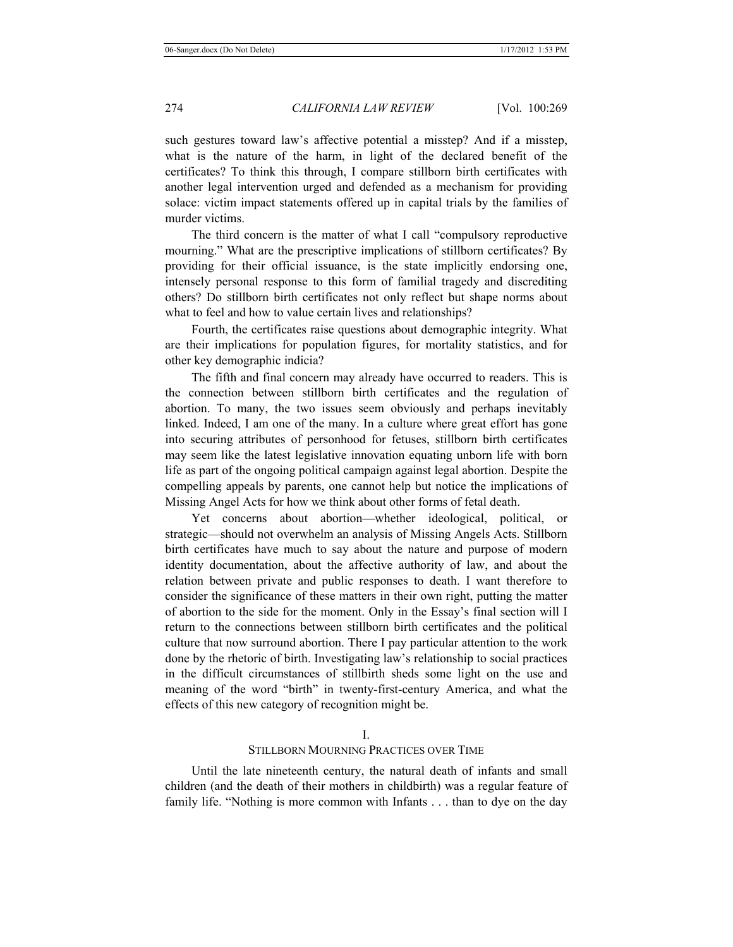such gestures toward law's affective potential a misstep? And if a misstep, what is the nature of the harm, in light of the declared benefit of the certificates? To think this through, I compare stillborn birth certificates with another legal intervention urged and defended as a mechanism for providing solace: victim impact statements offered up in capital trials by the families of murder victims.

The third concern is the matter of what I call "compulsory reproductive mourning." What are the prescriptive implications of stillborn certificates? By providing for their official issuance, is the state implicitly endorsing one, intensely personal response to this form of familial tragedy and discrediting others? Do stillborn birth certificates not only reflect but shape norms about what to feel and how to value certain lives and relationships?

Fourth, the certificates raise questions about demographic integrity. What are their implications for population figures, for mortality statistics, and for other key demographic indicia?

The fifth and final concern may already have occurred to readers. This is the connection between stillborn birth certificates and the regulation of abortion. To many, the two issues seem obviously and perhaps inevitably linked. Indeed, I am one of the many. In a culture where great effort has gone into securing attributes of personhood for fetuses, stillborn birth certificates may seem like the latest legislative innovation equating unborn life with born life as part of the ongoing political campaign against legal abortion. Despite the compelling appeals by parents, one cannot help but notice the implications of Missing Angel Acts for how we think about other forms of fetal death.

Yet concerns about abortion—whether ideological, political, or strategic—should not overwhelm an analysis of Missing Angels Acts. Stillborn birth certificates have much to say about the nature and purpose of modern identity documentation, about the affective authority of law, and about the relation between private and public responses to death. I want therefore to consider the significance of these matters in their own right, putting the matter of abortion to the side for the moment. Only in the Essay's final section will I return to the connections between stillborn birth certificates and the political culture that now surround abortion. There I pay particular attention to the work done by the rhetoric of birth. Investigating law's relationship to social practices in the difficult circumstances of stillbirth sheds some light on the use and meaning of the word "birth" in twenty-first-century America, and what the effects of this new category of recognition might be.

## STILLBORN MOURNING PRACTICES OVER TIME

Until the late nineteenth century, the natural death of infants and small children (and the death of their mothers in childbirth) was a regular feature of family life. "Nothing is more common with Infants . . . than to dye on the day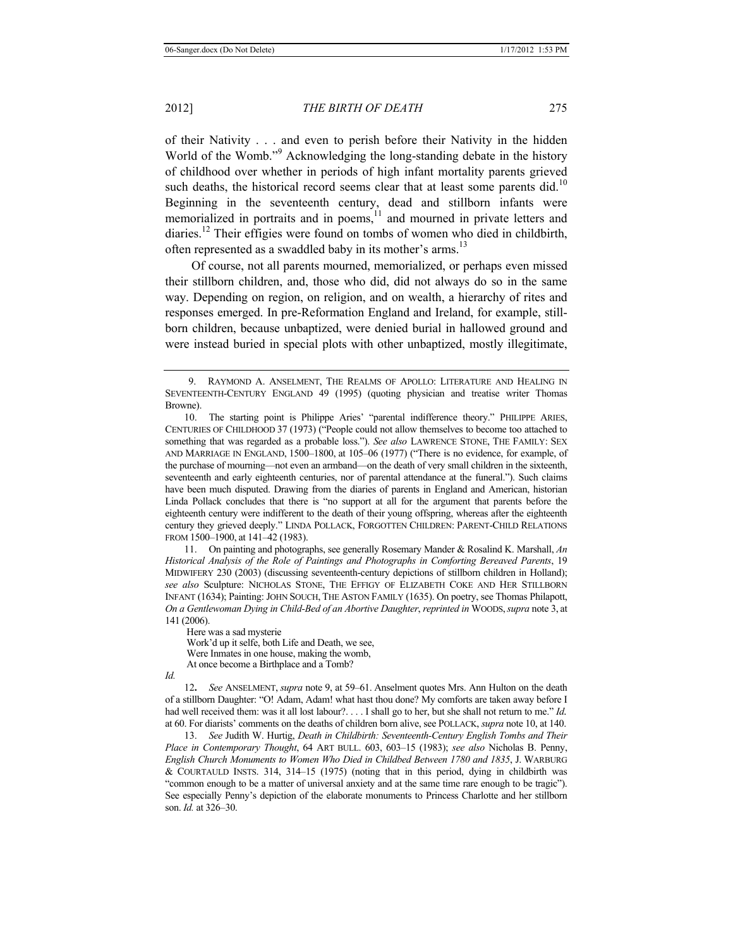of their Nativity . . . and even to perish before their Nativity in the hidden World of the Womb."<sup>9</sup> Acknowledging the long-standing debate in the history of childhood over whether in periods of high infant mortality parents grieved such deaths, the historical record seems clear that at least some parents did.<sup>10</sup> Beginning in the seventeenth century, dead and stillborn infants were memorialized in portraits and in poems,<sup>11</sup> and mourned in private letters and diaries.<sup>12</sup> Their effigies were found on tombs of women who died in childbirth, often represented as a swaddled baby in its mother's arms.<sup>13</sup>

Of course, not all parents mourned, memorialized, or perhaps even missed their stillborn children, and, those who did, did not always do so in the same way. Depending on region, on religion, and on wealth, a hierarchy of rites and responses emerged. In pre-Reformation England and Ireland, for example, stillborn children, because unbaptized, were denied burial in hallowed ground and were instead buried in special plots with other unbaptized, mostly illegitimate,

11. On painting and photographs, see generally Rosemary Mander & Rosalind K. Marshall, *An Historical Analysis of the Role of Paintings and Photographs in Comforting Bereaved Parents*, 19 MIDWIFERY 230 (2003) (discussing seventeenth-century depictions of stillborn children in Holland); *see also* Sculpture: NICHOLAS STONE, THE EFFIGY OF ELIZABETH COKE AND HER STILLBORN INFANT (1634); Painting: JOHN SOUCH, THE ASTON FAMILY (1635). On poetry, see Thomas Philapott, *On a Gentlewoman Dying in Child-Bed of an Abortive Daughter*, *reprinted in* WOODS,*supra* note 3, at 141 (2006).

Here was a sad mysterie Work'd up it selfe, both Life and Death, we see, Were Inmates in one house, making the womb, At once become a Birthplace and a Tomb?

*Id.*

12**.** *See* ANSELMENT, *supra* note 9, at 59–61. Anselment quotes Mrs. Ann Hulton on the death of a stillborn Daughter: "O! Adam, Adam! what hast thou done? My comforts are taken away before I had well received them: was it all lost labour?. . . . I shall go to her, but she shall not return to me." *Id.* at 60. For diarists' comments on the deaths of children born alive, see POLLACK, *supra* note 10, at 140.

13. *See* Judith W. Hurtig, *Death in Childbirth: Seventeenth-Century English Tombs and Their Place in Contemporary Thought*, 64 ART BULL. 603, 603–15 (1983); *see also* Nicholas B. Penny, *English Church Monuments to Women Who Died in Childbed Between 1780 and 1835*, J. WARBURG & COURTAULD INSTS. 314, 314–15 (1975) (noting that in this period, dying in childbirth was "common enough to be a matter of universal anxiety and at the same time rare enough to be tragic"). See especially Penny's depiction of the elaborate monuments to Princess Charlotte and her stillborn son. *Id.* at 326–30.

<sup>9.</sup> RAYMOND A. ANSELMENT, THE REALMS OF APOLLO: LITERATURE AND HEALING IN SEVENTEENTH-CENTURY ENGLAND 49 (1995) (quoting physician and treatise writer Thomas Browne).

<sup>10.</sup> The starting point is Philippe Aries' "parental indifference theory." PHILIPPE ARIES, CENTURIES OF CHILDHOOD 37 (1973) ("People could not allow themselves to become too attached to something that was regarded as a probable loss."). *See also* LAWRENCE STONE, THE FAMILY: SEX AND MARRIAGE IN ENGLAND, 1500–1800, at 105–06 (1977) ("There is no evidence, for example, of the purchase of mourning—not even an armband—on the death of very small children in the sixteenth, seventeenth and early eighteenth centuries, nor of parental attendance at the funeral."). Such claims have been much disputed. Drawing from the diaries of parents in England and American, historian Linda Pollack concludes that there is "no support at all for the argument that parents before the eighteenth century were indifferent to the death of their young offspring, whereas after the eighteenth century they grieved deeply." LINDA POLLACK, FORGOTTEN CHILDREN: PARENT-CHILD RELATIONS FROM 1500–1900, at 141–42 (1983).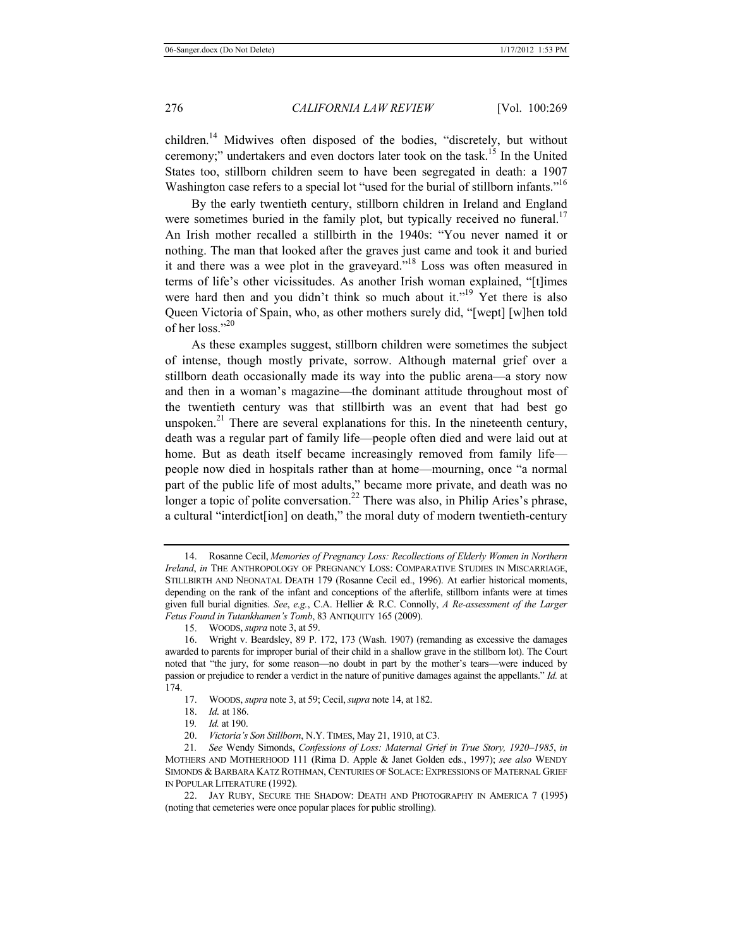children.<sup>14</sup> Midwives often disposed of the bodies, "discretely, but without ceremony;" undertakers and even doctors later took on the task.15 In the United States too, stillborn children seem to have been segregated in death: a 1907 Washington case refers to a special lot "used for the burial of stillborn infants."<sup>16</sup>

By the early twentieth century, stillborn children in Ireland and England were sometimes buried in the family plot, but typically received no funeral.<sup>17</sup> An Irish mother recalled a stillbirth in the 1940s: "You never named it or nothing. The man that looked after the graves just came and took it and buried it and there was a wee plot in the graveyard."18 Loss was often measured in terms of life's other vicissitudes. As another Irish woman explained, "[t]imes were hard then and you didn't think so much about it."<sup>19</sup> Yet there is also Queen Victoria of Spain, who, as other mothers surely did, "[wept] [w]hen told of her loss." $^{20}$ 

As these examples suggest, stillborn children were sometimes the subject of intense, though mostly private, sorrow. Although maternal grief over a stillborn death occasionally made its way into the public arena—a story now and then in a woman's magazine—the dominant attitude throughout most of the twentieth century was that stillbirth was an event that had best go unspoken.<sup>21</sup> There are several explanations for this. In the nineteenth century, death was a regular part of family life—people often died and were laid out at home. But as death itself became increasingly removed from family life people now died in hospitals rather than at home—mourning, once "a normal part of the public life of most adults," became more private, and death was no longer a topic of polite conversation.<sup>22</sup> There was also, in Philip Aries's phrase, a cultural "interdict[ion] on death," the moral duty of modern twentieth-century

<sup>14.</sup> Rosanne Cecil, *Memories of Pregnancy Loss: Recollections of Elderly Women in Northern Ireland*, *in* THE ANTHROPOLOGY OF PREGNANCY LOSS: COMPARATIVE STUDIES IN MISCARRIAGE, STILLBIRTH AND NEONATAL DEATH 179 (Rosanne Cecil ed., 1996). At earlier historical moments, depending on the rank of the infant and conceptions of the afterlife, stillborn infants were at times given full burial dignities. *See*, *e.g.*, C.A. Hellier & R.C. Connolly, *A Re-assessment of the Larger Fetus Found in Tutankhamen's Tomb*, 83 ANTIQUITY 165 (2009).

<sup>15.</sup> WOODS, *supra* note 3, at 59.

<sup>16.</sup> Wright v. Beardsley, 89 P. 172, 173 (Wash. 1907) (remanding as excessive the damages awarded to parents for improper burial of their child in a shallow grave in the stillborn lot). The Court noted that "the jury, for some reason—no doubt in part by the mother's tears—were induced by passion or prejudice to render a verdict in the nature of punitive damages against the appellants." *Id.* at 174.

<sup>17.</sup> WOODS, *supra* note 3, at 59; Cecil,*supra* note 14, at 182.

<sup>18.</sup> *Id.* at 186.

<sup>19</sup>*. Id.* at 190.

<sup>20.</sup> *Victoria's Son Stillborn*, N.Y. TIMES, May 21, 1910, at C3.

<sup>21</sup>*. See* Wendy Simonds, *Confessions of Loss: Maternal Grief in True Story, 1920–1985*, *in*  MOTHERS AND MOTHERHOOD 111 (Rima D. Apple & Janet Golden eds., 1997); *see also* WENDY SIMONDS & BARBARA KATZ ROTHMAN, CENTURIES OF SOLACE: EXPRESSIONS OF MATERNAL GRIEF IN POPULAR LITERATURE (1992).

<sup>22.</sup> JAY RUBY, SECURE THE SHADOW: DEATH AND PHOTOGRAPHY IN AMERICA 7 (1995) (noting that cemeteries were once popular places for public strolling).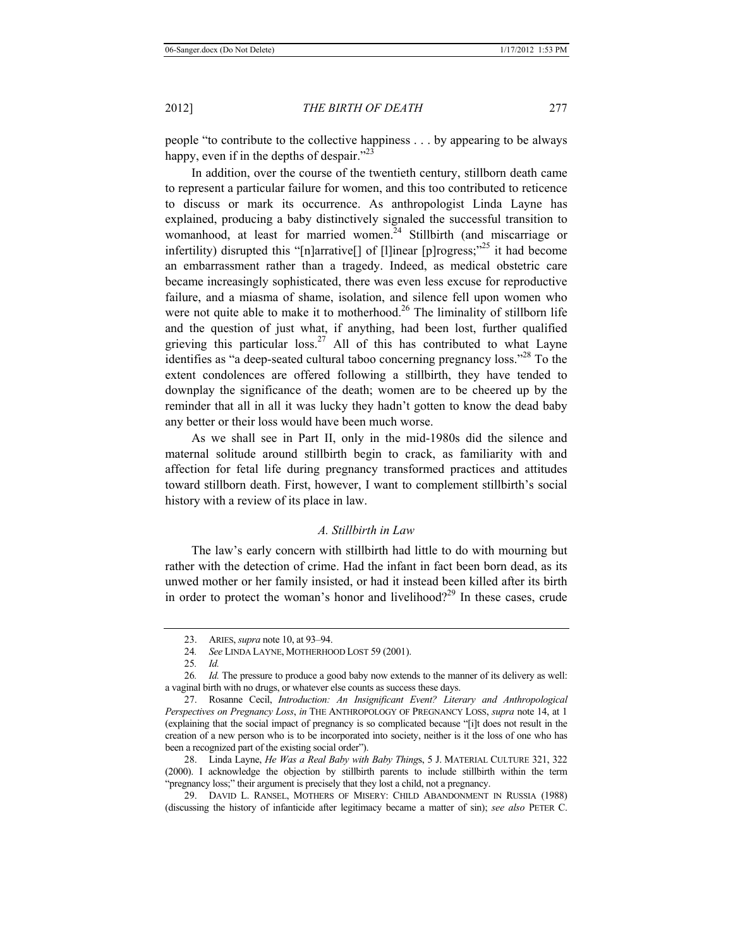people "to contribute to the collective happiness . . . by appearing to be always happy, even if in the depths of despair."<sup>23</sup>

In addition, over the course of the twentieth century, stillborn death came to represent a particular failure for women, and this too contributed to reticence to discuss or mark its occurrence. As anthropologist Linda Layne has explained, producing a baby distinctively signaled the successful transition to womanhood, at least for married women.<sup>24</sup> Stillbirth (and miscarriage or infertility) disrupted this "[n]arrative[] of [l]inear [p]rogress; $^{25}$  it had become an embarrassment rather than a tragedy. Indeed, as medical obstetric care became increasingly sophisticated, there was even less excuse for reproductive failure, and a miasma of shame, isolation, and silence fell upon women who were not quite able to make it to motherhood.<sup>26</sup> The liminality of stillborn life and the question of just what, if anything, had been lost, further qualified grieving this particular  $loss<sup>27</sup>$  All of this has contributed to what Layne identifies as "a deep-seated cultural taboo concerning pregnancy loss."28 To the extent condolences are offered following a stillbirth, they have tended to downplay the significance of the death; women are to be cheered up by the reminder that all in all it was lucky they hadn't gotten to know the dead baby any better or their loss would have been much worse.

As we shall see in Part II, only in the mid-1980s did the silence and maternal solitude around stillbirth begin to crack, as familiarity with and affection for fetal life during pregnancy transformed practices and attitudes toward stillborn death. First, however, I want to complement stillbirth's social history with a review of its place in law.

# *A. Stillbirth in Law*

The law's early concern with stillbirth had little to do with mourning but rather with the detection of crime. Had the infant in fact been born dead, as its unwed mother or her family insisted, or had it instead been killed after its birth in order to protect the woman's honor and livelihood?<sup>29</sup> In these cases, crude

<sup>23.</sup> ARIES, *supra* note 10, at 93–94.

<sup>24</sup>*. See* LINDA LAYNE, MOTHERHOOD LOST 59 (2001).

<sup>25</sup>*. Id.* 

<sup>26</sup>*. Id.* The pressure to produce a good baby now extends to the manner of its delivery as well: a vaginal birth with no drugs, or whatever else counts as success these days.

<sup>27.</sup> Rosanne Cecil, *Introduction: An Insignificant Event? Literary and Anthropological Perspectives on Pregnancy Loss*, *in* THE ANTHROPOLOGY OF PREGNANCY LOSS, *supra* note 14, at 1 (explaining that the social impact of pregnancy is so complicated because "[i]t does not result in the creation of a new person who is to be incorporated into society, neither is it the loss of one who has been a recognized part of the existing social order").

<sup>28.</sup> Linda Layne, *He Was a Real Baby with Baby Thing*s, 5 J. MATERIAL CULTURE 321, 322 (2000). I acknowledge the objection by stillbirth parents to include stillbirth within the term "pregnancy loss;" their argument is precisely that they lost a child, not a pregnancy.

<sup>29.</sup> DAVID L. RANSEL, MOTHERS OF MISERY: CHILD ABANDONMENT IN RUSSIA (1988) (discussing the history of infanticide after legitimacy became a matter of sin); *see also* PETER C.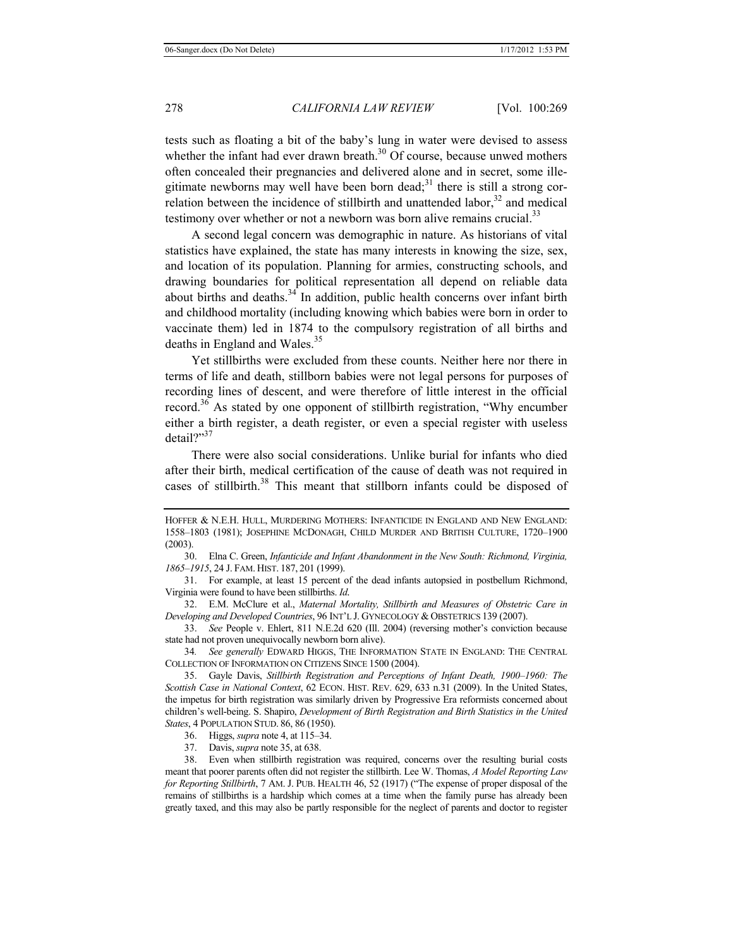tests such as floating a bit of the baby's lung in water were devised to assess whether the infant had ever drawn breath. $30$  Of course, because unwed mothers often concealed their pregnancies and delivered alone and in secret, some illegitimate newborns may well have been born dead;<sup>31</sup> there is still a strong correlation between the incidence of stillbirth and unattended labor, $32$  and medical testimony over whether or not a newborn was born alive remains crucial.<sup>33</sup>

A second legal concern was demographic in nature. As historians of vital statistics have explained, the state has many interests in knowing the size, sex, and location of its population. Planning for armies, constructing schools, and drawing boundaries for political representation all depend on reliable data about births and deaths. $34$  In addition, public health concerns over infant birth and childhood mortality (including knowing which babies were born in order to vaccinate them) led in 1874 to the compulsory registration of all births and deaths in England and Wales.<sup>35</sup>

Yet stillbirths were excluded from these counts. Neither here nor there in terms of life and death, stillborn babies were not legal persons for purposes of recording lines of descent, and were therefore of little interest in the official record.<sup>36</sup> As stated by one opponent of stillbirth registration, "Why encumber either a birth register, a death register, or even a special register with useless detail?"<sup>37</sup>

There were also social considerations. Unlike burial for infants who died after their birth, medical certification of the cause of death was not required in cases of stillbirth.<sup>38</sup> This meant that stillborn infants could be disposed of

30. Elna C. Green, *Infanticide and Infant Abandonment in the New South: Richmond, Virginia, 1865–1915*, 24 J. FAM. HIST. 187, 201 (1999).

31. For example, at least 15 percent of the dead infants autopsied in postbellum Richmond, Virginia were found to have been stillbirths. *Id.*

32. E.M. McClure et al., *Maternal Mortality, Stillbirth and Measures of Obstetric Care in Developing and Developed Countries*, 96 INT'L J. GYNECOLOGY & OBSTETRICS 139 (2007).

33. *See* People v. Ehlert, 811 N.E.2d 620 (Ill. 2004) (reversing mother's conviction because state had not proven unequivocally newborn born alive).

34*. See generally* EDWARD HIGGS, THE INFORMATION STATE IN ENGLAND: THE CENTRAL COLLECTION OF INFORMATION ON CITIZENS SINCE 1500 (2004).

35. Gayle Davis, *Stillbirth Registration and Perceptions of Infant Death, 1900–1960: The Scottish Case in National Context*, 62 ECON. HIST. REV. 629, 633 n.31 (2009). In the United States, the impetus for birth registration was similarly driven by Progressive Era reformists concerned about children's well-being. S. Shapiro, *Development of Birth Registration and Birth Statistics in the United States*, 4 POPULATION STUD. 86, 86 (1950).

36. Higgs, *supra* note 4, at 115–34.

37. Davis, *supra* note 35, at 638.

38. Even when stillbirth registration was required, concerns over the resulting burial costs meant that poorer parents often did not register the stillbirth. Lee W. Thomas, *A Model Reporting Law for Reporting Stillbirth*, 7 AM. J. PUB. HEALTH 46, 52 (1917) ("The expense of proper disposal of the remains of stillbirths is a hardship which comes at a time when the family purse has already been greatly taxed, and this may also be partly responsible for the neglect of parents and doctor to register

HOFFER & N.E.H. HULL, MURDERING MOTHERS: INFANTICIDE IN ENGLAND AND NEW ENGLAND: 1558–1803 (1981); JOSEPHINE MCDONAGH, CHILD MURDER AND BRITISH CULTURE, 1720–1900 (2003).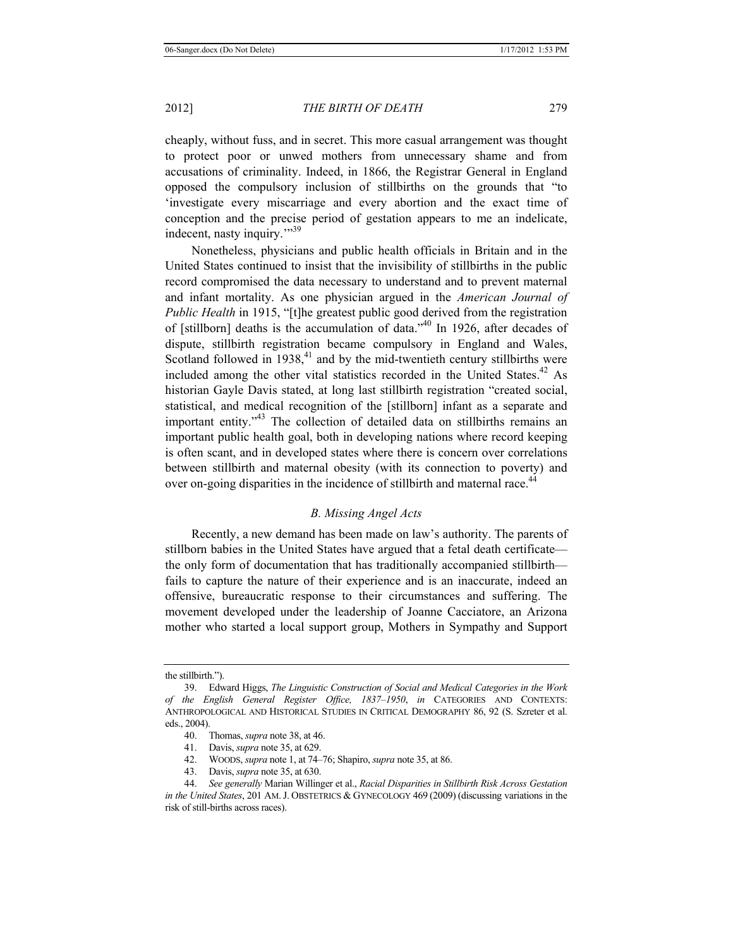cheaply, without fuss, and in secret. This more casual arrangement was thought to protect poor or unwed mothers from unnecessary shame and from accusations of criminality. Indeed, in 1866, the Registrar General in England opposed the compulsory inclusion of stillbirths on the grounds that "to 'investigate every miscarriage and every abortion and the exact time of conception and the precise period of gestation appears to me an indelicate, indecent, nasty inquiry."<sup>39</sup>

Nonetheless, physicians and public health officials in Britain and in the United States continued to insist that the invisibility of stillbirths in the public record compromised the data necessary to understand and to prevent maternal and infant mortality. As one physician argued in the *American Journal of Public Health* in 1915, "[t]he greatest public good derived from the registration of [stillborn] deaths is the accumulation of data."40 In 1926, after decades of dispute, stillbirth registration became compulsory in England and Wales, Scotland followed in  $1938<sub>1</sub><sup>41</sup>$  and by the mid-twentieth century stillbirths were included among the other vital statistics recorded in the United States.<sup>42</sup> As historian Gayle Davis stated, at long last stillbirth registration "created social, statistical, and medical recognition of the [stillborn] infant as a separate and important entity."<sup>43</sup> The collection of detailed data on stillbirths remains an important public health goal, both in developing nations where record keeping is often scant, and in developed states where there is concern over correlations between stillbirth and maternal obesity (with its connection to poverty) and over on-going disparities in the incidence of stillbirth and maternal race.<sup>44</sup>

## *B. Missing Angel Acts*

Recently, a new demand has been made on law's authority. The parents of stillborn babies in the United States have argued that a fetal death certificate the only form of documentation that has traditionally accompanied stillbirth fails to capture the nature of their experience and is an inaccurate, indeed an offensive, bureaucratic response to their circumstances and suffering. The movement developed under the leadership of Joanne Cacciatore, an Arizona mother who started a local support group, Mothers in Sympathy and Support

- 40. Thomas, *supra* note 38, at 46.
- 41. Davis, *supra* note 35, at 629.
- 42. WOODS, *supra* note 1, at 74–76; Shapiro, *supra* note 35, at 86.
- 43. Davis, *supra* note 35, at 630.

the stillbirth.").

<sup>39.</sup> Edward Higgs, *The Linguistic Construction of Social and Medical Categories in the Work of the English General Register Office, 1837–1950*, *in* CATEGORIES AND CONTEXTS: ANTHROPOLOGICAL AND HISTORICAL STUDIES IN CRITICAL DEMOGRAPHY 86, 92 (S. Szreter et al. eds., 2004).

<sup>44.</sup> *See generally* Marian Willinger et al., *Racial Disparities in Stillbirth Risk Across Gestation in the United States*, 201 AM.J. OBSTETRICS & GYNECOLOGY 469 (2009) (discussing variations in the risk of still-births across races).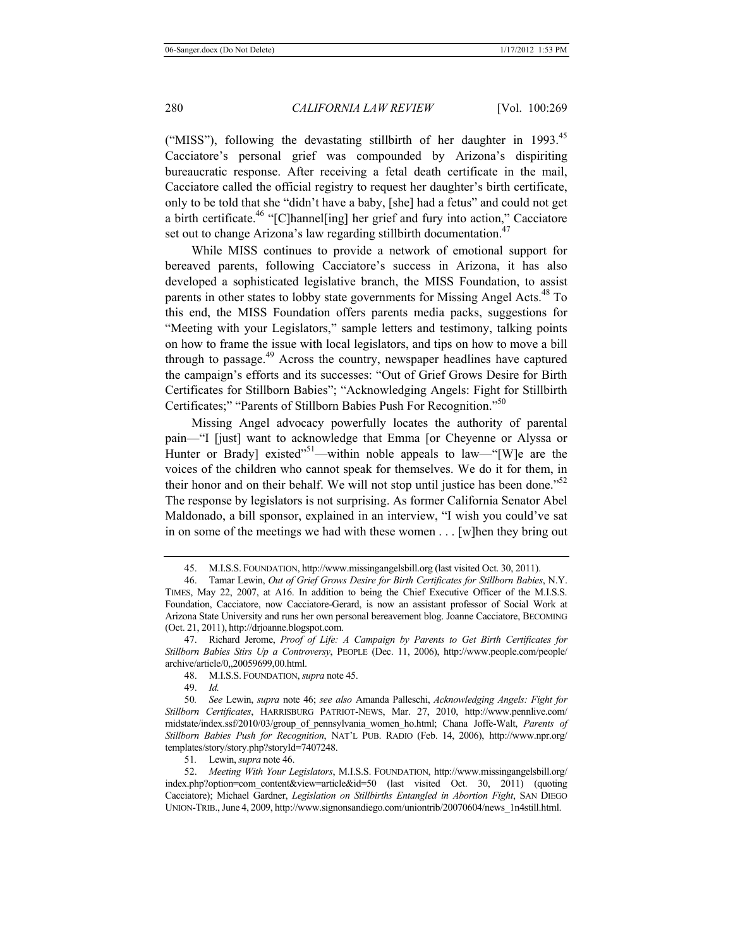("MISS"), following the devastating stillbirth of her daughter in  $1993$ <sup>45</sup> Cacciatore's personal grief was compounded by Arizona's dispiriting bureaucratic response. After receiving a fetal death certificate in the mail, Cacciatore called the official registry to request her daughter's birth certificate, only to be told that she "didn't have a baby, [she] had a fetus" and could not get a birth certificate.46 "[C]hannel[ing] her grief and fury into action," Cacciatore set out to change Arizona's law regarding stillbirth documentation.<sup>47</sup>

While MISS continues to provide a network of emotional support for bereaved parents, following Cacciatore's success in Arizona, it has also developed a sophisticated legislative branch, the MISS Foundation, to assist parents in other states to lobby state governments for Missing Angel Acts.<sup>48</sup> To this end, the MISS Foundation offers parents media packs, suggestions for "Meeting with your Legislators," sample letters and testimony, talking points on how to frame the issue with local legislators, and tips on how to move a bill through to passage.<sup>49</sup> Across the country, newspaper headlines have captured the campaign's efforts and its successes: "Out of Grief Grows Desire for Birth Certificates for Stillborn Babies"; "Acknowledging Angels: Fight for Stillbirth Certificates;" "Parents of Stillborn Babies Push For Recognition."50

Missing Angel advocacy powerfully locates the authority of parental pain—"I [just] want to acknowledge that Emma [or Cheyenne or Alyssa or Hunter or Brady] existed<sup>"51</sup>—within noble appeals to law—"[W]e are the voices of the children who cannot speak for themselves. We do it for them, in their honor and on their behalf. We will not stop until justice has been done." $52$ The response by legislators is not surprising. As former California Senator Abel Maldonado, a bill sponsor, explained in an interview, "I wish you could've sat in on some of the meetings we had with these women . . . [w]hen they bring out

49. *Id.*

50*. See* Lewin, *supra* note 46; *see also* Amanda Palleschi, *Acknowledging Angels: Fight for Stillborn Certificates*, HARRISBURG PATRIOT-NEWS, Mar. 27, 2010, http://www.pennlive.com/ midstate/index.ssf/2010/03/group\_of\_pennsylvania\_women\_ho.html; Chana Joffe-Walt, *Parents of Stillborn Babies Push for Recognition*, NAT'L PUB. RADIO (Feb. 14, 2006), http://www.npr.org/ templates/story/story.php?storyId=7407248.

51*.* Lewin, *supra* note 46.

52. *Meeting With Your Legislators*, M.I.S.S. FOUNDATION, http://www.missingangelsbill.org/ index.php?option=com\_content&view=article&id=50 (last visited Oct. 30, 2011) (quoting Cacciatore); Michael Gardner, *Legislation on Stillbirths Entangled in Abortion Fight*, SAN DIEGO UNION-TRIB.,June 4, 2009, http://www.signonsandiego.com/uniontrib/20070604/news\_1n4still.html.

<sup>45.</sup> M.I.S.S. FOUNDATION, http://www.missingangelsbill.org (last visited Oct. 30, 2011).

<sup>46.</sup> Tamar Lewin, *Out of Grief Grows Desire for Birth Certificates for Stillborn Babies*, N.Y. TIMES, May 22, 2007, at A16. In addition to being the Chief Executive Officer of the M.I.S.S. Foundation, Cacciatore, now Cacciatore-Gerard, is now an assistant professor of Social Work at Arizona State University and runs her own personal bereavement blog. Joanne Cacciatore, BECOMING (Oct. 21, 2011), http://drjoanne.blogspot.com.

<sup>47.</sup> Richard Jerome, *Proof of Life: A Campaign by Parents to Get Birth Certificates for Stillborn Babies Stirs Up a Controversy*, PEOPLE (Dec. 11, 2006), http://www.people.com/people/ archive/article/0,,20059699,00.html.

<sup>48.</sup> M.I.S.S. FOUNDATION, *supra* note 45.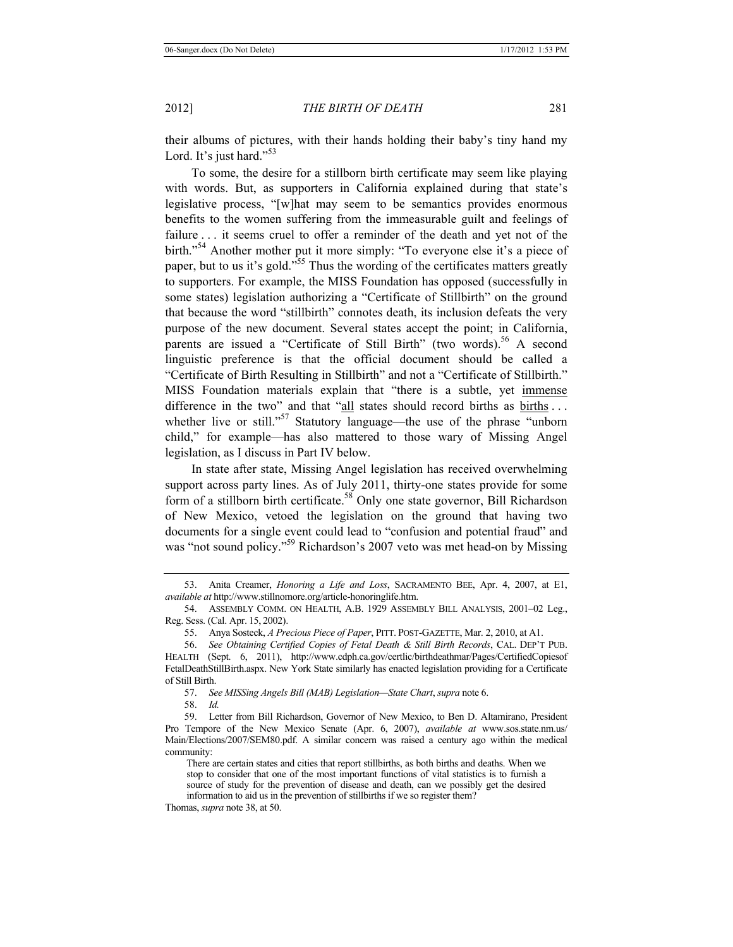their albums of pictures, with their hands holding their baby's tiny hand my Lord. It's just hard." $53$ 

To some, the desire for a stillborn birth certificate may seem like playing with words. But, as supporters in California explained during that state's legislative process, "[w]hat may seem to be semantics provides enormous benefits to the women suffering from the immeasurable guilt and feelings of failure . . . it seems cruel to offer a reminder of the death and yet not of the birth."54 Another mother put it more simply: "To everyone else it's a piece of paper, but to us it's gold."<sup>55</sup> Thus the wording of the certificates matters greatly to supporters. For example, the MISS Foundation has opposed (successfully in some states) legislation authorizing a "Certificate of Stillbirth" on the ground that because the word "stillbirth" connotes death, its inclusion defeats the very purpose of the new document. Several states accept the point; in California, parents are issued a "Certificate of Still Birth" (two words).<sup>56</sup> A second linguistic preference is that the official document should be called a "Certificate of Birth Resulting in Stillbirth" and not a "Certificate of Stillbirth." MISS Foundation materials explain that "there is a subtle, yet immense difference in the two" and that "all states should record births as births ... whether live or still."<sup>57</sup> Statutory language—the use of the phrase "unborn" child," for example—has also mattered to those wary of Missing Angel legislation, as I discuss in Part IV below.

In state after state, Missing Angel legislation has received overwhelming support across party lines. As of July 2011, thirty-one states provide for some form of a stillborn birth certificate.<sup>58</sup> Only one state governor, Bill Richardson of New Mexico, vetoed the legislation on the ground that having two documents for a single event could lead to "confusion and potential fraud" and was "not sound policy."<sup>59</sup> Richardson's 2007 veto was met head-on by Missing

57. *See MISSing Angels Bill (MAB) Legislation—State Chart*, *supra* note 6.

<sup>53.</sup> Anita Creamer, *Honoring a Life and Loss*, SACRAMENTO BEE, Apr. 4, 2007, at E1, *available at* http://www.stillnomore.org/article-honoringlife.htm.

<sup>54.</sup> ASSEMBLY COMM. ON HEALTH, A.B. 1929 ASSEMBLY BILL ANALYSIS, 2001–02 Leg., Reg. Sess. (Cal. Apr. 15, 2002).

<sup>55.</sup> Anya Sosteck, *A Precious Piece of Paper*, PITT. POST-GAZETTE, Mar. 2, 2010, at A1.

<sup>56.</sup> *See Obtaining Certified Copies of Fetal Death & Still Birth Records*, CAL. DEP'T PUB. HEALTH (Sept. 6, 2011), http://www.cdph.ca.gov/certlic/birthdeathmar/Pages/CertifiedCopiesof FetalDeathStillBirth.aspx. New York State similarly has enacted legislation providing for a Certificate of Still Birth.

<sup>58.</sup> *Id.*

<sup>59.</sup> Letter from Bill Richardson, Governor of New Mexico, to Ben D. Altamirano, President Pro Tempore of the New Mexico Senate (Apr. 6, 2007), *available at* www.sos.state.nm.us/ Main/Elections/2007/SEM80.pdf. A similar concern was raised a century ago within the medical community:

There are certain states and cities that report stillbirths, as both births and deaths. When we stop to consider that one of the most important functions of vital statistics is to furnish a source of study for the prevention of disease and death, can we possibly get the desired information to aid us in the prevention of stillbirths if we so register them?

Thomas, *supra* note 38, at 50.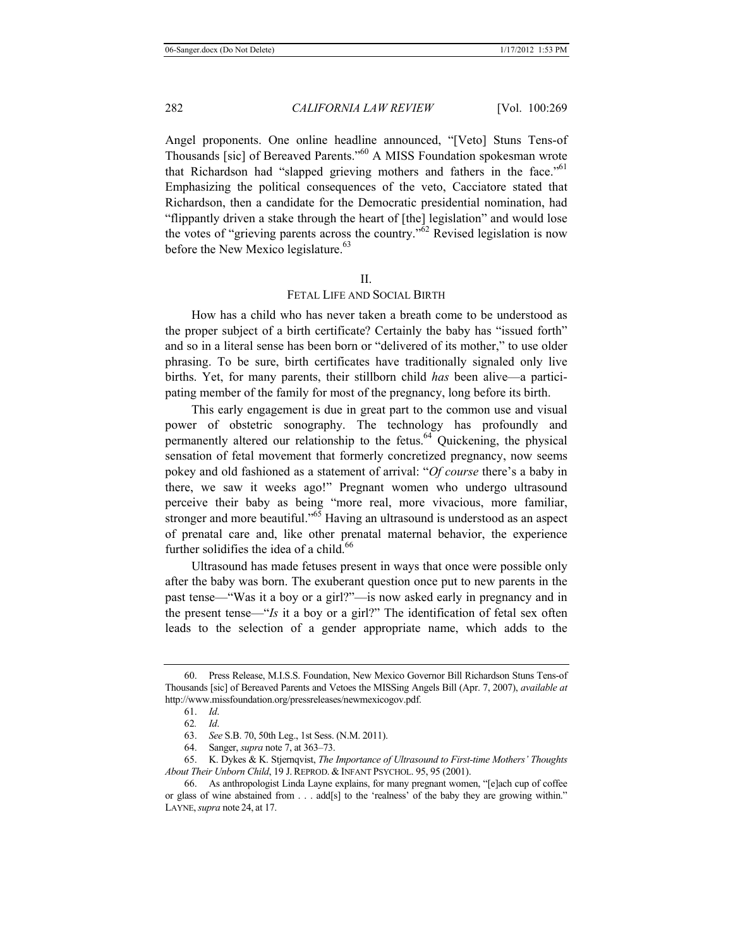Angel proponents. One online headline announced, "[Veto] Stuns Tens-of Thousands [sic] of Bereaved Parents."60 A MISS Foundation spokesman wrote that Richardson had "slapped grieving mothers and fathers in the face."<sup>61</sup> Emphasizing the political consequences of the veto, Cacciatore stated that Richardson, then a candidate for the Democratic presidential nomination, had "flippantly driven a stake through the heart of [the] legislation" and would lose the votes of "grieving parents across the country."62 Revised legislation is now before the New Mexico legislature.<sup>63</sup>

#### $II$ .

## FETAL LIFE AND SOCIAL BIRTH

How has a child who has never taken a breath come to be understood as the proper subject of a birth certificate? Certainly the baby has "issued forth" and so in a literal sense has been born or "delivered of its mother," to use older phrasing. To be sure, birth certificates have traditionally signaled only live births. Yet, for many parents, their stillborn child *has* been alive—a participating member of the family for most of the pregnancy, long before its birth.

This early engagement is due in great part to the common use and visual power of obstetric sonography. The technology has profoundly and permanently altered our relationship to the fetus.<sup>64</sup> Quickening, the physical sensation of fetal movement that formerly concretized pregnancy, now seems pokey and old fashioned as a statement of arrival: "*Of course* there's a baby in there, we saw it weeks ago!" Pregnant women who undergo ultrasound perceive their baby as being "more real, more vivacious, more familiar, stronger and more beautiful." $65$  Having an ultrasound is understood as an aspect of prenatal care and, like other prenatal maternal behavior, the experience further solidifies the idea of a child.<sup>66</sup>

Ultrasound has made fetuses present in ways that once were possible only after the baby was born. The exuberant question once put to new parents in the past tense—"Was it a boy or a girl?"—is now asked early in pregnancy and in the present tense—"*Is* it a boy or a girl?" The identification of fetal sex often leads to the selection of a gender appropriate name, which adds to the

<sup>60.</sup> Press Release, M.I.S.S. Foundation, New Mexico Governor Bill Richardson Stuns Tens-of Thousands [sic] of Bereaved Parents and Vetoes the MISSing Angels Bill (Apr. 7, 2007), *available at*  http://www.missfoundation.org/pressreleases/newmexicogov.pdf.

<sup>61.</sup> *Id*.

<sup>62</sup>*. Id*.

<sup>63.</sup> *See* S.B. 70, 50th Leg., 1st Sess. (N.M. 2011).

<sup>64.</sup> Sanger, *supra* note 7, at 363–73.

<sup>65.</sup> K. Dykes & K. Stjernqvist, *The Importance of Ultrasound to First-time Mothers' Thoughts About Their Unborn Child*, 19 J. REPROD. & INFANT PSYCHOL. 95, 95 (2001).

<sup>66.</sup> As anthropologist Linda Layne explains, for many pregnant women, "[e]ach cup of coffee or glass of wine abstained from . . . add[s] to the 'realness' of the baby they are growing within." LAYNE,*supra* note 24, at 17.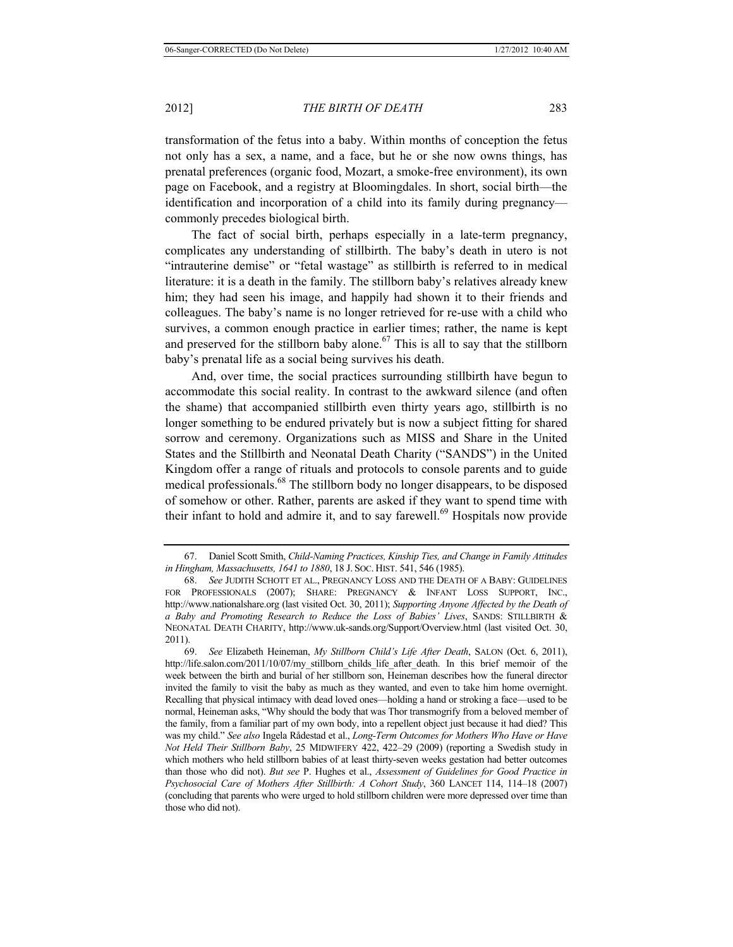transformation of the fetus into a baby. Within months of conception the fetus not only has a sex, a name, and a face, but he or she now owns things, has prenatal preferences (organic food, Mozart, a smoke-free environment), its own page on Facebook, and a registry at Bloomingdales. In short, social birth—the identification and incorporation of a child into its family during pregnancy commonly precedes biological birth.

The fact of social birth, perhaps especially in a late-term pregnancy, complicates any understanding of stillbirth. The baby's death in utero is not "intrauterine demise" or "fetal wastage" as stillbirth is referred to in medical literature: it is a death in the family. The stillborn baby's relatives already knew him; they had seen his image, and happily had shown it to their friends and colleagues. The baby's name is no longer retrieved for re-use with a child who survives, a common enough practice in earlier times; rather, the name is kept and preserved for the stillborn baby alone.<sup>67</sup> This is all to say that the stillborn baby's prenatal life as a social being survives his death.

And, over time, the social practices surrounding stillbirth have begun to accommodate this social reality. In contrast to the awkward silence (and often the shame) that accompanied stillbirth even thirty years ago, stillbirth is no longer something to be endured privately but is now a subject fitting for shared sorrow and ceremony. Organizations such as MISS and Share in the United States and the Stillbirth and Neonatal Death Charity ("SANDS") in the United Kingdom offer a range of rituals and protocols to console parents and to guide medical professionals.<sup>68</sup> The stillborn body no longer disappears, to be disposed of somehow or other. Rather, parents are asked if they want to spend time with their infant to hold and admire it, and to say farewell.<sup>69</sup> Hospitals now provide

<sup>67.</sup> Daniel Scott Smith, *Child-Naming Practices, Kinship Ties, and Change in Family Attitudes in Hingham, Massachusetts, 1641 to 1880*, 18 J. SOC. HIST. 541, 546 (1985).

<sup>68.</sup> *See* JUDITH SCHOTT ET AL., PREGNANCY LOSS AND THE DEATH OF A BABY: GUIDELINES FOR PROFESSIONALS (2007); SHARE: PREGNANCY & INFANT LOSS SUPPORT, INC., http://www.nationalshare.org (last visited Oct. 30, 2011); *Supporting Anyone Affected by the Death of a Baby and Promoting Research to Reduce the Loss of Babies' Lives*, SANDS: STILLBIRTH & NEONATAL DEATH CHARITY, http://www.uk-sands.org/Support/Overview.html (last visited Oct. 30, 2011).

<sup>69.</sup> *See* Elizabeth Heineman, *My Stillborn Child's Life After Death*, SALON (Oct. 6, 2011), http://life.salon.com/2011/10/07/my\_stillborn\_childs\_life\_after\_death. In this brief memoir of the week between the birth and burial of her stillborn son, Heineman describes how the funeral director invited the family to visit the baby as much as they wanted, and even to take him home overnight. Recalling that physical intimacy with dead loved ones—holding a hand or stroking a face—used to be normal, Heineman asks, "Why should the body that was Thor transmogrify from a beloved member of the family, from a familiar part of my own body, into a repellent object just because it had died? This was my child." *See also* Ingela Rådestad et al., *Long-Term Outcomes for Mothers Who Have or Have Not Held Their Stillborn Baby*, 25 MIDWIFERY 422, 422–29 (2009) (reporting a Swedish study in which mothers who held stillborn babies of at least thirty-seven weeks gestation had better outcomes than those who did not). *But see* P. Hughes et al., *Assessment of Guidelines for Good Practice in Psychosocial Care of Mothers After Stillbirth: A Cohort Study*, 360 LANCET 114, 114–18 (2007) (concluding that parents who were urged to hold stillborn children were more depressed over time than those who did not).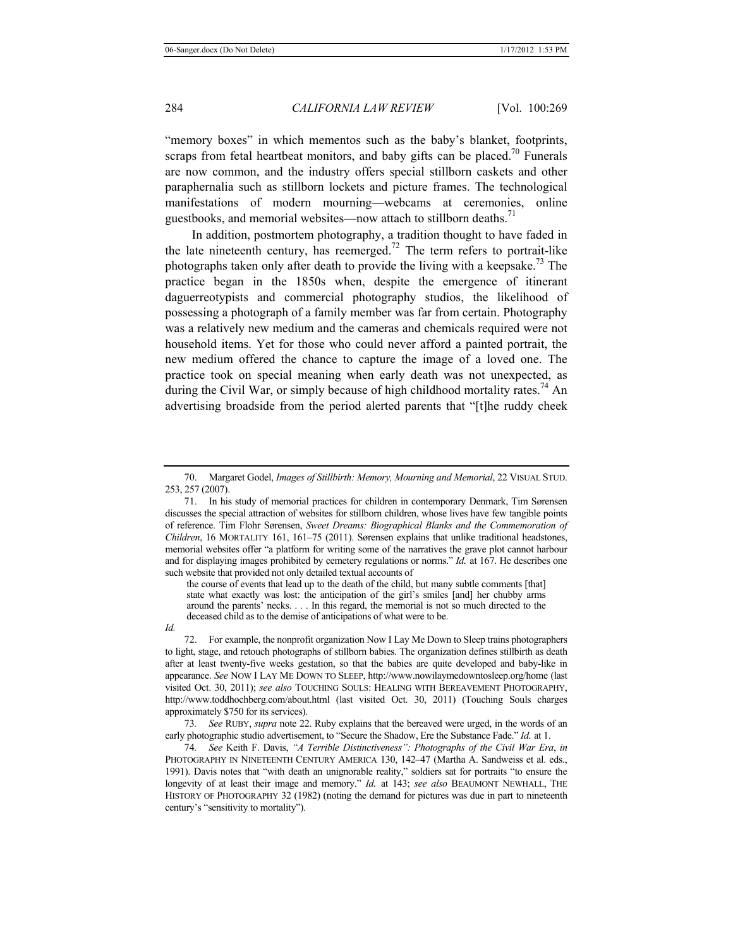"memory boxes" in which mementos such as the baby's blanket, footprints, scraps from fetal heartbeat monitors, and baby gifts can be placed.<sup>70</sup> Funerals are now common, and the industry offers special stillborn caskets and other paraphernalia such as stillborn lockets and picture frames. The technological manifestations of modern mourning—webcams at ceremonies, online guestbooks, and memorial websites—now attach to stillborn deaths.<sup>71</sup>

In addition, postmortem photography, a tradition thought to have faded in the late nineteenth century, has reemerged.<sup>72</sup> The term refers to portrait-like photographs taken only after death to provide the living with a keepsake.<sup>73</sup> The practice began in the 1850s when, despite the emergence of itinerant daguerreotypists and commercial photography studios, the likelihood of possessing a photograph of a family member was far from certain. Photography was a relatively new medium and the cameras and chemicals required were not household items. Yet for those who could never afford a painted portrait, the new medium offered the chance to capture the image of a loved one. The practice took on special meaning when early death was not unexpected, as during the Civil War, or simply because of high childhood mortality rates.<sup>74</sup> An advertising broadside from the period alerted parents that "[t]he ruddy cheek

71. In his study of memorial practices for children in contemporary Denmark, Tim Sørensen discusses the special attraction of websites for stillborn children, whose lives have few tangible points of reference. Tim Flohr Sørensen, *Sweet Dreams: Biographical Blanks and the Commemoration of Children*, 16 MORTALITY 161, 161–75 (2011). Sørensen explains that unlike traditional headstones, memorial websites offer "a platform for writing some of the narratives the grave plot cannot harbour and for displaying images prohibited by cemetery regulations or norms." *Id.* at 167. He describes one such website that provided not only detailed textual accounts of

the course of events that lead up to the death of the child, but many subtle comments [that] state what exactly was lost: the anticipation of the girl's smiles [and] her chubby arms around the parents' necks. . . . In this regard, the memorial is not so much directed to the deceased child as to the demise of anticipations of what were to be.

*Id.*

72. For example, the nonprofit organization Now I Lay Me Down to Sleep trains photographers to light, stage, and retouch photographs of stillborn babies. The organization defines stillbirth as death after at least twenty-five weeks gestation, so that the babies are quite developed and baby-like in appearance. *See* NOW I LAY ME DOWN TO SLEEP, http://www.nowilaymedowntosleep.org/home (last visited Oct. 30, 2011); *see also* TOUCHING SOULS: HEALING WITH BEREAVEMENT PHOTOGRAPHY, http://www.toddhochberg.com/about.html (last visited Oct. 30, 2011) (Touching Souls charges approximately \$750 for its services).

73*. See* RUBY, *supra* note 22. Ruby explains that the bereaved were urged, in the words of an early photographic studio advertisement, to "Secure the Shadow, Ere the Substance Fade." *Id.* at 1.

74*. See* Keith F. Davis, *"A Terrible Distinctiveness": Photographs of the Civil War Era*, *in* PHOTOGRAPHY IN NINETEENTH CENTURY AMERICA 130, 142–47 (Martha A. Sandweiss et al. eds., 1991). Davis notes that "with death an unignorable reality," soldiers sat for portraits "to ensure the longevity of at least their image and memory." *Id.* at 143; *see also* BEAUMONT NEWHALL, THE HISTORY OF PHOTOGRAPHY 32 (1982) (noting the demand for pictures was due in part to nineteenth century's "sensitivity to mortality").

<sup>70.</sup> Margaret Godel, *Images of Stillbirth: Memory, Mourning and Memorial*, 22 VISUAL STUD. 253, 257 (2007).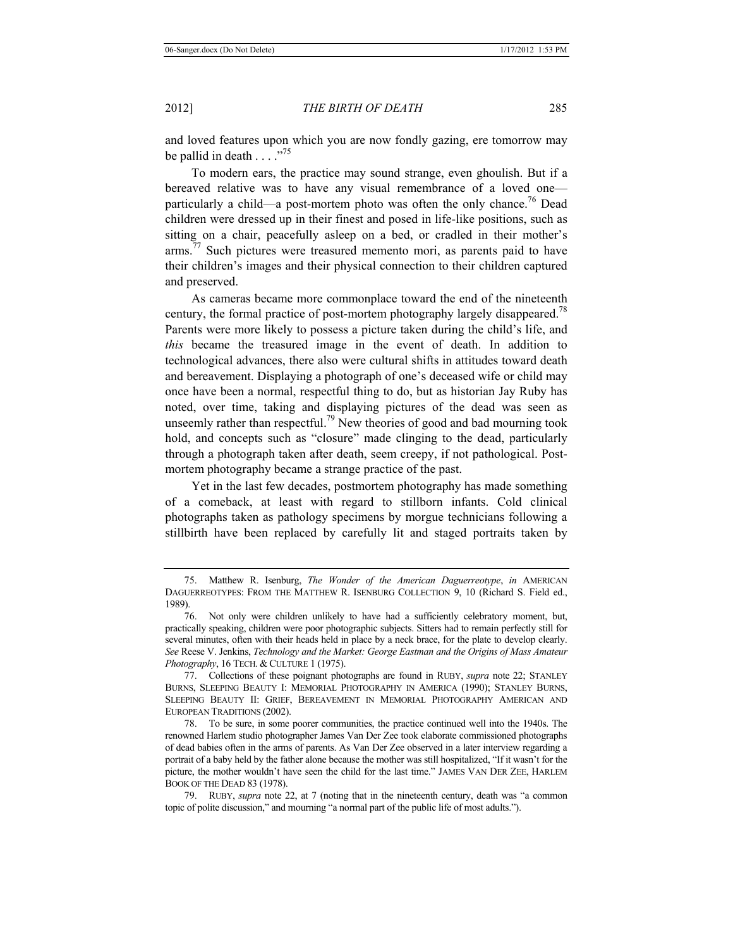and loved features upon which you are now fondly gazing, ere tomorrow may be pallid in death . . . ."75

To modern ears, the practice may sound strange, even ghoulish. But if a bereaved relative was to have any visual remembrance of a loved one particularly a child—a post-mortem photo was often the only chance.<sup>76</sup> Dead children were dressed up in their finest and posed in life-like positions, such as sitting on a chair, peacefully asleep on a bed, or cradled in their mother's arms.<sup>77</sup> Such pictures were treasured memento mori, as parents paid to have their children's images and their physical connection to their children captured and preserved.

As cameras became more commonplace toward the end of the nineteenth century, the formal practice of post-mortem photography largely disappeared.<sup>78</sup> Parents were more likely to possess a picture taken during the child's life, and *this* became the treasured image in the event of death. In addition to technological advances, there also were cultural shifts in attitudes toward death and bereavement. Displaying a photograph of one's deceased wife or child may once have been a normal, respectful thing to do, but as historian Jay Ruby has noted, over time, taking and displaying pictures of the dead was seen as unseemly rather than respectful.<sup>79</sup> New theories of good and bad mourning took hold, and concepts such as "closure" made clinging to the dead, particularly through a photograph taken after death, seem creepy, if not pathological. Postmortem photography became a strange practice of the past.

Yet in the last few decades, postmortem photography has made something of a comeback, at least with regard to stillborn infants. Cold clinical photographs taken as pathology specimens by morgue technicians following a stillbirth have been replaced by carefully lit and staged portraits taken by

<sup>75.</sup> Matthew R. Isenburg, *The Wonder of the American Daguerreotype*, *in* AMERICAN DAGUERREOTYPES: FROM THE MATTHEW R. ISENBURG COLLECTION 9, 10 (Richard S. Field ed., 1989).

<sup>76.</sup> Not only were children unlikely to have had a sufficiently celebratory moment, but, practically speaking, children were poor photographic subjects. Sitters had to remain perfectly still for several minutes, often with their heads held in place by a neck brace, for the plate to develop clearly. *See* Reese V. Jenkins, *Technology and the Market: George Eastman and the Origins of Mass Amateur Photography*, 16 TECH. & CULTURE 1 (1975).

<sup>77.</sup> Collections of these poignant photographs are found in RUBY, *supra* note 22; STANLEY BURNS, SLEEPING BEAUTY I: MEMORIAL PHOTOGRAPHY IN AMERICA (1990); STANLEY BURNS, SLEEPING BEAUTY II: GRIEF, BEREAVEMENT IN MEMORIAL PHOTOGRAPHY AMERICAN AND EUROPEAN TRADITIONS (2002).

<sup>78.</sup> To be sure, in some poorer communities, the practice continued well into the 1940s. The renowned Harlem studio photographer James Van Der Zee took elaborate commissioned photographs of dead babies often in the arms of parents. As Van Der Zee observed in a later interview regarding a portrait of a baby held by the father alone because the mother was still hospitalized, "If it wasn't for the picture, the mother wouldn't have seen the child for the last time." JAMES VAN DER ZEE, HARLEM BOOK OF THE DEAD 83 (1978).

<sup>79.</sup> RUBY, *supra* note 22, at 7 (noting that in the nineteenth century, death was "a common topic of polite discussion," and mourning "a normal part of the public life of most adults.").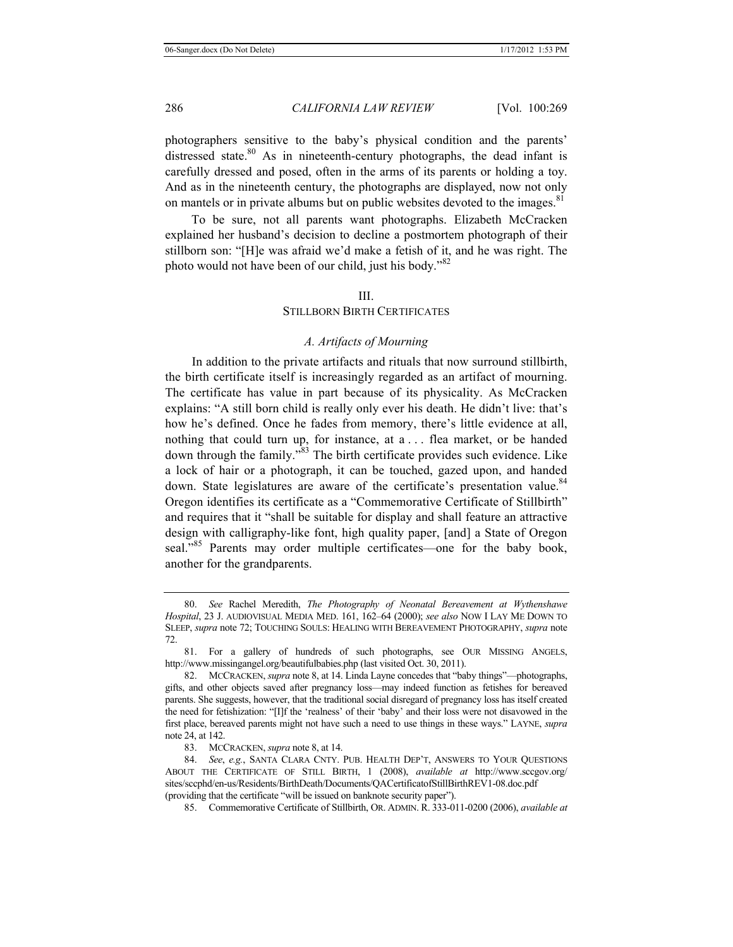photographers sensitive to the baby's physical condition and the parents' distressed state.<sup>80</sup> As in nineteenth-century photographs, the dead infant is carefully dressed and posed, often in the arms of its parents or holding a toy. And as in the nineteenth century, the photographs are displayed, now not only on mantels or in private albums but on public websites devoted to the images.<sup>81</sup>

To be sure, not all parents want photographs. Elizabeth McCracken explained her husband's decision to decline a postmortem photograph of their stillborn son: "[H]e was afraid we'd make a fetish of it, and he was right. The photo would not have been of our child, just his body."<sup>82</sup>

#### III.

## STILLBORN BIRTH CERTIFICATES

#### *A. Artifacts of Mourning*

In addition to the private artifacts and rituals that now surround stillbirth, the birth certificate itself is increasingly regarded as an artifact of mourning. The certificate has value in part because of its physicality. As McCracken explains: "A still born child is really only ever his death. He didn't live: that's how he's defined. Once he fades from memory, there's little evidence at all, nothing that could turn up, for instance, at a . . . flea market, or be handed down through the family."83 The birth certificate provides such evidence. Like a lock of hair or a photograph, it can be touched, gazed upon, and handed down. State legislatures are aware of the certificate's presentation value.<sup>84</sup> Oregon identifies its certificate as a "Commemorative Certificate of Stillbirth" and requires that it "shall be suitable for display and shall feature an attractive design with calligraphy-like font, high quality paper, [and] a State of Oregon seal."<sup>85</sup> Parents may order multiple certificates—one for the baby book, another for the grandparents.

<sup>80.</sup> *See* Rachel Meredith, *The Photography of Neonatal Bereavement at Wythenshawe Hospital*, 23 J. AUDIOVISUAL MEDIA MED. 161, 162–64 (2000); *see also* NOW I LAY ME DOWN TO SLEEP, *supra* note 72; TOUCHING SOULS: HEALING WITH BEREAVEMENT PHOTOGRAPHY, *supra* note 72.

<sup>81.</sup> For a gallery of hundreds of such photographs, see OUR MISSING ANGELS, http://www.missingangel.org/beautifulbabies.php (last visited Oct. 30, 2011).

<sup>82.</sup> MCCRACKEN, *supra* note 8, at 14. Linda Layne concedes that "baby things"—photographs, gifts, and other objects saved after pregnancy loss—may indeed function as fetishes for bereaved parents. She suggests, however, that the traditional social disregard of pregnancy loss has itself created the need for fetishization: "[I]f the 'realness' of their 'baby' and their loss were not disavowed in the first place, bereaved parents might not have such a need to use things in these ways." LAYNE, *supra*  note 24, at 142.

<sup>83.</sup> MCCRACKEN, *supra* note 8, at 14.

<sup>84.</sup> *See*, *e.g.*, SANTA CLARA CNTY. PUB. HEALTH DEP'T, ANSWERS TO YOUR QUESTIONS ABOUT THE CERTIFICATE OF STILL BIRTH, 1 (2008), *available at* http://www.sccgov.org/ sites/sccphd/en-us/Residents/BirthDeath/Documents/QACertificatofStillBirthREV1-08.doc.pdf (providing that the certificate "will be issued on banknote security paper").

<sup>85.</sup> Commemorative Certificate of Stillbirth, OR. ADMIN. R. 333-011-0200 (2006), *available at*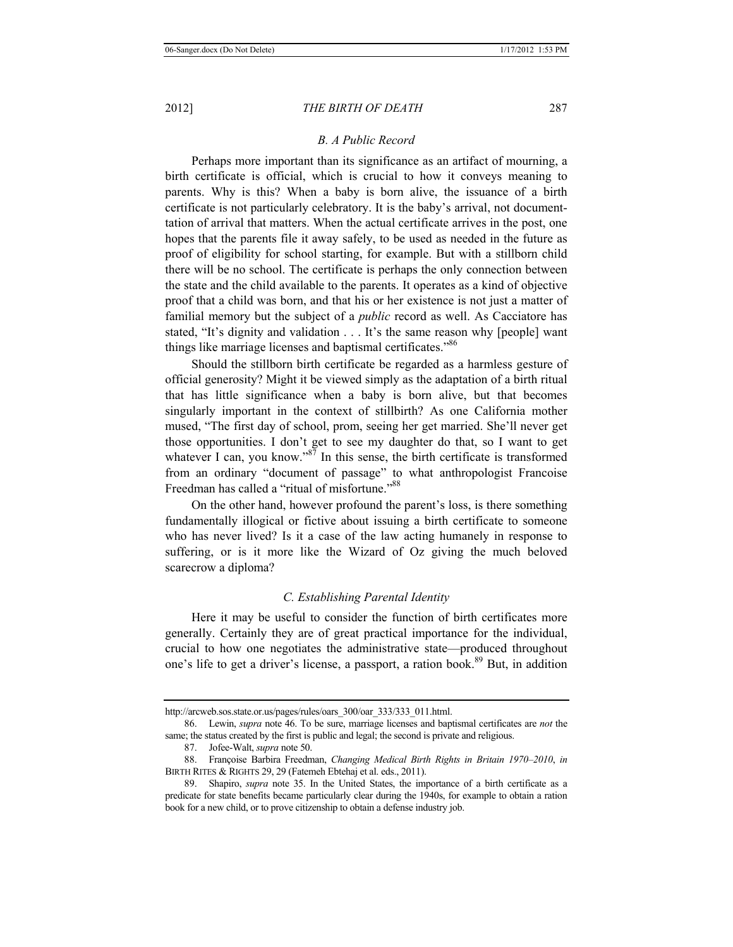# *B. A Public Record*

Perhaps more important than its significance as an artifact of mourning, a birth certificate is official, which is crucial to how it conveys meaning to parents. Why is this? When a baby is born alive, the issuance of a birth certificate is not particularly celebratory. It is the baby's arrival, not documenttation of arrival that matters. When the actual certificate arrives in the post, one hopes that the parents file it away safely, to be used as needed in the future as proof of eligibility for school starting, for example. But with a stillborn child there will be no school. The certificate is perhaps the only connection between the state and the child available to the parents. It operates as a kind of objective proof that a child was born, and that his or her existence is not just a matter of familial memory but the subject of a *public* record as well. As Cacciatore has stated, "It's dignity and validation . . . It's the same reason why [people] want things like marriage licenses and baptismal certificates."<sup>86</sup>

Should the stillborn birth certificate be regarded as a harmless gesture of official generosity? Might it be viewed simply as the adaptation of a birth ritual that has little significance when a baby is born alive, but that becomes singularly important in the context of stillbirth? As one California mother mused, "The first day of school, prom, seeing her get married. She'll never get those opportunities. I don't get to see my daughter do that, so I want to get whatever I can, you know."<sup>87</sup> In this sense, the birth certificate is transformed from an ordinary "document of passage" to what anthropologist Francoise Freedman has called a "ritual of misfortune."<sup>88</sup>

On the other hand, however profound the parent's loss, is there something fundamentally illogical or fictive about issuing a birth certificate to someone who has never lived? Is it a case of the law acting humanely in response to suffering, or is it more like the Wizard of Oz giving the much beloved scarecrow a diploma?

## *C. Establishing Parental Identity*

Here it may be useful to consider the function of birth certificates more generally. Certainly they are of great practical importance for the individual, crucial to how one negotiates the administrative state—produced throughout one's life to get a driver's license, a passport, a ration book.<sup>89</sup> But, in addition

http://arcweb.sos.state.or.us/pages/rules/oars\_300/oar\_333/333\_011.html.

<sup>86.</sup> Lewin, *supra* note 46. To be sure, marriage licenses and baptismal certificates are *not* the same; the status created by the first is public and legal; the second is private and religious.

<sup>87.</sup> Jofee-Walt, *supra* note 50.

<sup>88.</sup> Françoise Barbira Freedman, *Changing Medical Birth Rights in Britain 1970–2010*, *in* BIRTH RITES & RIGHTS 29, 29 (Fatemeh Ebtehaj et al. eds., 2011).

<sup>89.</sup> Shapiro, *supra* note 35. In the United States, the importance of a birth certificate as a predicate for state benefits became particularly clear during the 1940s, for example to obtain a ration book for a new child, or to prove citizenship to obtain a defense industry job.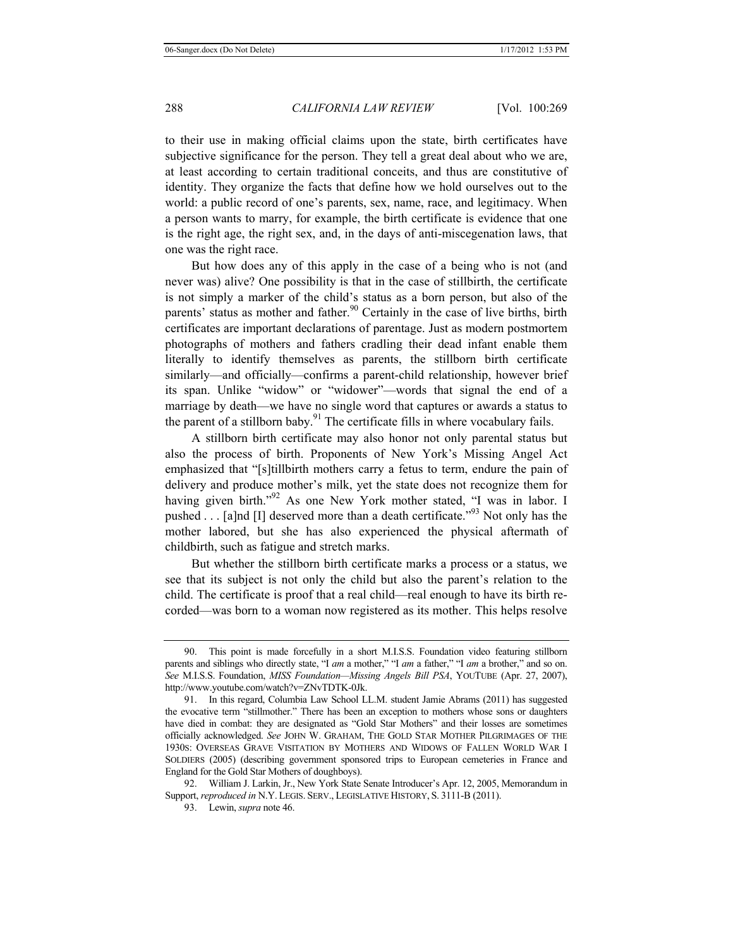to their use in making official claims upon the state, birth certificates have subjective significance for the person. They tell a great deal about who we are, at least according to certain traditional conceits, and thus are constitutive of identity. They organize the facts that define how we hold ourselves out to the world: a public record of one's parents, sex, name, race, and legitimacy. When a person wants to marry, for example, the birth certificate is evidence that one is the right age, the right sex, and, in the days of anti-miscegenation laws, that one was the right race.

But how does any of this apply in the case of a being who is not (and never was) alive? One possibility is that in the case of stillbirth, the certificate is not simply a marker of the child's status as a born person, but also of the parents' status as mother and father.<sup>90</sup> Certainly in the case of live births, birth certificates are important declarations of parentage. Just as modern postmortem photographs of mothers and fathers cradling their dead infant enable them literally to identify themselves as parents, the stillborn birth certificate similarly—and officially—confirms a parent-child relationship, however brief its span. Unlike "widow" or "widower"—words that signal the end of a marriage by death—we have no single word that captures or awards a status to the parent of a stillborn baby.<sup>91</sup> The certificate fills in where vocabulary fails.

A stillborn birth certificate may also honor not only parental status but also the process of birth. Proponents of New York's Missing Angel Act emphasized that "[s]tillbirth mothers carry a fetus to term, endure the pain of delivery and produce mother's milk, yet the state does not recognize them for having given birth."<sup>92</sup> As one New York mother stated, "I was in labor. I pushed . . . [a]nd [I] deserved more than a death certificate.<sup>"93</sup> Not only has the mother labored, but she has also experienced the physical aftermath of childbirth, such as fatigue and stretch marks.

But whether the stillborn birth certificate marks a process or a status, we see that its subject is not only the child but also the parent's relation to the child. The certificate is proof that a real child—real enough to have its birth recorded—was born to a woman now registered as its mother. This helps resolve

<sup>90.</sup> This point is made forcefully in a short M.I.S.S. Foundation video featuring stillborn parents and siblings who directly state, "I *am* a mother," "I *am* a father," "I *am* a brother," and so on. *See* M.I.S.S. Foundation, *MISS Foundation—Missing Angels Bill PSA*, YOUTUBE (Apr. 27, 2007), http://www.youtube.com/watch?v=ZNvTDTK-0Jk.

<sup>91.</sup> In this regard, Columbia Law School LL.M. student Jamie Abrams (2011) has suggested the evocative term "stillmother." There has been an exception to mothers whose sons or daughters have died in combat: they are designated as "Gold Star Mothers" and their losses are sometimes officially acknowledged. *See* JOHN W. GRAHAM, THE GOLD STAR MOTHER PILGRIMAGES OF THE 1930S: OVERSEAS GRAVE VISITATION BY MOTHERS AND WIDOWS OF FALLEN WORLD WAR I SOLDIERS (2005) (describing government sponsored trips to European cemeteries in France and England for the Gold Star Mothers of doughboys).

<sup>92.</sup> William J. Larkin, Jr., New York State Senate Introducer's Apr. 12, 2005, Memorandum in Support, *reproduced in* N.Y. LEGIS. SERV., LEGISLATIVE HISTORY, S. 3111-B (2011).

<sup>93.</sup> Lewin, *supra* note 46.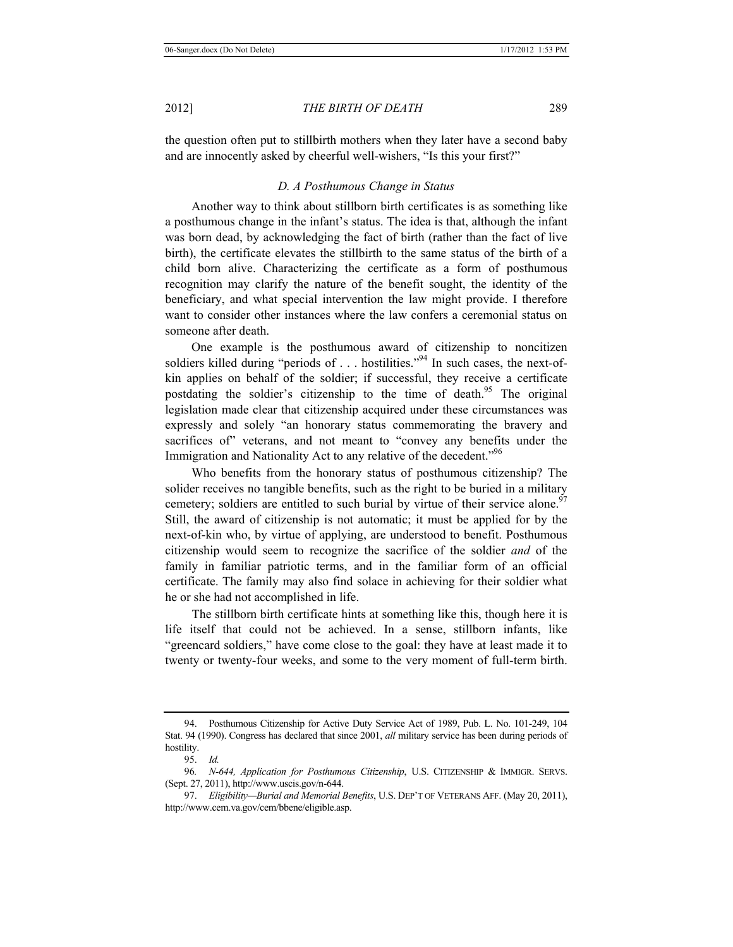the question often put to stillbirth mothers when they later have a second baby and are innocently asked by cheerful well-wishers, "Is this your first?"

# *D. A Posthumous Change in Status*

Another way to think about stillborn birth certificates is as something like a posthumous change in the infant's status. The idea is that, although the infant was born dead, by acknowledging the fact of birth (rather than the fact of live birth), the certificate elevates the stillbirth to the same status of the birth of a child born alive. Characterizing the certificate as a form of posthumous recognition may clarify the nature of the benefit sought, the identity of the beneficiary, and what special intervention the law might provide. I therefore want to consider other instances where the law confers a ceremonial status on someone after death.

One example is the posthumous award of citizenship to noncitizen soldiers killed during "periods of . . . hostilities."<sup>94</sup> In such cases, the next-ofkin applies on behalf of the soldier; if successful, they receive a certificate postdating the soldier's citizenship to the time of death.<sup>95</sup> The original legislation made clear that citizenship acquired under these circumstances was expressly and solely "an honorary status commemorating the bravery and sacrifices of" veterans, and not meant to "convey any benefits under the Immigration and Nationality Act to any relative of the decedent."<sup>96</sup>

Who benefits from the honorary status of posthumous citizenship? The solider receives no tangible benefits, such as the right to be buried in a military cemetery; soldiers are entitled to such burial by virtue of their service alone.<sup>97</sup> Still, the award of citizenship is not automatic; it must be applied for by the next-of-kin who, by virtue of applying, are understood to benefit. Posthumous citizenship would seem to recognize the sacrifice of the soldier *and* of the family in familiar patriotic terms, and in the familiar form of an official certificate. The family may also find solace in achieving for their soldier what he or she had not accomplished in life.

The stillborn birth certificate hints at something like this, though here it is life itself that could not be achieved. In a sense, stillborn infants, like "greencard soldiers," have come close to the goal: they have at least made it to twenty or twenty-four weeks, and some to the very moment of full-term birth.

<sup>94.</sup> Posthumous Citizenship for Active Duty Service Act of 1989, Pub. L. No. 101-249, 104 Stat. 94 (1990). Congress has declared that since 2001, *all* military service has been during periods of hostility.

<sup>95.</sup> *Id.*

<sup>96</sup>*. N-644, Application for Posthumous Citizenship*, U.S. CITIZENSHIP & IMMIGR. SERVS. (Sept. 27, 2011), http://www.uscis.gov/n-644.

<sup>97.</sup> *Eligibility—Burial and Memorial Benefits*, U.S. DEP'T OF VETERANS AFF. (May 20, 2011), http://www.cem.va.gov/cem/bbene/eligible.asp.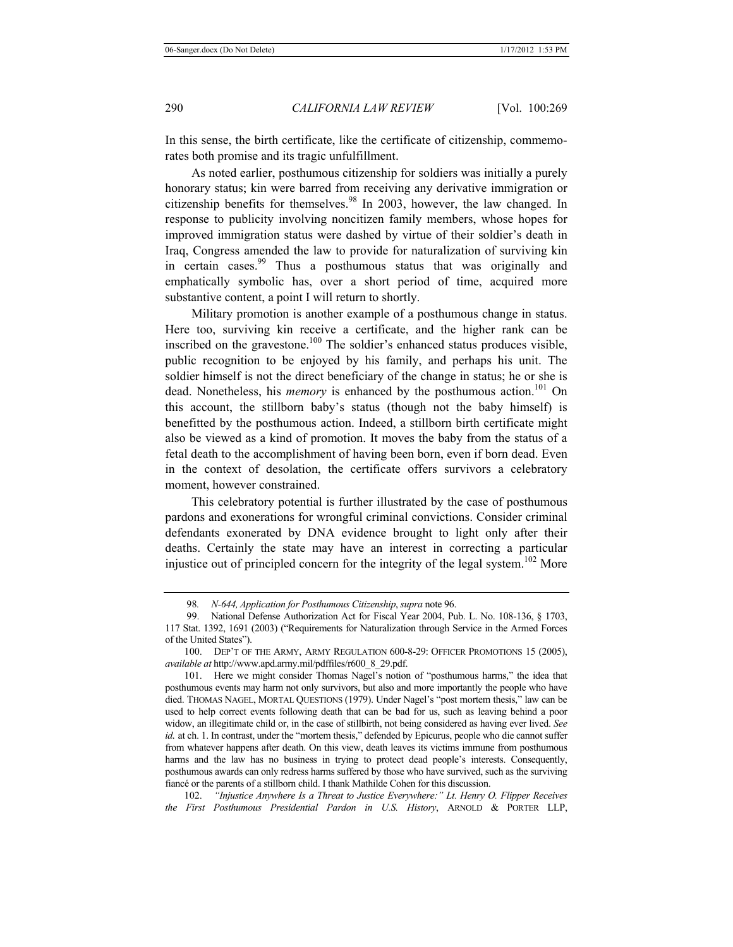In this sense, the birth certificate, like the certificate of citizenship, commemorates both promise and its tragic unfulfillment.

As noted earlier, posthumous citizenship for soldiers was initially a purely honorary status; kin were barred from receiving any derivative immigration or citizenship benefits for themselves.<sup>98</sup> In 2003, however, the law changed. In response to publicity involving noncitizen family members, whose hopes for improved immigration status were dashed by virtue of their soldier's death in Iraq, Congress amended the law to provide for naturalization of surviving kin in certain cases.<sup>99</sup> Thus a posthumous status that was originally and emphatically symbolic has, over a short period of time, acquired more substantive content, a point I will return to shortly.

Military promotion is another example of a posthumous change in status. Here too, surviving kin receive a certificate, and the higher rank can be inscribed on the gravestone.<sup>100</sup> The soldier's enhanced status produces visible, public recognition to be enjoyed by his family, and perhaps his unit. The soldier himself is not the direct beneficiary of the change in status; he or she is dead. Nonetheless, his *memory* is enhanced by the posthumous action.<sup>101</sup> On this account, the stillborn baby's status (though not the baby himself) is benefitted by the posthumous action. Indeed, a stillborn birth certificate might also be viewed as a kind of promotion. It moves the baby from the status of a fetal death to the accomplishment of having been born, even if born dead. Even in the context of desolation, the certificate offers survivors a celebratory moment, however constrained.

This celebratory potential is further illustrated by the case of posthumous pardons and exonerations for wrongful criminal convictions. Consider criminal defendants exonerated by DNA evidence brought to light only after their deaths. Certainly the state may have an interest in correcting a particular injustice out of principled concern for the integrity of the legal system.<sup>102</sup> More

<sup>98</sup>*. N-644, Application for Posthumous Citizenship*, *supra* note 96.

 <sup>99.</sup> National Defense Authorization Act for Fiscal Year 2004, Pub. L. No. 108-136, § 1703, 117 Stat. 1392, 1691 (2003) ("Requirements for Naturalization through Service in the Armed Forces of the United States").

<sup>100.</sup> DEP'T OF THE ARMY, ARMY REGULATION 600-8-29: OFFICER PROMOTIONS 15 (2005), *available at* http://www.apd.army.mil/pdffiles/r600\_8\_29.pdf.

<sup>101.</sup> Here we might consider Thomas Nagel's notion of "posthumous harms," the idea that posthumous events may harm not only survivors, but also and more importantly the people who have died. THOMAS NAGEL, MORTAL QUESTIONS (1979). Under Nagel's "post mortem thesis," law can be used to help correct events following death that can be bad for us, such as leaving behind a poor widow, an illegitimate child or, in the case of stillbirth, not being considered as having ever lived. *See id.* at ch. 1. In contrast, under the "mortem thesis," defended by Epicurus, people who die cannot suffer from whatever happens after death. On this view, death leaves its victims immune from posthumous harms and the law has no business in trying to protect dead people's interests. Consequently, posthumous awards can only redress harms suffered by those who have survived, such as the surviving fiancé or the parents of a stillborn child. I thank Mathilde Cohen for this discussion.

<sup>102.</sup> *"Injustice Anywhere Is a Threat to Justice Everywhere:" Lt. Henry O. Flipper Receives the First Posthumous Presidential Pardon in U.S. History*, ARNOLD & PORTER LLP,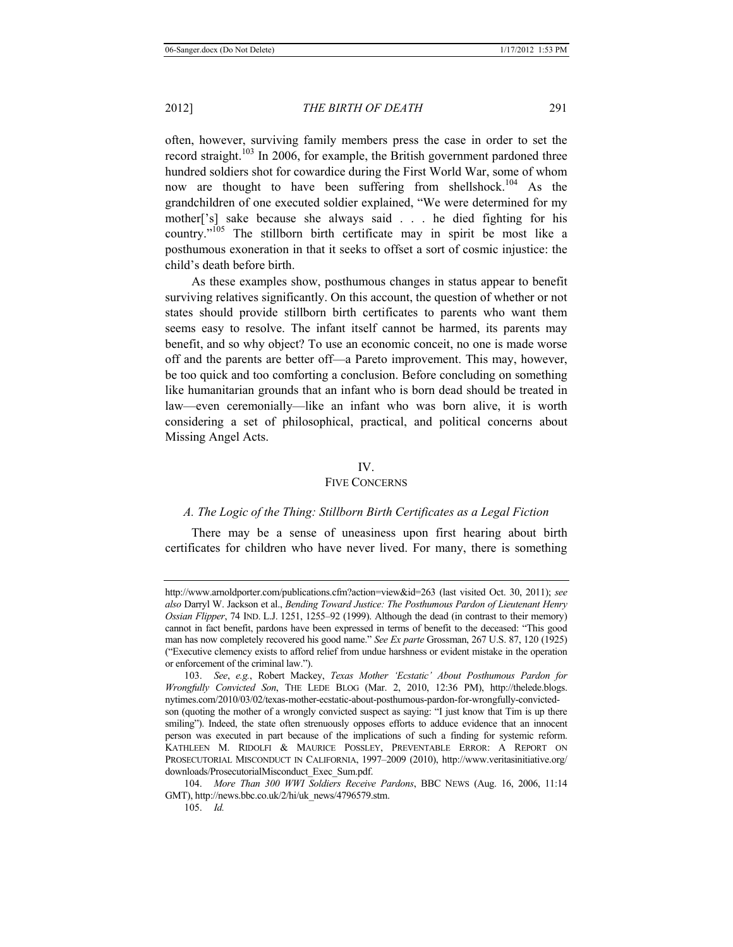often, however, surviving family members press the case in order to set the record straight.<sup>103</sup> In 2006, for example, the British government pardoned three hundred soldiers shot for cowardice during the First World War, some of whom now are thought to have been suffering from shellshock.<sup>104</sup> As the grandchildren of one executed soldier explained, "We were determined for my mother['s] sake because she always said . . . he died fighting for his country."105 The stillborn birth certificate may in spirit be most like a posthumous exoneration in that it seeks to offset a sort of cosmic injustice: the child's death before birth.

As these examples show, posthumous changes in status appear to benefit surviving relatives significantly. On this account, the question of whether or not states should provide stillborn birth certificates to parents who want them seems easy to resolve. The infant itself cannot be harmed, its parents may benefit, and so why object? To use an economic conceit, no one is made worse off and the parents are better off—a Pareto improvement. This may, however, be too quick and too comforting a conclusion. Before concluding on something like humanitarian grounds that an infant who is born dead should be treated in law—even ceremonially—like an infant who was born alive, it is worth considering a set of philosophical, practical, and political concerns about Missing Angel Acts.

#### IV.

## FIVE CONCERNS

## *A. The Logic of the Thing: Stillborn Birth Certificates as a Legal Fiction*

There may be a sense of uneasiness upon first hearing about birth certificates for children who have never lived. For many, there is something

http://www.arnoldporter.com/publications.cfm?action=view&id=263 (last visited Oct. 30, 2011); *see also* Darryl W. Jackson et al., *Bending Toward Justice: The Posthumous Pardon of Lieutenant Henry Ossian Flipper*, 74 IND. L.J. 1251, 1255–92 (1999). Although the dead (in contrast to their memory) cannot in fact benefit, pardons have been expressed in terms of benefit to the deceased: "This good man has now completely recovered his good name." *See Ex parte* Grossman, 267 U.S. 87, 120 (1925) ("Executive clemency exists to afford relief from undue harshness or evident mistake in the operation or enforcement of the criminal law.").

<sup>103.</sup> *See*, *e.g.*, Robert Mackey, *Texas Mother 'Ecstatic' About Posthumous Pardon for Wrongfully Convicted Son*, THE LEDE BLOG (Mar. 2, 2010, 12:36 PM), http://thelede.blogs. nytimes.com/2010/03/02/texas-mother-ecstatic-about-posthumous-pardon-for-wrongfully-convictedson (quoting the mother of a wrongly convicted suspect as saying: "I just know that Tim is up there smiling"). Indeed, the state often strenuously opposes efforts to adduce evidence that an innocent person was executed in part because of the implications of such a finding for systemic reform. KATHLEEN M. RIDOLFI & MAURICE POSSLEY, PREVENTABLE ERROR: A REPORT ON PROSECUTORIAL MISCONDUCT IN CALIFORNIA, 1997–2009 (2010), http://www.veritasinitiative.org/ downloads/ProsecutorialMisconduct\_Exec\_Sum.pdf.

<sup>104.</sup> *More Than 300 WWI Soldiers Receive Pardons*, BBC NEWS (Aug. 16, 2006, 11:14 GMT), http://news.bbc.co.uk/2/hi/uk\_news/4796579.stm.

<sup>105.</sup> *Id.*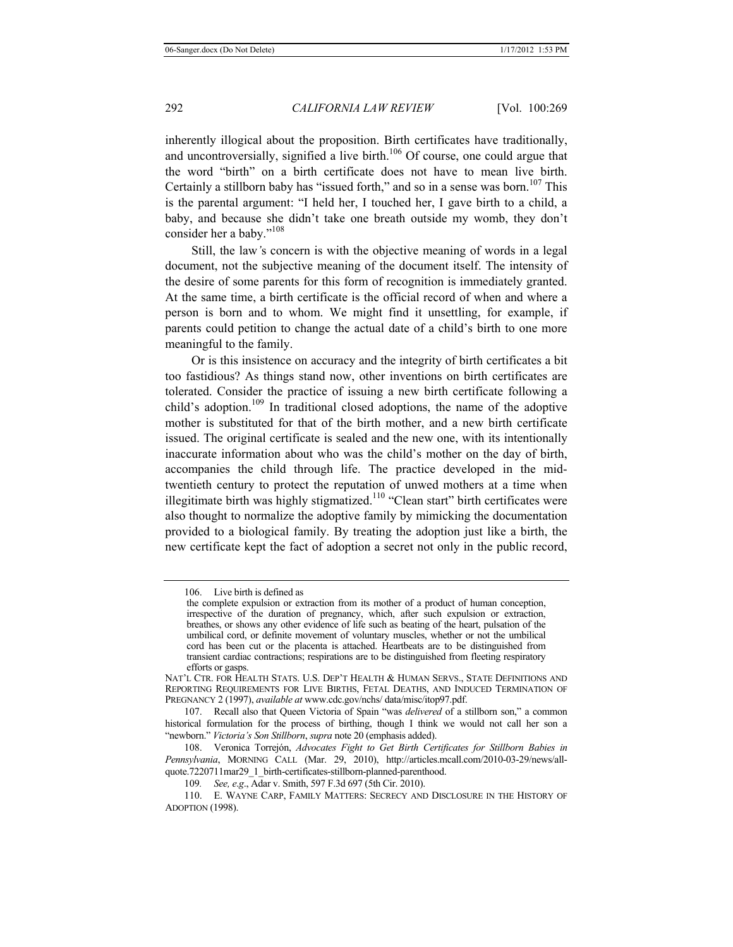inherently illogical about the proposition. Birth certificates have traditionally, and uncontroversially, signified a live birth.<sup>106</sup> Of course, one could argue that the word "birth" on a birth certificate does not have to mean live birth. Certainly a stillborn baby has "issued forth," and so in a sense was born.<sup>107</sup> This is the parental argument: "I held her, I touched her, I gave birth to a child, a baby, and because she didn't take one breath outside my womb, they don't consider her a baby."<sup>108</sup>

Still, the law*'*s concern is with the objective meaning of words in a legal document, not the subjective meaning of the document itself. The intensity of the desire of some parents for this form of recognition is immediately granted. At the same time, a birth certificate is the official record of when and where a person is born and to whom. We might find it unsettling, for example, if parents could petition to change the actual date of a child's birth to one more meaningful to the family.

Or is this insistence on accuracy and the integrity of birth certificates a bit too fastidious? As things stand now, other inventions on birth certificates are tolerated. Consider the practice of issuing a new birth certificate following a child's adoption.<sup>109</sup> In traditional closed adoptions, the name of the adoptive mother is substituted for that of the birth mother, and a new birth certificate issued. The original certificate is sealed and the new one, with its intentionally inaccurate information about who was the child's mother on the day of birth, accompanies the child through life. The practice developed in the midtwentieth century to protect the reputation of unwed mothers at a time when illegitimate birth was highly stigmatized.<sup>110</sup> "Clean start" birth certificates were also thought to normalize the adoptive family by mimicking the documentation provided to a biological family. By treating the adoption just like a birth, the new certificate kept the fact of adoption a secret not only in the public record,

<sup>106.</sup> Live birth is defined as

the complete expulsion or extraction from its mother of a product of human conception, irrespective of the duration of pregnancy, which, after such expulsion or extraction, breathes, or shows any other evidence of life such as beating of the heart, pulsation of the umbilical cord, or definite movement of voluntary muscles, whether or not the umbilical cord has been cut or the placenta is attached. Heartbeats are to be distinguished from transient cardiac contractions; respirations are to be distinguished from fleeting respiratory efforts or gasps.

NAT'L CTR. FOR HEALTH STATS. U.S. DEP'T HEALTH & HUMAN SERVS., STATE DEFINITIONS AND REPORTING REQUIREMENTS FOR LIVE BIRTHS, FETAL DEATHS, AND INDUCED TERMINATION OF PREGNANCY 2 (1997), *available at* www.cdc.gov/nchs/ data/misc/itop97.pdf.

<sup>107.</sup> Recall also that Queen Victoria of Spain "was *delivered* of a stillborn son," a common historical formulation for the process of birthing, though I think we would not call her son a "newborn." *Victoria's Son Stillborn*, *supra* note 20 (emphasis added).

<sup>108.</sup> Veronica Torrejón, *Advocates Fight to Get Birth Certificates for Stillborn Babies in Pennsylvania*, MORNING CALL (Mar. 29, 2010), http://articles.mcall.com/2010-03-29/news/allquote.7220711mar29\_1\_birth-certificates-stillborn-planned-parenthood.

<sup>109</sup>*. See, e*.*g*., Adar v. Smith, 597 F.3d 697 (5th Cir. 2010).

<sup>110.</sup> E. WAYNE CARP, FAMILY MATTERS: SECRECY AND DISCLOSURE IN THE HISTORY OF ADOPTION (1998).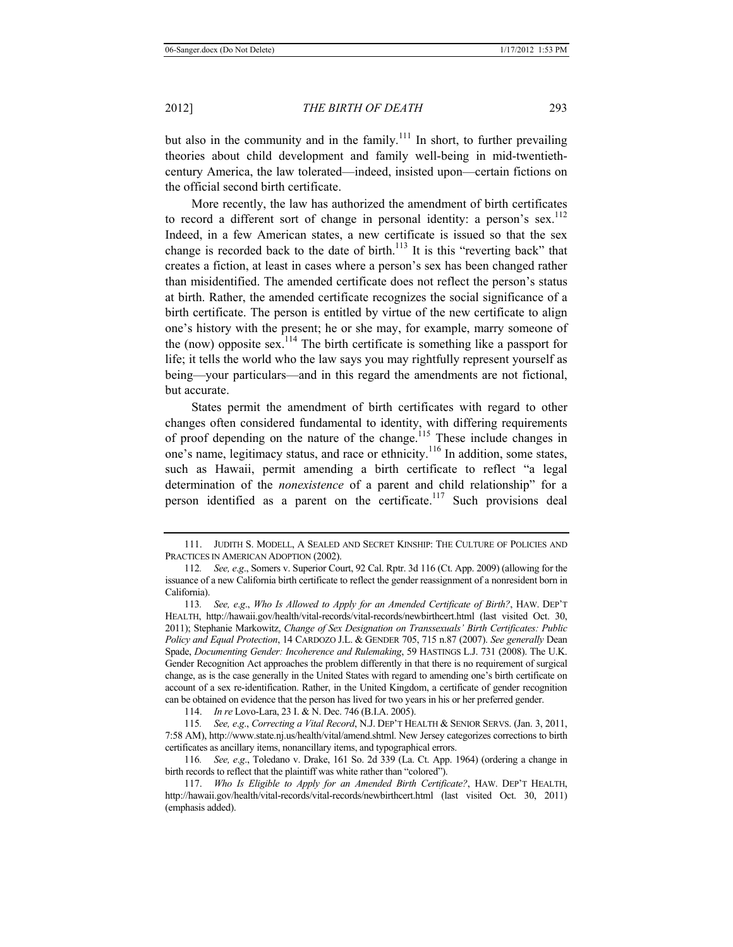but also in the community and in the family.<sup>111</sup> In short, to further prevailing theories about child development and family well-being in mid-twentiethcentury America, the law tolerated—indeed, insisted upon—certain fictions on the official second birth certificate.

More recently, the law has authorized the amendment of birth certificates to record a different sort of change in personal identity: a person's sex.<sup>112</sup> Indeed, in a few American states, a new certificate is issued so that the sex change is recorded back to the date of birth.<sup>113</sup> It is this "reverting back" that creates a fiction, at least in cases where a person's sex has been changed rather than misidentified. The amended certificate does not reflect the person's status at birth. Rather, the amended certificate recognizes the social significance of a birth certificate. The person is entitled by virtue of the new certificate to align one's history with the present; he or she may, for example, marry someone of the (now) opposite sex.<sup>114</sup> The birth certificate is something like a passport for life; it tells the world who the law says you may rightfully represent yourself as being—your particulars—and in this regard the amendments are not fictional, but accurate.

States permit the amendment of birth certificates with regard to other changes often considered fundamental to identity, with differing requirements of proof depending on the nature of the change.<sup>115</sup> These include changes in one's name, legitimacy status, and race or ethnicity.<sup>116</sup> In addition, some states, such as Hawaii, permit amending a birth certificate to reflect "a legal determination of the *nonexistence* of a parent and child relationship" for a person identified as a parent on the certificate.<sup>117</sup> Such provisions deal

114. *In re* Lovo-Lara, 23 I. & N. Dec. 746 (B.I.A. 2005).

115*. See, e*.*g*., *Correcting a Vital Record*, N.J. DEP'T HEALTH & SENIOR SERVS. (Jan. 3, 2011, 7:58 AM), http://www.state.nj.us/health/vital/amend.shtml. New Jersey categorizes corrections to birth certificates as ancillary items, nonancillary items, and typographical errors.

116*. See, e*.*g*., Toledano v. Drake, 161 So. 2d 339 (La. Ct. App. 1964) (ordering a change in birth records to reflect that the plaintiff was white rather than "colored").

<sup>111.</sup> JUDITH S. MODELL, A SEALED AND SECRET KINSHIP: THE CULTURE OF POLICIES AND PRACTICES IN AMERICAN ADOPTION (2002).

<sup>112</sup>*. See, e*.*g*., Somers v. Superior Court, 92 Cal. Rptr. 3d 116 (Ct. App. 2009) (allowing for the issuance of a new California birth certificate to reflect the gender reassignment of a nonresident born in California).

<sup>113</sup>*. See, e*.*g*., *Who Is Allowed to Apply for an Amended Certificate of Birth?*, HAW. DEP'T HEALTH, http://hawaii.gov/health/vital-records/vital-records/newbirthcert.html (last visited Oct. 30, 2011); Stephanie Markowitz, *Change of Sex Designation on Transsexuals' Birth Certificates: Public Policy and Equal Protection*, 14 CARDOZO J.L. & GENDER 705, 715 n.87 (2007). *See generally* Dean Spade, *Documenting Gender: Incoherence and Rulemaking*, 59 HASTINGS L.J. 731 (2008). The U.K. Gender Recognition Act approaches the problem differently in that there is no requirement of surgical change, as is the case generally in the United States with regard to amending one's birth certificate on account of a sex re-identification. Rather, in the United Kingdom, a certificate of gender recognition can be obtained on evidence that the person has lived for two years in his or her preferred gender.

<sup>117.</sup> *Who Is Eligible to Apply for an Amended Birth Certificate?*, HAW. DEP'T HEALTH, http://hawaii.gov/health/vital-records/vital-records/newbirthcert.html (last visited Oct. 30, 2011) (emphasis added).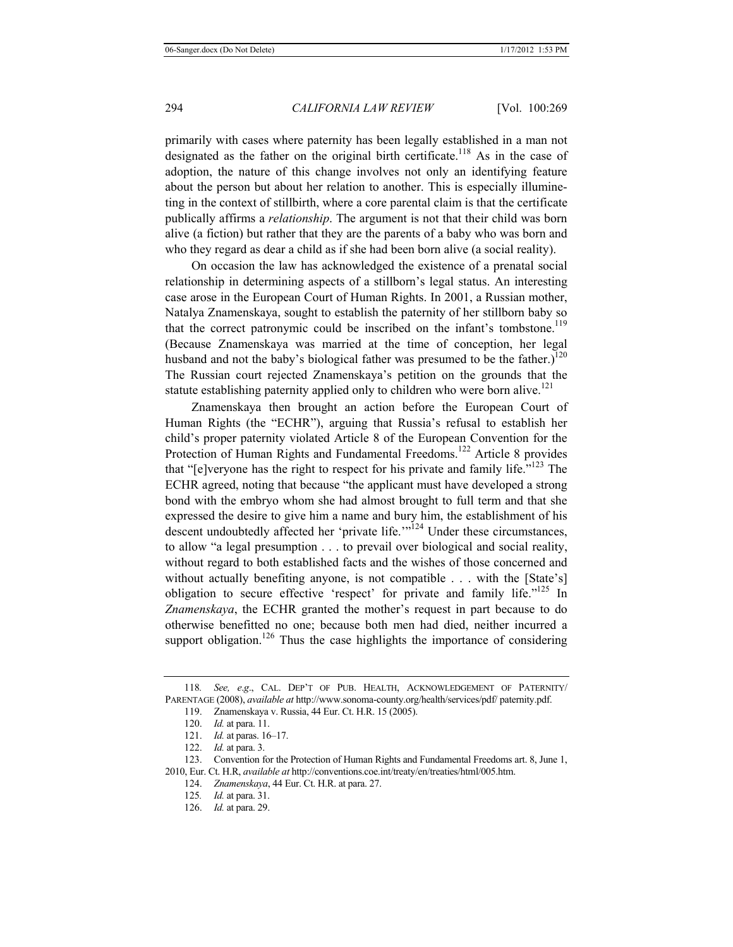primarily with cases where paternity has been legally established in a man not designated as the father on the original birth certificate.<sup>118</sup> As in the case of adoption, the nature of this change involves not only an identifying feature about the person but about her relation to another. This is especially illumineting in the context of stillbirth, where a core parental claim is that the certificate publically affirms a *relationship*. The argument is not that their child was born alive (a fiction) but rather that they are the parents of a baby who was born and who they regard as dear a child as if she had been born alive (a social reality).

On occasion the law has acknowledged the existence of a prenatal social relationship in determining aspects of a stillborn's legal status. An interesting case arose in the European Court of Human Rights. In 2001, a Russian mother, Natalya Znamenskaya, sought to establish the paternity of her stillborn baby so that the correct patronymic could be inscribed on the infant's tombstone.<sup>119</sup> (Because Znamenskaya was married at the time of conception, her legal husband and not the baby's biological father was presumed to be the father.)<sup>120</sup> The Russian court rejected Znamenskaya's petition on the grounds that the statute establishing paternity applied only to children who were born alive.<sup>121</sup>

Znamenskaya then brought an action before the European Court of Human Rights (the "ECHR"), arguing that Russia's refusal to establish her child's proper paternity violated Article 8 of the European Convention for the Protection of Human Rights and Fundamental Freedoms.<sup>122</sup> Article 8 provides that "[e]veryone has the right to respect for his private and family life."<sup>123</sup> The ECHR agreed, noting that because "the applicant must have developed a strong bond with the embryo whom she had almost brought to full term and that she expressed the desire to give him a name and bury him, the establishment of his descent undoubtedly affected her 'private life.'<sup>"124</sup> Under these circumstances, to allow "a legal presumption . . . to prevail over biological and social reality, without regard to both established facts and the wishes of those concerned and without actually benefiting anyone, is not compatible . . . with the [State's] obligation to secure effective 'respect' for private and family life."125 In *Znamenskaya*, the ECHR granted the mother's request in part because to do otherwise benefitted no one; because both men had died, neither incurred a support obligation.<sup>126</sup> Thus the case highlights the importance of considering

<sup>118</sup>*. See, e*.*g*., CAL. DEP'T OF PUB. HEALTH, ACKNOWLEDGEMENT OF PATERNITY/ PARENTAGE (2008), *available at* http://www.sonoma-county.org/health/services/pdf/ paternity.pdf.

<sup>119.</sup> Znamenskaya v. Russia, 44 Eur. Ct. H.R. 15 (2005).

<sup>120.</sup> *Id.* at para. 11.

<sup>121.</sup> *Id.* at paras. 16–17.

<sup>122.</sup> *Id.* at para. 3.

<sup>123.</sup> Convention for the Protection of Human Rights and Fundamental Freedoms art. 8, June 1, 2010, Eur. Ct. H.R, *available at* http://conventions.coe.int/treaty/en/treaties/html/005.htm.

<sup>124.</sup> *Znamenskaya*, 44 Eur. Ct. H.R. at para. 27.

<sup>125</sup>*. Id.* at para. 31.

<sup>126.</sup> *Id.* at para. 29.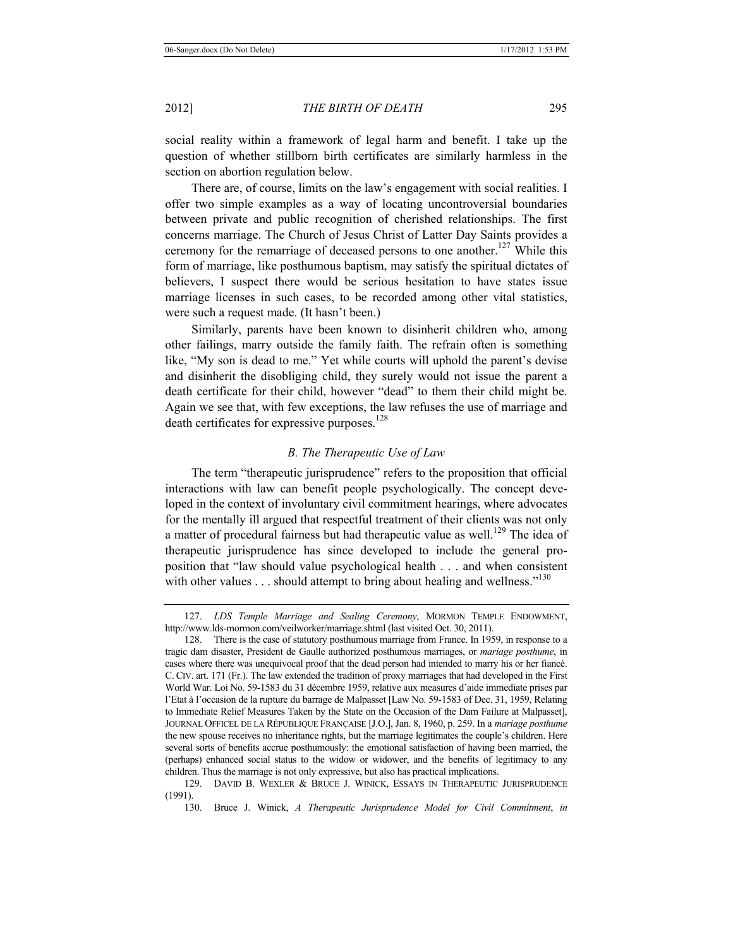social reality within a framework of legal harm and benefit. I take up the question of whether stillborn birth certificates are similarly harmless in the section on abortion regulation below.

There are, of course, limits on the law's engagement with social realities. I offer two simple examples as a way of locating uncontroversial boundaries between private and public recognition of cherished relationships. The first concerns marriage. The Church of Jesus Christ of Latter Day Saints provides a ceremony for the remarriage of deceased persons to one another.<sup>127</sup> While this form of marriage, like posthumous baptism, may satisfy the spiritual dictates of believers, I suspect there would be serious hesitation to have states issue marriage licenses in such cases, to be recorded among other vital statistics, were such a request made. (It hasn't been.)

Similarly, parents have been known to disinherit children who, among other failings, marry outside the family faith. The refrain often is something like, "My son is dead to me." Yet while courts will uphold the parent's devise and disinherit the disobliging child, they surely would not issue the parent a death certificate for their child, however "dead" to them their child might be. Again we see that, with few exceptions, the law refuses the use of marriage and death certificates for expressive purposes.<sup>128</sup>

#### *B. The Therapeutic Use of Law*

The term "therapeutic jurisprudence" refers to the proposition that official interactions with law can benefit people psychologically. The concept developed in the context of involuntary civil commitment hearings, where advocates for the mentally ill argued that respectful treatment of their clients was not only a matter of procedural fairness but had therapeutic value as well.<sup>129</sup> The idea of therapeutic jurisprudence has since developed to include the general proposition that "law should value psychological health . . . and when consistent with other values  $\dots$  should attempt to bring about healing and wellness."<sup>130</sup>

<sup>127.</sup> *LDS Temple Marriage and Sealing Ceremony*, MORMON TEMPLE ENDOWMENT, http://www.lds-mormon.com/veilworker/marriage.shtml (last visited Oct. 30, 2011).

<sup>128.</sup> There is the case of statutory posthumous marriage from France. In 1959, in response to a tragic dam disaster, President de Gaulle authorized posthumous marriages, or *mariage posthume*, in cases where there was unequivocal proof that the dead person had intended to marry his or her fiancé. C. CIV. art. 171 (Fr.). The law extended the tradition of proxy marriages that had developed in the First World War. Loi No. 59-1583 du 31 décembre 1959, relative aux measures d'aide immediate prises par l'Etat à l'occasion de la rupture du barrage de Malpasset [Law No. 59-1583 of Dec. 31, 1959, Relating to Immediate Relief Measures Taken by the State on the Occasion of the Dam Failure at Malpasset], JOURNAL OFFICEL DE LA RÉPUBLIQUE FRANÇAISE [J.O.], Jan. 8, 1960, p. 259. In a *mariage posthume* the new spouse receives no inheritance rights, but the marriage legitimates the couple's children. Here several sorts of benefits accrue posthumously: the emotional satisfaction of having been married, the (perhaps) enhanced social status to the widow or widower, and the benefits of legitimacy to any children. Thus the marriage is not only expressive, but also has practical implications.

<sup>129.</sup> DAVID B. WEXLER & BRUCE J. WINICK, ESSAYS IN THERAPEUTIC JURISPRUDENCE (1991).

<sup>130.</sup> Bruce J. Winick, *A Therapeutic Jurisprudence Model for Civil Commitment*, *in*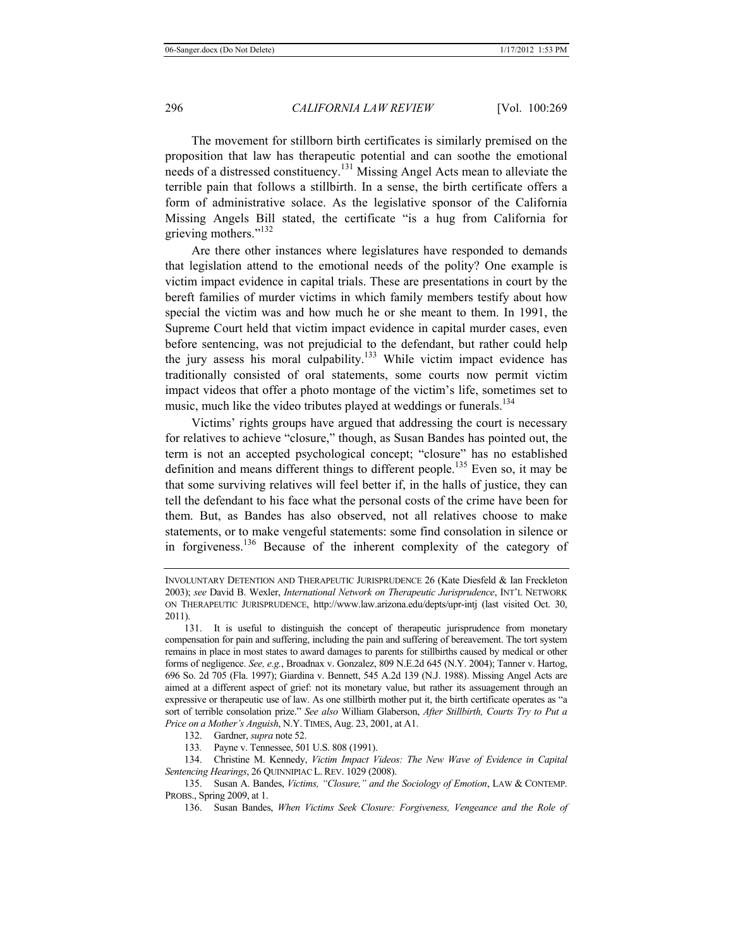The movement for stillborn birth certificates is similarly premised on the proposition that law has therapeutic potential and can soothe the emotional needs of a distressed constituency.131 Missing Angel Acts mean to alleviate the terrible pain that follows a stillbirth. In a sense, the birth certificate offers a form of administrative solace. As the legislative sponsor of the California Missing Angels Bill stated, the certificate "is a hug from California for grieving mothers."<sup>132</sup>

Are there other instances where legislatures have responded to demands that legislation attend to the emotional needs of the polity? One example is victim impact evidence in capital trials. These are presentations in court by the bereft families of murder victims in which family members testify about how special the victim was and how much he or she meant to them. In 1991, the Supreme Court held that victim impact evidence in capital murder cases, even before sentencing, was not prejudicial to the defendant, but rather could help the jury assess his moral culpability.<sup>133</sup> While victim impact evidence has traditionally consisted of oral statements, some courts now permit victim impact videos that offer a photo montage of the victim's life, sometimes set to music, much like the video tributes played at weddings or funerals.<sup>134</sup>

Victims' rights groups have argued that addressing the court is necessary for relatives to achieve "closure," though, as Susan Bandes has pointed out, the term is not an accepted psychological concept; "closure" has no established definition and means different things to different people.135 Even so, it may be that some surviving relatives will feel better if, in the halls of justice, they can tell the defendant to his face what the personal costs of the crime have been for them. But, as Bandes has also observed, not all relatives choose to make statements, or to make vengeful statements: some find consolation in silence or in forgiveness.136 Because of the inherent complexity of the category of

132. Gardner, *supra* note 52.

INVOLUNTARY DETENTION AND THERAPEUTIC JURISPRUDENCE 26 (Kate Diesfeld & Ian Freckleton 2003); *see* David B. Wexler, *International Network on Therapeutic Jurisprudence*, INT'L NETWORK ON THERAPEUTIC JURISPRUDENCE, http://www.law.arizona.edu/depts/upr-intj (last visited Oct. 30, 2011).

<sup>131.</sup> It is useful to distinguish the concept of therapeutic jurisprudence from monetary compensation for pain and suffering, including the pain and suffering of bereavement. The tort system remains in place in most states to award damages to parents for stillbirths caused by medical or other forms of negligence. *See, e.g.*, Broadnax v. Gonzalez, 809 N.E.2d 645 (N.Y. 2004); Tanner v. Hartog, 696 So. 2d 705 (Fla. 1997); Giardina v. Bennett, 545 A.2d 139 (N.J. 1988). Missing Angel Acts are aimed at a different aspect of grief: not its monetary value, but rather its assuagement through an expressive or therapeutic use of law. As one stillbirth mother put it, the birth certificate operates as "a sort of terrible consolation prize." *See also* William Glaberson, *After Stillbirth, Courts Try to Put a Price on a Mother's Anguish*, N.Y. TIMES, Aug. 23, 2001, at A1.

<sup>133</sup>*.* Payne v. Tennessee, 501 U.S. 808 (1991).

<sup>134.</sup> Christine M. Kennedy, *Victim Impact Videos: The New Wave of Evidence in Capital Sentencing Hearings*, 26 QUINNIPIAC L. REV. 1029 (2008).

<sup>135.</sup> Susan A. Bandes, *Victims, "Closure," and the Sociology of Emotion*, LAW & CONTEMP. PROBS., Spring 2009, at 1.

<sup>136.</sup> Susan Bandes, *When Victims Seek Closure: Forgiveness, Vengeance and the Role of*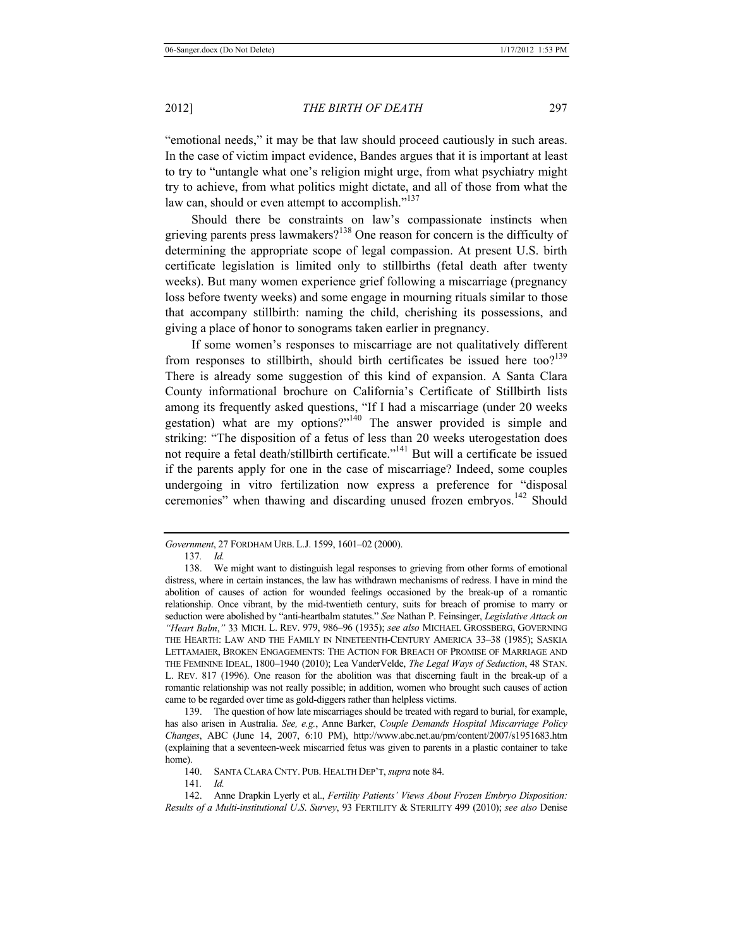"emotional needs," it may be that law should proceed cautiously in such areas. In the case of victim impact evidence, Bandes argues that it is important at least to try to "untangle what one's religion might urge, from what psychiatry might try to achieve, from what politics might dictate, and all of those from what the law can, should or even attempt to accomplish."<sup>137</sup>

Should there be constraints on law's compassionate instincts when grieving parents press lawmakers?<sup>138</sup> One reason for concern is the difficulty of determining the appropriate scope of legal compassion. At present U.S. birth certificate legislation is limited only to stillbirths (fetal death after twenty weeks). But many women experience grief following a miscarriage (pregnancy loss before twenty weeks) and some engage in mourning rituals similar to those that accompany stillbirth: naming the child, cherishing its possessions, and giving a place of honor to sonograms taken earlier in pregnancy.

If some women's responses to miscarriage are not qualitatively different from responses to stillbirth, should birth certificates be issued here too?<sup>139</sup> There is already some suggestion of this kind of expansion. A Santa Clara County informational brochure on California's Certificate of Stillbirth lists among its frequently asked questions, "If I had a miscarriage (under 20 weeks gestation) what are my options?"140 The answer provided is simple and striking: "The disposition of a fetus of less than 20 weeks uterogestation does not require a fetal death/stillbirth certificate."<sup>141</sup> But will a certificate be issued if the parents apply for one in the case of miscarriage? Indeed, some couples undergoing in vitro fertilization now express a preference for "disposal ceremonies" when thawing and discarding unused frozen embryos.<sup>142</sup> Should

139. The question of how late miscarriages should be treated with regard to burial, for example, has also arisen in Australia. *See, e.g.*, Anne Barker, *Couple Demands Hospital Miscarriage Policy Changes*, ABC (June 14, 2007, 6:10 PM), http://www.abc.net.au/pm/content/2007/s1951683.htm (explaining that a seventeen-week miscarried fetus was given to parents in a plastic container to take home).

141*. Id.*

*Government*, 27 FORDHAM URB. L.J. 1599, 1601–02 (2000).

<sup>137</sup>*. Id.*

<sup>138.</sup> We might want to distinguish legal responses to grieving from other forms of emotional distress, where in certain instances, the law has withdrawn mechanisms of redress. I have in mind the abolition of causes of action for wounded feelings occasioned by the break-up of a romantic relationship. Once vibrant, by the mid-twentieth century, suits for breach of promise to marry or seduction were abolished by "anti-heartbalm statutes." *See* Nathan P. Feinsinger, *Legislative Attack on "Heart Balm*,*"* 33 MICH. L. REV. 979, 986–96 (1935); *see also* MICHAEL GROSSBERG, GOVERNING THE HEARTH: LAW AND THE FAMILY IN NINETEENTH-CENTURY AMERICA 33–38 (1985); SASKIA LETTAMAIER, BROKEN ENGAGEMENTS: THE ACTION FOR BREACH OF PROMISE OF MARRIAGE AND THE FEMININE IDEAL, 1800–1940 (2010); Lea VanderVelde, *The Legal Ways of Seduction*, 48 STAN. L. REV. 817 (1996). One reason for the abolition was that discerning fault in the break-up of a romantic relationship was not really possible; in addition, women who brought such causes of action came to be regarded over time as gold-diggers rather than helpless victims.

<sup>140.</sup> SANTA CLARA CNTY. PUB. HEALTH DEP'T, *supra* note 84.

<sup>142.</sup> Anne Drapkin Lyerly et al., *Fertility Patients' Views About Frozen Embryo Disposition: Results of a Multi-institutional U*.*S*. *Survey*, 93 FERTILITY & STERILITY 499 (2010); *see also* Denise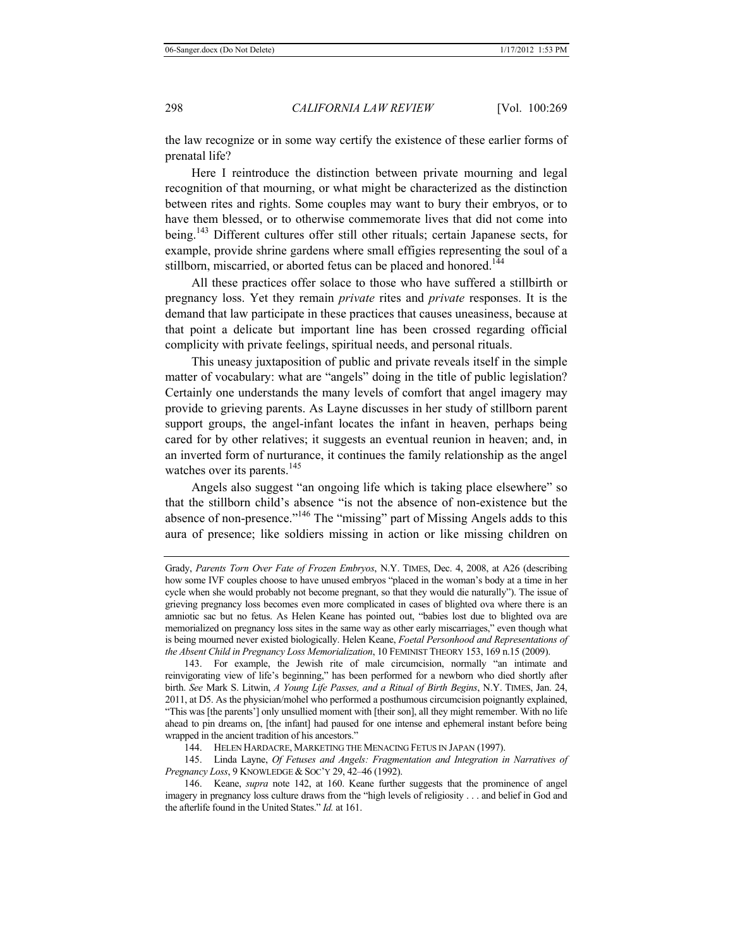the law recognize or in some way certify the existence of these earlier forms of prenatal life?

Here I reintroduce the distinction between private mourning and legal recognition of that mourning, or what might be characterized as the distinction between rites and rights. Some couples may want to bury their embryos, or to have them blessed, or to otherwise commemorate lives that did not come into being.<sup>143</sup> Different cultures offer still other rituals; certain Japanese sects, for example, provide shrine gardens where small effigies representing the soul of a stillborn, miscarried, or aborted fetus can be placed and honored.<sup>144</sup>

All these practices offer solace to those who have suffered a stillbirth or pregnancy loss. Yet they remain *private* rites and *private* responses. It is the demand that law participate in these practices that causes uneasiness, because at that point a delicate but important line has been crossed regarding official complicity with private feelings, spiritual needs, and personal rituals.

This uneasy juxtaposition of public and private reveals itself in the simple matter of vocabulary: what are "angels" doing in the title of public legislation? Certainly one understands the many levels of comfort that angel imagery may provide to grieving parents. As Layne discusses in her study of stillborn parent support groups, the angel-infant locates the infant in heaven, perhaps being cared for by other relatives; it suggests an eventual reunion in heaven; and, in an inverted form of nurturance, it continues the family relationship as the angel watches over its parents.<sup>145</sup>

Angels also suggest "an ongoing life which is taking place elsewhere" so that the stillborn child's absence "is not the absence of non-existence but the absence of non-presence."146 The "missing" part of Missing Angels adds to this aura of presence; like soldiers missing in action or like missing children on

143. For example, the Jewish rite of male circumcision, normally "an intimate and reinvigorating view of life's beginning," has been performed for a newborn who died shortly after birth. *See* Mark S. Litwin, *A Young Life Passes, and a Ritual of Birth Begins*, N.Y. TIMES, Jan. 24, 2011, at D5. As the physician/mohel who performed a posthumous circumcision poignantly explained, "This was [the parents'] only unsullied moment with [their son], all they might remember. With no life ahead to pin dreams on, [the infant] had paused for one intense and ephemeral instant before being wrapped in the ancient tradition of his ancestors."

144. HELEN HARDACRE, MARKETING THE MENACING FETUS IN JAPAN (1997).

145. Linda Layne, *Of Fetuses and Angels: Fragmentation and Integration in Narratives of Pregnancy Loss*, 9 KNOWLEDGE & SOC'Y 29, 42–46 (1992).

146. Keane, *supra* note 142, at 160. Keane further suggests that the prominence of angel imagery in pregnancy loss culture draws from the "high levels of religiosity . . . and belief in God and the afterlife found in the United States." *Id.* at 161.

Grady, *Parents Torn Over Fate of Frozen Embryos*, N.Y. TIMES, Dec. 4, 2008, at A26 (describing how some IVF couples choose to have unused embryos "placed in the woman's body at a time in her cycle when she would probably not become pregnant, so that they would die naturally"). The issue of grieving pregnancy loss becomes even more complicated in cases of blighted ova where there is an amniotic sac but no fetus. As Helen Keane has pointed out, "babies lost due to blighted ova are memorialized on pregnancy loss sites in the same way as other early miscarriages," even though what is being mourned never existed biologically. Helen Keane, *Foetal Personhood and Representations of the Absent Child in Pregnancy Loss Memorialization*, 10 FEMINIST THEORY 153, 169 n.15 (2009).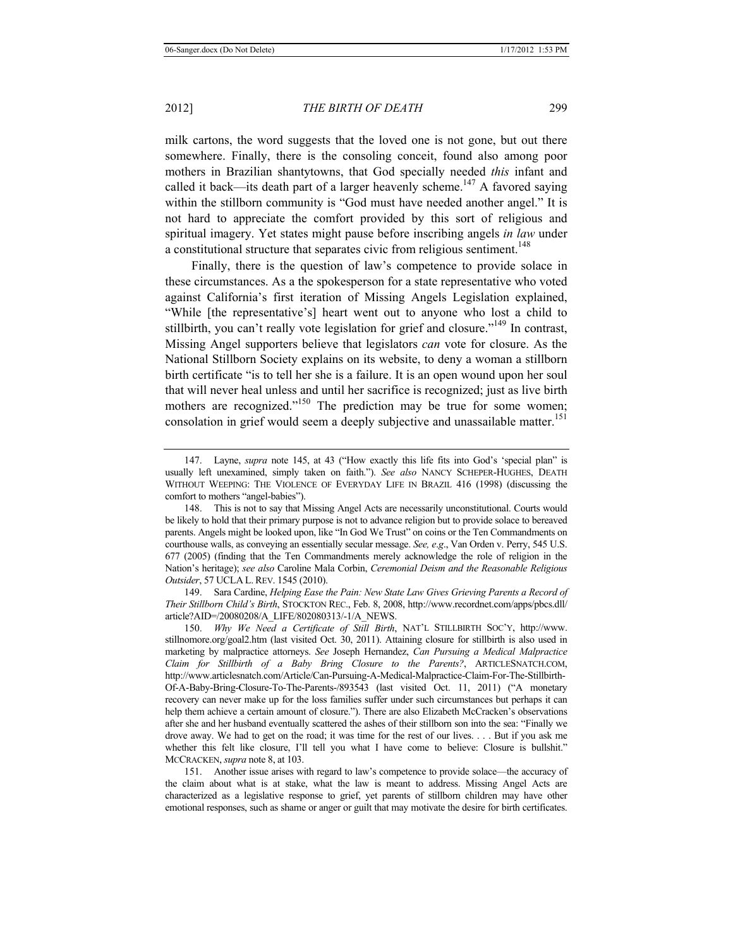milk cartons, the word suggests that the loved one is not gone, but out there somewhere. Finally, there is the consoling conceit, found also among poor mothers in Brazilian shantytowns, that God specially needed *this* infant and called it back—its death part of a larger heavenly scheme.<sup>147</sup> A favored saying within the stillborn community is "God must have needed another angel." It is not hard to appreciate the comfort provided by this sort of religious and spiritual imagery. Yet states might pause before inscribing angels *in law* under a constitutional structure that separates civic from religious sentiment.<sup>148</sup>

Finally, there is the question of law's competence to provide solace in these circumstances. As a the spokesperson for a state representative who voted against California's first iteration of Missing Angels Legislation explained, "While [the representative's] heart went out to anyone who lost a child to stillbirth, you can't really vote legislation for grief and closure."<sup>149</sup> In contrast, Missing Angel supporters believe that legislators *can* vote for closure. As the National Stillborn Society explains on its website, to deny a woman a stillborn birth certificate "is to tell her she is a failure. It is an open wound upon her soul that will never heal unless and until her sacrifice is recognized; just as live birth mothers are recognized."<sup>150</sup> The prediction may be true for some women; consolation in grief would seem a deeply subjective and unassailable matter.<sup>151</sup>

149. Sara Cardine, *Helping Ease the Pain: New State Law Gives Grieving Parents a Record of Their Stillborn Child's Birth*, STOCKTON REC., Feb. 8, 2008, http://www.recordnet.com/apps/pbcs.dll/ article?AID=/20080208/A\_LIFE/802080313/-1/A\_NEWS.

<sup>147.</sup> Layne, *supra* note 145, at 43 ("How exactly this life fits into God's 'special plan" is usually left unexamined, simply taken on faith."). *See also* NANCY SCHEPER-HUGHES, DEATH WITHOUT WEEPING: THE VIOLENCE OF EVERYDAY LIFE IN BRAZIL 416 (1998) (discussing the comfort to mothers "angel-babies").

<sup>148.</sup> This is not to say that Missing Angel Acts are necessarily unconstitutional. Courts would be likely to hold that their primary purpose is not to advance religion but to provide solace to bereaved parents. Angels might be looked upon, like "In God We Trust" on coins or the Ten Commandments on courthouse walls, as conveying an essentially secular message. *See, e*.*g*., Van Orden v. Perry, 545 U.S. 677 (2005) (finding that the Ten Commandments merely acknowledge the role of religion in the Nation's heritage); *see also* Caroline Mala Corbin, *Ceremonial Deism and the Reasonable Religious Outsider*, 57 UCLA L.REV. 1545 (2010).

<sup>150.</sup> *Why We Need a Certificate of Still Birth*, NAT'L STILLBIRTH SOC'Y, http://www. stillnomore.org/goal2.htm (last visited Oct. 30, 2011). Attaining closure for stillbirth is also used in marketing by malpractice attorneys. *See* Joseph Hernandez, *Can Pursuing a Medical Malpractice Claim for Stillbirth of a Baby Bring Closure to the Parents?*, ARTICLESNATCH.COM, http://www.articlesnatch.com/Article/Can-Pursuing-A-Medical-Malpractice-Claim-For-The-Stillbirth-Of-A-Baby-Bring-Closure-To-The-Parents-/893543 (last visited Oct. 11, 2011) ("A monetary recovery can never make up for the loss families suffer under such circumstances but perhaps it can help them achieve a certain amount of closure."). There are also Elizabeth McCracken's observations after she and her husband eventually scattered the ashes of their stillborn son into the sea: "Finally we drove away. We had to get on the road; it was time for the rest of our lives. . . . But if you ask me whether this felt like closure, I'll tell you what I have come to believe: Closure is bullshit." MCCRACKEN, *supra* note 8, at 103.

<sup>151.</sup> Another issue arises with regard to law's competence to provide solace—the accuracy of the claim about what is at stake, what the law is meant to address. Missing Angel Acts are characterized as a legislative response to grief, yet parents of stillborn children may have other emotional responses, such as shame or anger or guilt that may motivate the desire for birth certificates.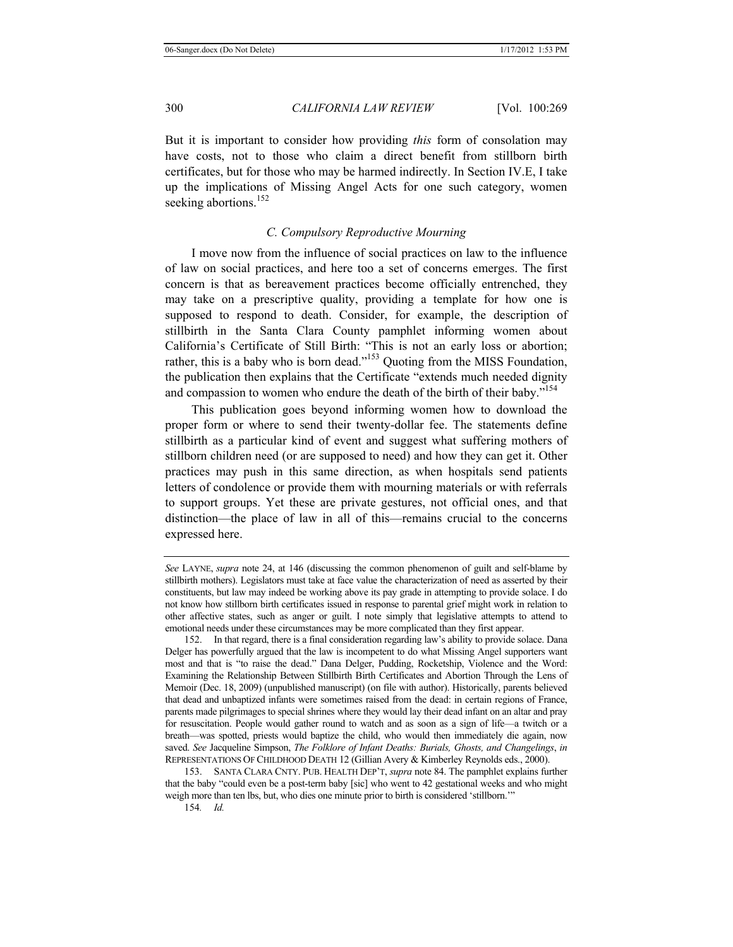But it is important to consider how providing *this* form of consolation may have costs, not to those who claim a direct benefit from stillborn birth certificates, but for those who may be harmed indirectly. In Section IV.E, I take up the implications of Missing Angel Acts for one such category, women seeking abortions.<sup>152</sup>

# *C. Compulsory Reproductive Mourning*

I move now from the influence of social practices on law to the influence of law on social practices, and here too a set of concerns emerges. The first concern is that as bereavement practices become officially entrenched, they may take on a prescriptive quality, providing a template for how one is supposed to respond to death. Consider, for example, the description of stillbirth in the Santa Clara County pamphlet informing women about California's Certificate of Still Birth: "This is not an early loss or abortion; rather, this is a baby who is born dead."<sup>153</sup> Quoting from the MISS Foundation, the publication then explains that the Certificate "extends much needed dignity and compassion to women who endure the death of the birth of their baby."<sup>154</sup>

This publication goes beyond informing women how to download the proper form or where to send their twenty-dollar fee. The statements define stillbirth as a particular kind of event and suggest what suffering mothers of stillborn children need (or are supposed to need) and how they can get it. Other practices may push in this same direction, as when hospitals send patients letters of condolence or provide them with mourning materials or with referrals to support groups. Yet these are private gestures, not official ones, and that distinction—the place of law in all of this—remains crucial to the concerns expressed here.

153. SANTA CLARA CNTY. PUB. HEALTH DEP'T, *supra* note 84. The pamphlet explains further that the baby "could even be a post-term baby [sic] who went to 42 gestational weeks and who might weigh more than ten lbs, but, who dies one minute prior to birth is considered 'stillborn.'"

*See* LAYNE, *supra* note 24, at 146 (discussing the common phenomenon of guilt and self-blame by stillbirth mothers). Legislators must take at face value the characterization of need as asserted by their constituents, but law may indeed be working above its pay grade in attempting to provide solace. I do not know how stillborn birth certificates issued in response to parental grief might work in relation to other affective states, such as anger or guilt. I note simply that legislative attempts to attend to emotional needs under these circumstances may be more complicated than they first appear.

<sup>152.</sup> In that regard, there is a final consideration regarding law's ability to provide solace. Dana Delger has powerfully argued that the law is incompetent to do what Missing Angel supporters want most and that is "to raise the dead." Dana Delger, Pudding, Rocketship, Violence and the Word: Examining the Relationship Between Stillbirth Birth Certificates and Abortion Through the Lens of Memoir (Dec. 18, 2009) (unpublished manuscript) (on file with author). Historically, parents believed that dead and unbaptized infants were sometimes raised from the dead: in certain regions of France, parents made pilgrimages to special shrines where they would lay their dead infant on an altar and pray for resuscitation. People would gather round to watch and as soon as a sign of life—a twitch or a breath—was spotted, priests would baptize the child, who would then immediately die again, now saved. *See* Jacqueline Simpson, *The Folklore of Infant Deaths: Burials, Ghosts, and Changelings*, *in* REPRESENTATIONS OF CHILDHOOD DEATH 12 (Gillian Avery & Kimberley Reynolds eds., 2000).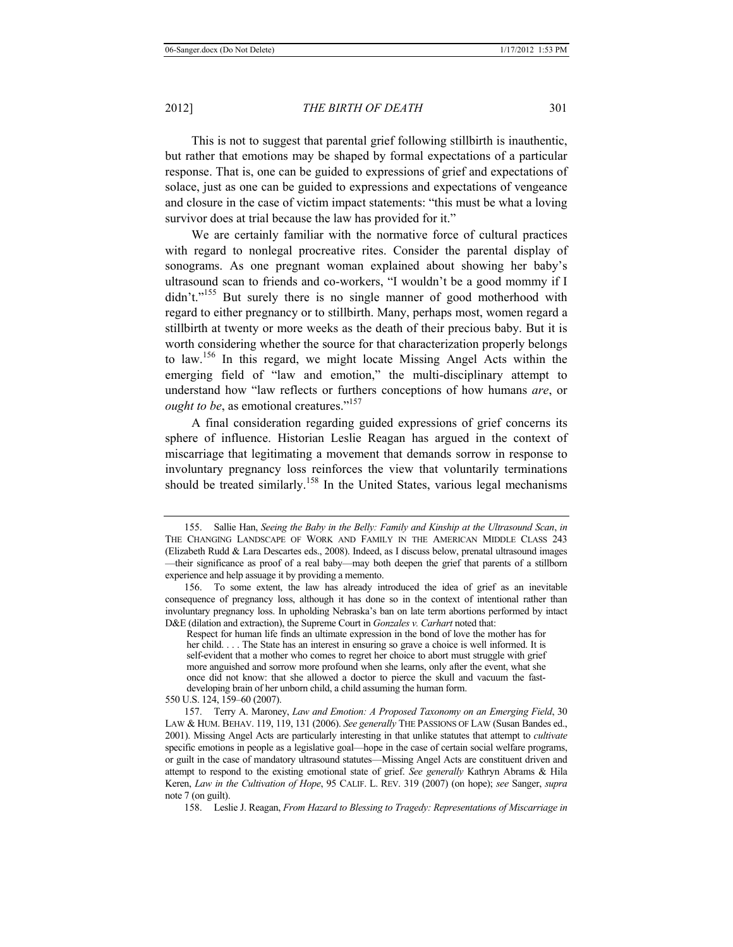This is not to suggest that parental grief following stillbirth is inauthentic, but rather that emotions may be shaped by formal expectations of a particular response. That is, one can be guided to expressions of grief and expectations of solace, just as one can be guided to expressions and expectations of vengeance and closure in the case of victim impact statements: "this must be what a loving survivor does at trial because the law has provided for it."

We are certainly familiar with the normative force of cultural practices with regard to nonlegal procreative rites. Consider the parental display of sonograms. As one pregnant woman explained about showing her baby's ultrasound scan to friends and co-workers, "I wouldn't be a good mommy if I didn't."<sup>155</sup> But surely there is no single manner of good motherhood with regard to either pregnancy or to stillbirth. Many, perhaps most, women regard a stillbirth at twenty or more weeks as the death of their precious baby. But it is worth considering whether the source for that characterization properly belongs to law.156 In this regard, we might locate Missing Angel Acts within the emerging field of "law and emotion," the multi-disciplinary attempt to understand how "law reflects or furthers conceptions of how humans *are*, or *ought to be*, as emotional creatures."<sup>157</sup>

A final consideration regarding guided expressions of grief concerns its sphere of influence. Historian Leslie Reagan has argued in the context of miscarriage that legitimating a movement that demands sorrow in response to involuntary pregnancy loss reinforces the view that voluntarily terminations should be treated similarly.<sup>158</sup> In the United States, various legal mechanisms

<sup>155.</sup> Sallie Han, *Seeing the Baby in the Belly: Family and Kinship at the Ultrasound Scan*, *in* THE CHANGING LANDSCAPE OF WORK AND FAMILY IN THE AMERICAN MIDDLE CLASS 243 (Elizabeth Rudd & Lara Descartes eds., 2008). Indeed, as I discuss below, prenatal ultrasound images —their significance as proof of a real baby—may both deepen the grief that parents of a stillborn experience and help assuage it by providing a memento.

<sup>156.</sup> To some extent, the law has already introduced the idea of grief as an inevitable consequence of pregnancy loss, although it has done so in the context of intentional rather than involuntary pregnancy loss. In upholding Nebraska's ban on late term abortions performed by intact D&E (dilation and extraction), the Supreme Court in *Gonzales v. Carhart* noted that:

Respect for human life finds an ultimate expression in the bond of love the mother has for her child. . . . The State has an interest in ensuring so grave a choice is well informed. It is self-evident that a mother who comes to regret her choice to abort must struggle with grief more anguished and sorrow more profound when she learns, only after the event, what she once did not know: that she allowed a doctor to pierce the skull and vacuum the fastdeveloping brain of her unborn child, a child assuming the human form.

<sup>550</sup> U.S. 124, 159–60 (2007).

<sup>157.</sup> Terry A. Maroney, *Law and Emotion: A Proposed Taxonomy on an Emerging Field*, 30 LAW & HUM. BEHAV. 119, 119, 131 (2006). *See generally* THE PASSIONS OF LAW (Susan Bandes ed., 2001). Missing Angel Acts are particularly interesting in that unlike statutes that attempt to *cultivate*  specific emotions in people as a legislative goal—hope in the case of certain social welfare programs, or guilt in the case of mandatory ultrasound statutes—Missing Angel Acts are constituent driven and attempt to respond to the existing emotional state of grief. *See generally* Kathryn Abrams & Hila Keren, *Law in the Cultivation of Hope*, 95 CALIF. L. REV. 319 (2007) (on hope); *see* Sanger, *supra* note 7 (on guilt).

<sup>158.</sup> Leslie J. Reagan, *From Hazard to Blessing to Tragedy: Representations of Miscarriage in*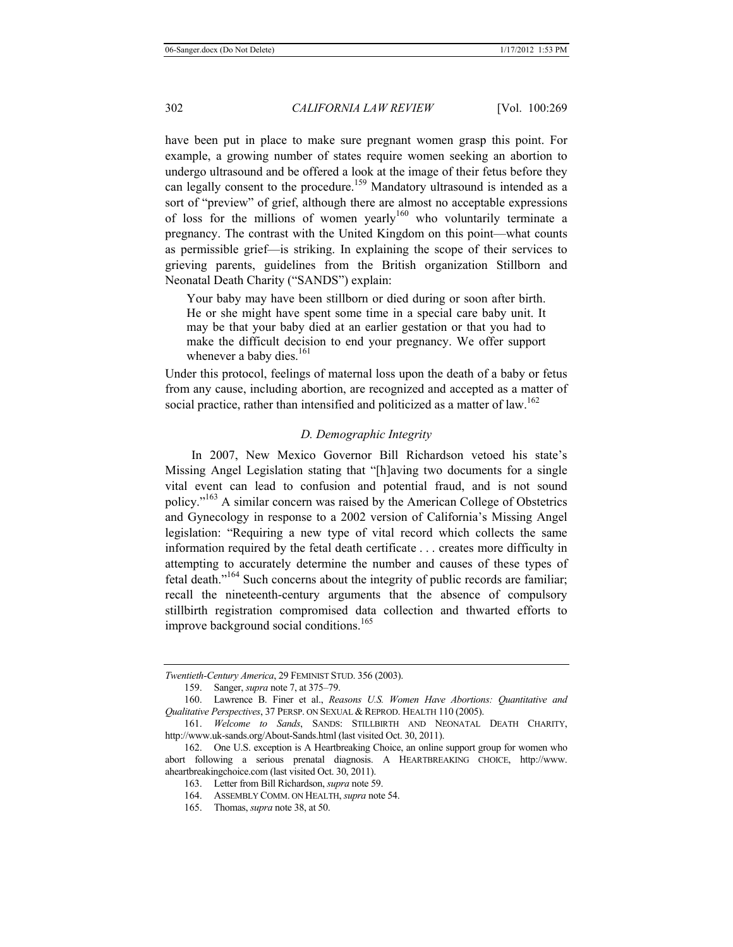have been put in place to make sure pregnant women grasp this point. For example, a growing number of states require women seeking an abortion to undergo ultrasound and be offered a look at the image of their fetus before they can legally consent to the procedure.<sup>159</sup> Mandatory ultrasound is intended as a sort of "preview" of grief, although there are almost no acceptable expressions of loss for the millions of women yearly<sup>160</sup> who voluntarily terminate a pregnancy. The contrast with the United Kingdom on this point—what counts as permissible grief—is striking. In explaining the scope of their services to grieving parents, guidelines from the British organization Stillborn and Neonatal Death Charity ("SANDS") explain:

Your baby may have been stillborn or died during or soon after birth. He or she might have spent some time in a special care baby unit. It may be that your baby died at an earlier gestation or that you had to make the difficult decision to end your pregnancy. We offer support whenever a baby dies. $^{161}$ 

Under this protocol, feelings of maternal loss upon the death of a baby or fetus from any cause, including abortion, are recognized and accepted as a matter of social practice, rather than intensified and politicized as a matter of  $law$ .<sup>162</sup>

#### *D. Demographic Integrity*

In 2007, New Mexico Governor Bill Richardson vetoed his state's Missing Angel Legislation stating that "[h]aving two documents for a single vital event can lead to confusion and potential fraud, and is not sound policy."163 A similar concern was raised by the American College of Obstetrics and Gynecology in response to a 2002 version of California's Missing Angel legislation: "Requiring a new type of vital record which collects the same information required by the fetal death certificate . . . creates more difficulty in attempting to accurately determine the number and causes of these types of fetal death."<sup>164</sup> Such concerns about the integrity of public records are familiar; recall the nineteenth-century arguments that the absence of compulsory stillbirth registration compromised data collection and thwarted efforts to improve background social conditions.<sup>165</sup>

*Twentieth-Century America*, 29 FEMINIST STUD. 356 (2003).

<sup>159.</sup> Sanger, *supra* note 7, at 375–79.

<sup>160.</sup> Lawrence B. Finer et al., *Reasons U.S. Women Have Abortions: Quantitative and Qualitative Perspectives*, 37 PERSP. ON SEXUAL & REPROD. HEALTH 110 (2005).

<sup>161.</sup> *Welcome to Sands*, SANDS: STILLBIRTH AND NEONATAL DEATH CHARITY, http://www.uk-sands.org/About-Sands.html (last visited Oct. 30, 2011).

<sup>162.</sup> One U.S. exception is A Heartbreaking Choice, an online support group for women who abort following a serious prenatal diagnosis. A HEARTBREAKING CHOICE, http://www. aheartbreakingchoice.com (last visited Oct. 30, 2011).

<sup>163.</sup> Letter from Bill Richardson, *supra* note 59.

<sup>164.</sup> ASSEMBLY COMM. ON HEALTH, *supra* note 54.

<sup>165.</sup> Thomas, *supra* note 38, at 50.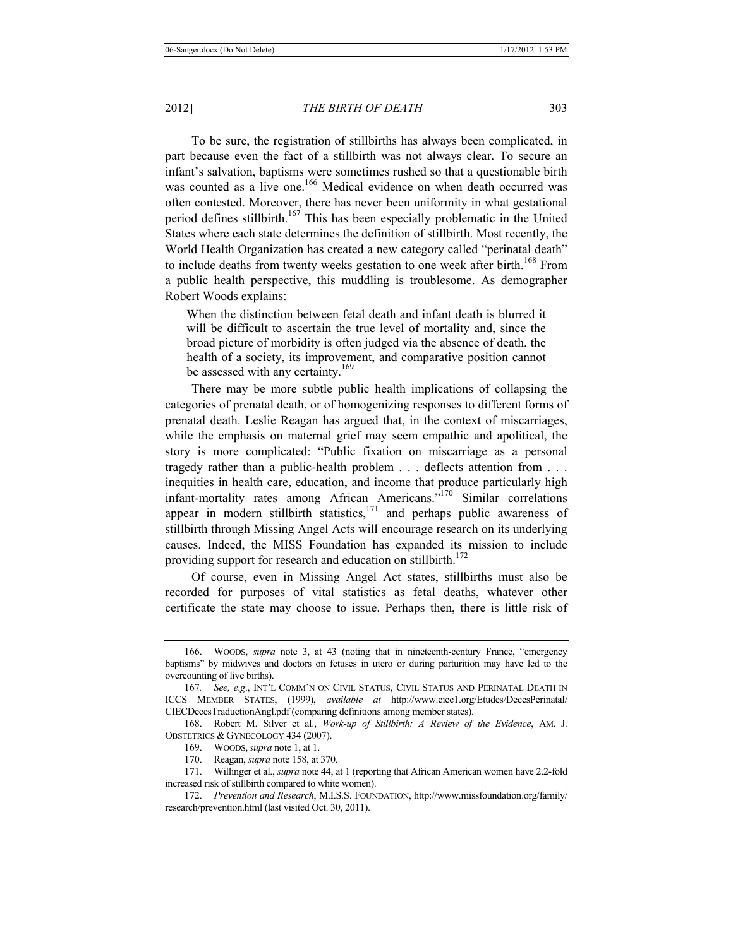To be sure, the registration of stillbirths has always been complicated, in part because even the fact of a stillbirth was not always clear. To secure an infant's salvation, baptisms were sometimes rushed so that a questionable birth was counted as a live one.<sup>166</sup> Medical evidence on when death occurred was often contested. Moreover, there has never been uniformity in what gestational period defines stillbirth.<sup>167</sup> This has been especially problematic in the United States where each state determines the definition of stillbirth. Most recently, the World Health Organization has created a new category called "perinatal death" to include deaths from twenty weeks gestation to one week after birth.<sup>168</sup> From a public health perspective, this muddling is troublesome. As demographer Robert Woods explains:

When the distinction between fetal death and infant death is blurred it will be difficult to ascertain the true level of mortality and, since the broad picture of morbidity is often judged via the absence of death, the health of a society, its improvement, and comparative position cannot be assessed with any certainty.<sup>169</sup>

There may be more subtle public health implications of collapsing the categories of prenatal death, or of homogenizing responses to different forms of prenatal death. Leslie Reagan has argued that, in the context of miscarriages, while the emphasis on maternal grief may seem empathic and apolitical, the story is more complicated: "Public fixation on miscarriage as a personal tragedy rather than a public-health problem . . . deflects attention from . . . inequities in health care, education, and income that produce particularly high infant-mortality rates among African Americans."170 Similar correlations appear in modern stillbirth statistics,  $1/1$  and perhaps public awareness of stillbirth through Missing Angel Acts will encourage research on its underlying causes. Indeed, the MISS Foundation has expanded its mission to include providing support for research and education on stillbirth.<sup>172</sup>

Of course, even in Missing Angel Act states, stillbirths must also be recorded for purposes of vital statistics as fetal deaths, whatever other certificate the state may choose to issue. Perhaps then, there is little risk of

<sup>166.</sup> WOODS, *supra* note 3, at 43 (noting that in nineteenth-century France, "emergency baptisms" by midwives and doctors on fetuses in utero or during parturition may have led to the overcounting of live births).

<sup>167</sup>*. See, e*.*g*., INT'L COMM'N ON CIVIL STATUS, CIVIL STATUS AND PERINATAL DEATH IN ICCS MEMBER STATES, (1999), *available at* http://www.ciec1.org/Etudes/DecesPerinatal/ CIECDecesTraductionAngl.pdf (comparing definitions among member states).

<sup>168.</sup> Robert M. Silver et al., *Work-up of Stillbirth: A Review of the Evidence*, AM. J. OBSTETRICS & GYNECOLOGY 434 (2007).

<sup>169.</sup> WOODS,*supra* note 1, at 1.

<sup>170.</sup> Reagan, *supra* note 158, at 370.

<sup>171.</sup> Willinger et al., *supra* note 44, at 1 (reporting that African American women have 2.2-fold increased risk of stillbirth compared to white women).

<sup>172.</sup> *Prevention and Research*, M.I.S.S. FOUNDATION, http://www.missfoundation.org/family/ research/prevention.html (last visited Oct. 30, 2011).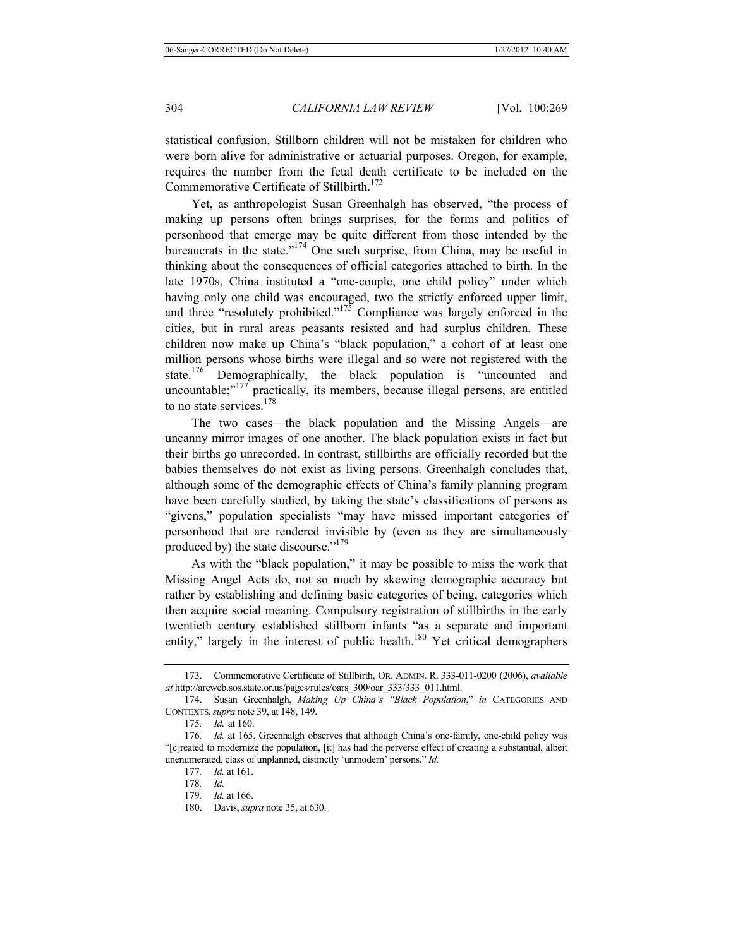statistical confusion. Stillborn children will not be mistaken for children who were born alive for administrative or actuarial purposes. Oregon, for example, requires the number from the fetal death certificate to be included on the Commemorative Certificate of Stillbirth.<sup>173</sup>

Yet, as anthropologist Susan Greenhalgh has observed, "the process of making up persons often brings surprises, for the forms and politics of personhood that emerge may be quite different from those intended by the bureaucrats in the state."174 One such surprise, from China, may be useful in thinking about the consequences of official categories attached to birth. In the late 1970s, China instituted a "one-couple, one child policy" under which having only one child was encouraged, two the strictly enforced upper limit, and three "resolutely prohibited."<sup>175</sup> Compliance was largely enforced in the cities, but in rural areas peasants resisted and had surplus children. These children now make up China's "black population," a cohort of at least one million persons whose births were illegal and so were not registered with the state.<sup>176</sup> Demographically, the black population is "uncounted and uncountable;"<sup>177</sup> practically, its members, because illegal persons, are entitled to no state services.<sup>178</sup>

The two cases—the black population and the Missing Angels—are uncanny mirror images of one another. The black population exists in fact but their births go unrecorded. In contrast, stillbirths are officially recorded but the babies themselves do not exist as living persons. Greenhalgh concludes that, although some of the demographic effects of China's family planning program have been carefully studied, by taking the state's classifications of persons as "givens," population specialists "may have missed important categories of personhood that are rendered invisible by (even as they are simultaneously produced by) the state discourse."179

As with the "black population," it may be possible to miss the work that Missing Angel Acts do, not so much by skewing demographic accuracy but rather by establishing and defining basic categories of being, categories which then acquire social meaning. Compulsory registration of stillbirths in the early twentieth century established stillborn infants "as a separate and important entity," largely in the interest of public health.<sup>180</sup> Yet critical demographers

<sup>173.</sup> Commemorative Certificate of Stillbirth, OR. ADMIN. R. 333-011-0200 (2006), *available at* http://arcweb.sos.state.or.us/pages/rules/oars\_300/oar\_333/333\_011.html.

<sup>174.</sup> Susan Greenhalgh, *Making Up China's "Black Population*," *in* CATEGORIES AND CONTEXTS,*supra* note 39, at 148, 149.

<sup>175</sup>*. Id.* at 160.

<sup>176</sup>*. Id.* at 165. Greenhalgh observes that although China's one-family, one-child policy was "[c]reated to modernize the population, [it] has had the perverse effect of creating a substantial, albeit unenumerated, class of unplanned, distinctly 'unmodern' persons." *Id.*

<sup>177</sup>*. Id.* at 161.

<sup>178</sup>*. Id.*

<sup>179</sup>*. Id.* at 166.

<sup>180.</sup> Davis, *supra* note 35, at 630.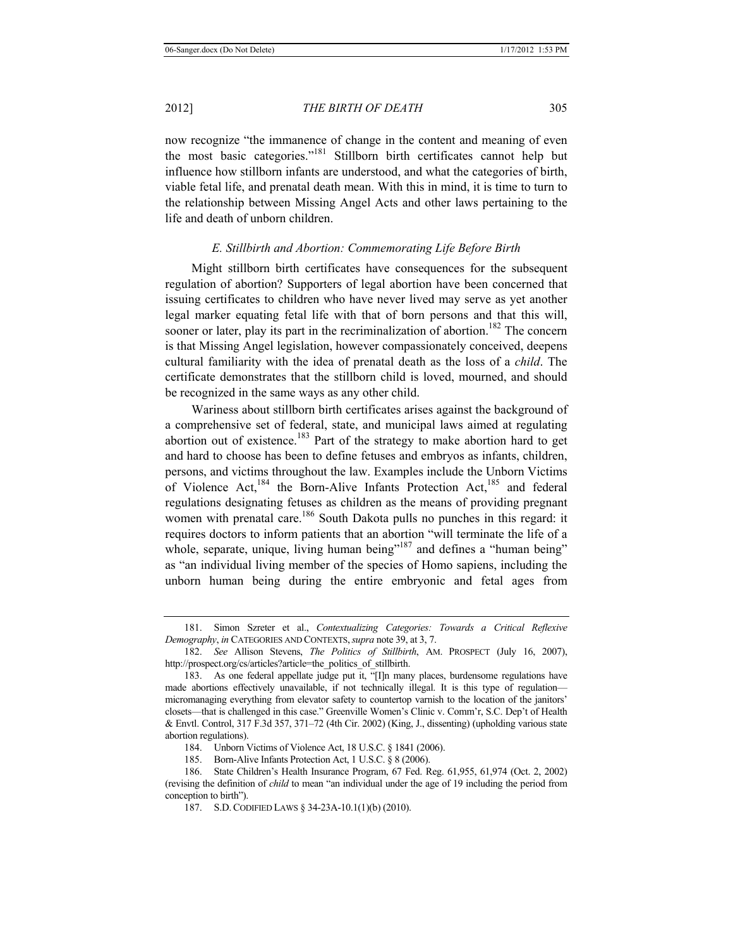now recognize "the immanence of change in the content and meaning of even the most basic categories."<sup>181</sup> Stillborn birth certificates cannot help but influence how stillborn infants are understood, and what the categories of birth, viable fetal life, and prenatal death mean. With this in mind, it is time to turn to the relationship between Missing Angel Acts and other laws pertaining to the life and death of unborn children.

#### *E. Stillbirth and Abortion: Commemorating Life Before Birth*

Might stillborn birth certificates have consequences for the subsequent regulation of abortion? Supporters of legal abortion have been concerned that issuing certificates to children who have never lived may serve as yet another legal marker equating fetal life with that of born persons and that this will, sooner or later, play its part in the recriminalization of abortion.<sup>182</sup> The concern is that Missing Angel legislation, however compassionately conceived, deepens cultural familiarity with the idea of prenatal death as the loss of a *child*. The certificate demonstrates that the stillborn child is loved, mourned, and should be recognized in the same ways as any other child.

Wariness about stillborn birth certificates arises against the background of a comprehensive set of federal, state, and municipal laws aimed at regulating abortion out of existence.<sup>183</sup> Part of the strategy to make abortion hard to get and hard to choose has been to define fetuses and embryos as infants, children, persons, and victims throughout the law. Examples include the Unborn Victims of Violence Act,<sup>184</sup> the Born-Alive Infants Protection Act,<sup>185</sup> and federal regulations designating fetuses as children as the means of providing pregnant women with prenatal care.<sup>186</sup> South Dakota pulls no punches in this regard: it requires doctors to inform patients that an abortion "will terminate the life of a whole, separate, unique, living human being"<sup>187</sup> and defines a "human being" as "an individual living member of the species of Homo sapiens, including the unborn human being during the entire embryonic and fetal ages from

184. Unborn Victims of Violence Act, 18 U.S.C. § 1841 (2006).

185. Born-Alive Infants Protection Act, 1 U.S.C. § 8 (2006).

<sup>181.</sup> Simon Szreter et al., *Contextualizing Categories: Towards a Critical Reflexive Demography*, *in* CATEGORIES AND CONTEXTS,*supra* note 39, at 3, 7.

<sup>182.</sup> *See* Allison Stevens, *The Politics of Stillbirth*, AM. PROSPECT (July 16, 2007), http://prospect.org/cs/articles?article=the\_politics\_of\_stillbirth.

<sup>183.</sup> As one federal appellate judge put it, "[I]n many places, burdensome regulations have made abortions effectively unavailable, if not technically illegal. It is this type of regulation micromanaging everything from elevator safety to countertop varnish to the location of the janitors' closets—that is challenged in this case." Greenville Women's Clinic v. Comm'r, S.C. Dep't of Health & Envtl. Control, 317 F.3d 357, 371–72 (4th Cir. 2002) (King, J., dissenting) (upholding various state abortion regulations).

<sup>186.</sup> State Children's Health Insurance Program, 67 Fed. Reg. 61,955, 61,974 (Oct. 2, 2002) (revising the definition of *child* to mean "an individual under the age of 19 including the period from conception to birth").

<sup>187.</sup> S.D.CODIFIED LAWS § 34-23A-10.1(1)(b) (2010).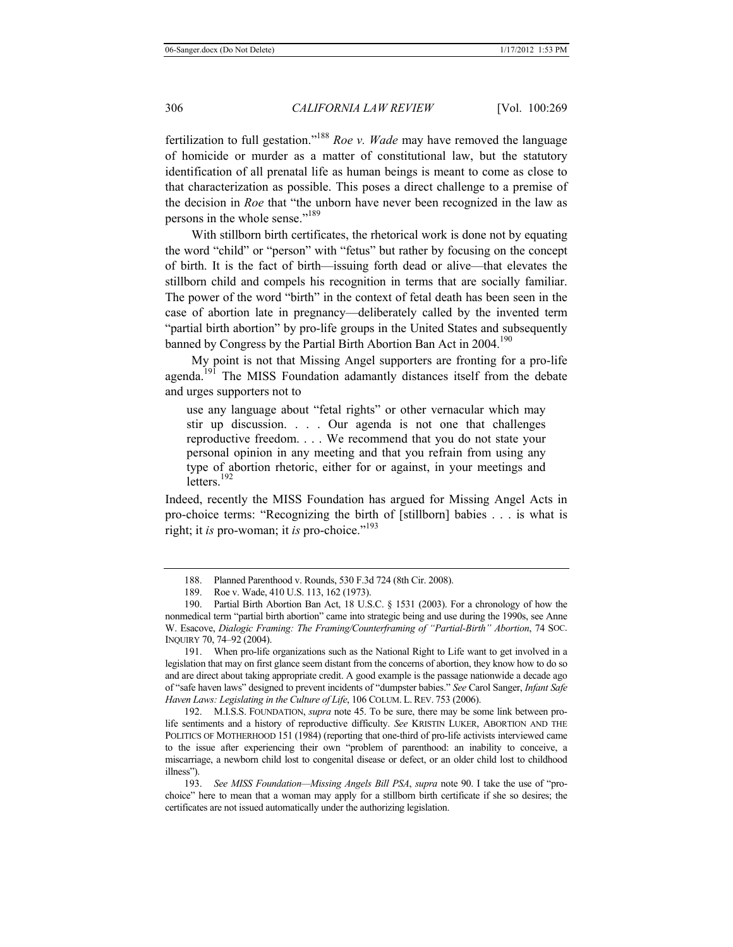fertilization to full gestation."188 *Roe v. Wade* may have removed the language of homicide or murder as a matter of constitutional law, but the statutory identification of all prenatal life as human beings is meant to come as close to that characterization as possible. This poses a direct challenge to a premise of the decision in *Roe* that "the unborn have never been recognized in the law as persons in the whole sense."<sup>189</sup>

With stillborn birth certificates, the rhetorical work is done not by equating the word "child" or "person" with "fetus" but rather by focusing on the concept of birth. It is the fact of birth—issuing forth dead or alive—that elevates the stillborn child and compels his recognition in terms that are socially familiar. The power of the word "birth" in the context of fetal death has been seen in the case of abortion late in pregnancy—deliberately called by the invented term "partial birth abortion" by pro-life groups in the United States and subsequently banned by Congress by the Partial Birth Abortion Ban Act in  $2004$ <sup>190</sup>

My point is not that Missing Angel supporters are fronting for a pro-life agenda.<sup>191</sup> The MISS Foundation adamantly distances itself from the debate and urges supporters not to

use any language about "fetal rights" or other vernacular which may stir up discussion. . . . Our agenda is not one that challenges reproductive freedom. . . . We recommend that you do not state your personal opinion in any meeting and that you refrain from using any type of abortion rhetoric, either for or against, in your meetings and letters.<sup>192</sup>

Indeed, recently the MISS Foundation has argued for Missing Angel Acts in pro-choice terms: "Recognizing the birth of [stillborn] babies . . . is what is right; it *is* pro-woman; it *is* pro-choice."193

191. When pro-life organizations such as the National Right to Life want to get involved in a legislation that may on first glance seem distant from the concerns of abortion, they know how to do so and are direct about taking appropriate credit. A good example is the passage nationwide a decade ago of "safe haven laws" designed to prevent incidents of "dumpster babies." *See* Carol Sanger, *Infant Safe Haven Laws: Legislating in the Culture of Life*, 106 COLUM. L. REV. 753 (2006).

192. M.I.S.S. FOUNDATION, *supra* note 45. To be sure, there may be some link between prolife sentiments and a history of reproductive difficulty. *See* KRISTIN LUKER, ABORTION AND THE POLITICS OF MOTHERHOOD 151 (1984) (reporting that one-third of pro-life activists interviewed came to the issue after experiencing their own "problem of parenthood: an inability to conceive, a miscarriage, a newborn child lost to congenital disease or defect, or an older child lost to childhood illness").

193. *See MISS Foundation—Missing Angels Bill PSA*, *supra* note 90. I take the use of "prochoice" here to mean that a woman may apply for a stillborn birth certificate if she so desires; the certificates are not issued automatically under the authorizing legislation.

<sup>188.</sup> Planned Parenthood v. Rounds, 530 F.3d 724 (8th Cir. 2008).

<sup>189.</sup> Roe v. Wade, 410 U.S. 113, 162 (1973).

<sup>190.</sup> Partial Birth Abortion Ban Act, 18 U.S.C. § 1531 (2003). For a chronology of how the nonmedical term "partial birth abortion" came into strategic being and use during the 1990s, see Anne W. Esacove, *Dialogic Framing: The Framing/Counterframing of "Partial-Birth" Abortion*, 74 SOC. INQUIRY 70, 74–92 (2004).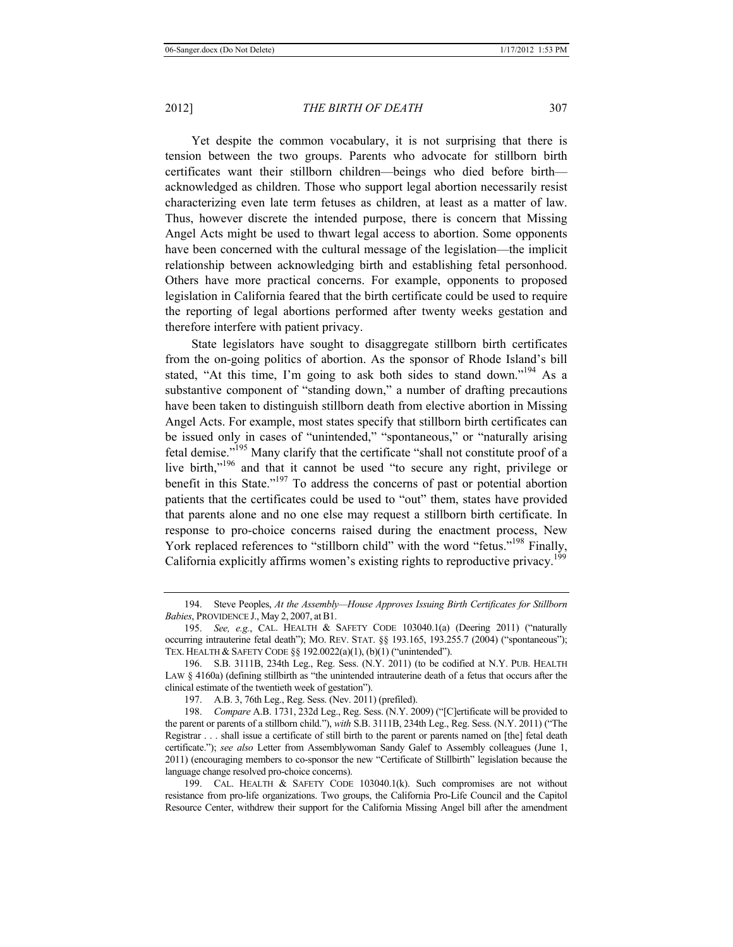Yet despite the common vocabulary, it is not surprising that there is tension between the two groups. Parents who advocate for stillborn birth certificates want their stillborn children—beings who died before birth acknowledged as children. Those who support legal abortion necessarily resist characterizing even late term fetuses as children, at least as a matter of law. Thus, however discrete the intended purpose, there is concern that Missing Angel Acts might be used to thwart legal access to abortion. Some opponents have been concerned with the cultural message of the legislation—the implicit relationship between acknowledging birth and establishing fetal personhood. Others have more practical concerns. For example, opponents to proposed legislation in California feared that the birth certificate could be used to require the reporting of legal abortions performed after twenty weeks gestation and therefore interfere with patient privacy.

State legislators have sought to disaggregate stillborn birth certificates from the on-going politics of abortion. As the sponsor of Rhode Island's bill stated, "At this time, I'm going to ask both sides to stand down."<sup>194</sup> As a substantive component of "standing down," a number of drafting precautions have been taken to distinguish stillborn death from elective abortion in Missing Angel Acts. For example, most states specify that stillborn birth certificates can be issued only in cases of "unintended," "spontaneous," or "naturally arising fetal demise."195 Many clarify that the certificate "shall not constitute proof of a live birth,"<sup>196</sup> and that it cannot be used "to secure any right, privilege or benefit in this State."197 To address the concerns of past or potential abortion patients that the certificates could be used to "out" them, states have provided that parents alone and no one else may request a stillborn birth certificate. In response to pro-choice concerns raised during the enactment process, New York replaced references to "stillborn child" with the word "fetus."<sup>198</sup> Finally, California explicitly affirms women's existing rights to reproductive privacy.<sup>199</sup>

<sup>194.</sup> Steve Peoples, *At the Assembly—House Approves Issuing Birth Certificates for Stillborn Babies*, PROVIDENCE J., May 2, 2007, at B1.

<sup>195.</sup> *See, e.g.*, CAL. HEALTH & SAFETY CODE 103040.1(a) (Deering 2011) ("naturally occurring intrauterine fetal death"); MO. REV. STAT. §§ 193.165, 193.255.7 (2004) ("spontaneous"); TEX. HEALTH & SAFETY CODE §§ 192.0022(a)(1), (b)(1) ("unintended").

<sup>196.</sup> S.B. 3111B, 234th Leg., Reg. Sess. (N.Y. 2011) (to be codified at N.Y. PUB. HEALTH LAW § 4160a) (defining stillbirth as "the unintended intrauterine death of a fetus that occurs after the clinical estimate of the twentieth week of gestation").

<sup>197.</sup> A.B. 3, 76th Leg., Reg. Sess. (Nev. 2011) (prefiled).

<sup>198.</sup> *Compare* A.B. 1731, 232d Leg., Reg. Sess. (N.Y. 2009) ("[C]ertificate will be provided to the parent or parents of a stillborn child."), *with* S.B. 3111B, 234th Leg., Reg. Sess. (N.Y. 2011) ("The Registrar . . . shall issue a certificate of still birth to the parent or parents named on [the] fetal death certificate."); *see also* Letter from Assemblywoman Sandy Galef to Assembly colleagues (June 1, 2011) (encouraging members to co-sponsor the new "Certificate of Stillbirth" legislation because the language change resolved pro-choice concerns).

<sup>199.</sup> CAL. HEALTH & SAFETY CODE 103040.1(k). Such compromises are not without resistance from pro-life organizations. Two groups, the California Pro-Life Council and the Capitol Resource Center, withdrew their support for the California Missing Angel bill after the amendment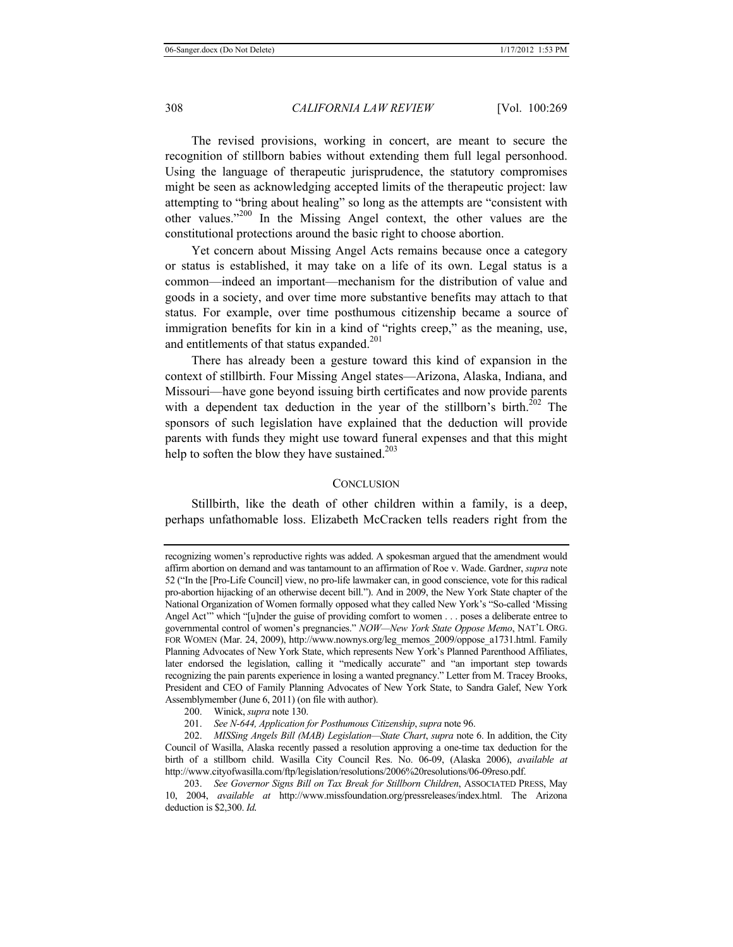The revised provisions, working in concert, are meant to secure the recognition of stillborn babies without extending them full legal personhood. Using the language of therapeutic jurisprudence, the statutory compromises might be seen as acknowledging accepted limits of the therapeutic project: law attempting to "bring about healing" so long as the attempts are "consistent with other values."200 In the Missing Angel context, the other values are the constitutional protections around the basic right to choose abortion.

Yet concern about Missing Angel Acts remains because once a category or status is established, it may take on a life of its own. Legal status is a common—indeed an important—mechanism for the distribution of value and goods in a society, and over time more substantive benefits may attach to that status. For example, over time posthumous citizenship became a source of immigration benefits for kin in a kind of "rights creep," as the meaning, use, and entitlements of that status expanded.<sup>201</sup>

There has already been a gesture toward this kind of expansion in the context of stillbirth. Four Missing Angel states—Arizona, Alaska, Indiana, and Missouri—have gone beyond issuing birth certificates and now provide parents with a dependent tax deduction in the year of the stillborn's birth. $^{202}$  The sponsors of such legislation have explained that the deduction will provide parents with funds they might use toward funeral expenses and that this might help to soften the blow they have sustained.<sup>203</sup>

#### **CONCLUSION**

Stillbirth, like the death of other children within a family, is a deep, perhaps unfathomable loss. Elizabeth McCracken tells readers right from the

recognizing women's reproductive rights was added. A spokesman argued that the amendment would affirm abortion on demand and was tantamount to an affirmation of Roe v. Wade. Gardner, *supra* note 52 ("In the [Pro-Life Council] view, no pro-life lawmaker can, in good conscience, vote for this radical pro-abortion hijacking of an otherwise decent bill."). And in 2009, the New York State chapter of the National Organization of Women formally opposed what they called New York's "So-called 'Missing Angel Act'" which "[u]nder the guise of providing comfort to women . . . poses a deliberate entree to governmental control of women's pregnancies." *NOW—New York State Oppose Memo*, NAT'L ORG. FOR WOMEN (Mar. 24, 2009), http://www.nownys.org/leg\_memos\_2009/oppose\_a1731.html. Family Planning Advocates of New York State, which represents New York's Planned Parenthood Affiliates, later endorsed the legislation, calling it "medically accurate" and "an important step towards recognizing the pain parents experience in losing a wanted pregnancy." Letter from M. Tracey Brooks, President and CEO of Family Planning Advocates of New York State, to Sandra Galef, New York Assemblymember (June 6, 2011) (on file with author).

<sup>200.</sup> Winick, *supra* note 130.

<sup>201.</sup> *See N-644, Application for Posthumous Citizenship*, *supra* note 96.

<sup>202.</sup> *MISSing Angels Bill (MAB) Legislation—State Chart*, *supra* note 6. In addition, the City Council of Wasilla, Alaska recently passed a resolution approving a one-time tax deduction for the birth of a stillborn child. Wasilla City Council Res. No. 06-09, (Alaska 2006), *available at* http://www.cityofwasilla.com/ftp/legislation/resolutions/2006%20resolutions/06-09reso.pdf.

<sup>203.</sup> *See Governor Signs Bill on Tax Break for Stillborn Children*, ASSOCIATED PRESS, May 10, 2004, *available at* http://www.missfoundation.org/pressreleases/index.html. The Arizona deduction is \$2,300. *Id.*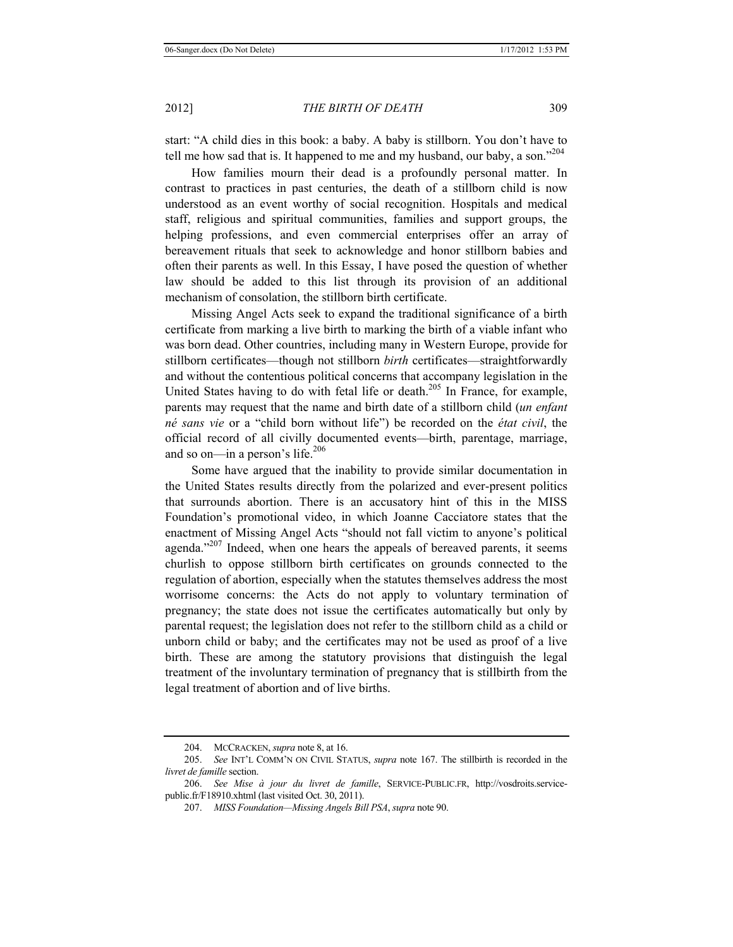start: "A child dies in this book: a baby. A baby is stillborn. You don't have to tell me how sad that is. It happened to me and my husband, our baby, a son."<sup>204</sup>

How families mourn their dead is a profoundly personal matter. In contrast to practices in past centuries, the death of a stillborn child is now understood as an event worthy of social recognition. Hospitals and medical staff, religious and spiritual communities, families and support groups, the helping professions, and even commercial enterprises offer an array of bereavement rituals that seek to acknowledge and honor stillborn babies and often their parents as well. In this Essay, I have posed the question of whether law should be added to this list through its provision of an additional mechanism of consolation, the stillborn birth certificate.

Missing Angel Acts seek to expand the traditional significance of a birth certificate from marking a live birth to marking the birth of a viable infant who was born dead. Other countries, including many in Western Europe, provide for stillborn certificates—though not stillborn *birth* certificates—straightforwardly and without the contentious political concerns that accompany legislation in the United States having to do with fetal life or death.<sup>205</sup> In France, for example, parents may request that the name and birth date of a stillborn child (*un enfant né sans vie* or a "child born without life") be recorded on the *état civil*, the official record of all civilly documented events—birth, parentage, marriage, and so on—in a person's life.<sup>206</sup>

Some have argued that the inability to provide similar documentation in the United States results directly from the polarized and ever-present politics that surrounds abortion. There is an accusatory hint of this in the MISS Foundation's promotional video, in which Joanne Cacciatore states that the enactment of Missing Angel Acts "should not fall victim to anyone's political agenda." $207$  Indeed, when one hears the appeals of bereaved parents, it seems churlish to oppose stillborn birth certificates on grounds connected to the regulation of abortion, especially when the statutes themselves address the most worrisome concerns: the Acts do not apply to voluntary termination of pregnancy; the state does not issue the certificates automatically but only by parental request; the legislation does not refer to the stillborn child as a child or unborn child or baby; and the certificates may not be used as proof of a live birth. These are among the statutory provisions that distinguish the legal treatment of the involuntary termination of pregnancy that is stillbirth from the legal treatment of abortion and of live births.

<sup>204.</sup> MCCRACKEN, *supra* note 8, at 16.

<sup>205.</sup> *See* INT'L COMM'N ON CIVIL STATUS, *supra* note 167. The stillbirth is recorded in the *livret de famille* section.

<sup>206.</sup> *See Mise à jour du livret de famille*, SERVICE-PUBLIC.FR, http://vosdroits.servicepublic.fr/F18910.xhtml (last visited Oct. 30, 2011).

<sup>207.</sup> *MISS Foundation—Missing Angels Bill PSA*, *supra* note 90.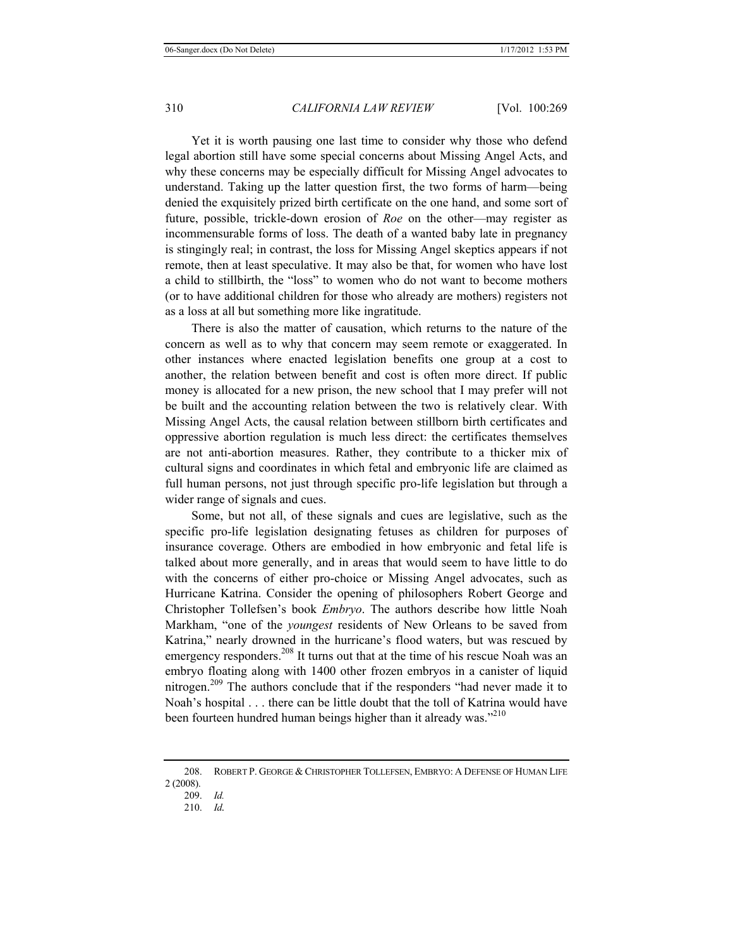Yet it is worth pausing one last time to consider why those who defend legal abortion still have some special concerns about Missing Angel Acts, and why these concerns may be especially difficult for Missing Angel advocates to understand. Taking up the latter question first, the two forms of harm—being denied the exquisitely prized birth certificate on the one hand, and some sort of future, possible, trickle-down erosion of *Roe* on the other—may register as incommensurable forms of loss. The death of a wanted baby late in pregnancy is stingingly real; in contrast, the loss for Missing Angel skeptics appears if not remote, then at least speculative. It may also be that, for women who have lost a child to stillbirth, the "loss" to women who do not want to become mothers (or to have additional children for those who already are mothers) registers not as a loss at all but something more like ingratitude.

There is also the matter of causation, which returns to the nature of the concern as well as to why that concern may seem remote or exaggerated. In other instances where enacted legislation benefits one group at a cost to another, the relation between benefit and cost is often more direct. If public money is allocated for a new prison, the new school that I may prefer will not be built and the accounting relation between the two is relatively clear. With Missing Angel Acts, the causal relation between stillborn birth certificates and oppressive abortion regulation is much less direct: the certificates themselves are not anti-abortion measures. Rather, they contribute to a thicker mix of cultural signs and coordinates in which fetal and embryonic life are claimed as full human persons, not just through specific pro-life legislation but through a wider range of signals and cues.

Some, but not all, of these signals and cues are legislative, such as the specific pro-life legislation designating fetuses as children for purposes of insurance coverage. Others are embodied in how embryonic and fetal life is talked about more generally, and in areas that would seem to have little to do with the concerns of either pro-choice or Missing Angel advocates, such as Hurricane Katrina. Consider the opening of philosophers Robert George and Christopher Tollefsen's book *Embryo*. The authors describe how little Noah Markham, "one of the *youngest* residents of New Orleans to be saved from Katrina," nearly drowned in the hurricane's flood waters, but was rescued by emergency responders.<sup>208</sup> It turns out that at the time of his rescue Noah was an embryo floating along with 1400 other frozen embryos in a canister of liquid nitrogen.<sup>209</sup> The authors conclude that if the responders "had never made it to Noah's hospital . . . there can be little doubt that the toll of Katrina would have been fourteen hundred human beings higher than it already was."<sup>210</sup>

<sup>208.</sup> ROBERT P. GEORGE & CHRISTOPHER TOLLEFSEN, EMBRYO: A DEFENSE OF HUMAN LIFE 2 (2008).

<sup>209.</sup> *Id.*

<sup>210.</sup> *Id.*